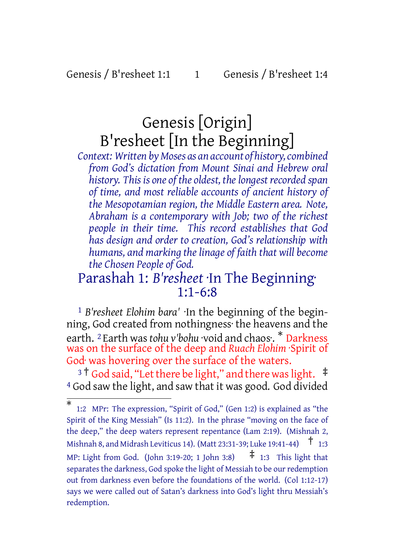Genesis / B'resheet 1:1 1 Genesis / B'resheet 1:4

# Genesis [Origin] B'resheet [In the Beginning]

*Context: Written byMoses as an account of history,combined from God's dictation from Mount Sinai and Hebrew oral history. This is one of the oldest, thelongest recorded span of time, and most reliable accounts of ancient history of the Mesopotamian region, the Middle Eastern area. Note, Abraham is a contemporary with Job; two of the richest people in their time. This record establishes that God has design and order to creation, God's relationship with humans, and marking the linage of faith that will become the Chosen People of God.*

# Parashah 1: *B'resheet* ·In The Beginning· 1:1-6:8

1 *B'resheet Elohim bara'* ·In the beginning of the beginning, God created from nothingness· the heavens and the earth. <sup>2</sup> Earth was*tohu v'bohu* ·void and chaos·. \* Darkness was on the surface of the deep and *Ruach Elohim* ·Spirit of God· was hovering over the surface of the waters.

<sup>3</sup>  $\dagger$  God said, "Let there be light," and there was light.  $\ddagger$ 4 God saw the light, and saw that it was good. God divided

<sup>\*</sup> 1:2 MPr: The expression, "Spirit of God," (Gen 1:2) is explained as "the Spirit of the King Messiah" (Is 11:2). In the phrase "moving on the face of the deep," the deep waters represent repentance (Lam 2:19). (Mishnah 2, Mishnah 8, and Midrash Leviticus 14). (Matt 23:31-39; Luke 19:41-44) † 1:3 MP: Light from God. (John 3:19-20; 1 John 3:8)  $\uparrow$  1:3 This light that separates the darkness, God spoke the light of Messiah to be our redemption out from darkness even before the foundations of the world. (Col 1:12-17) says we were called out of Satan's darkness into God's light thru Messiah's redemption.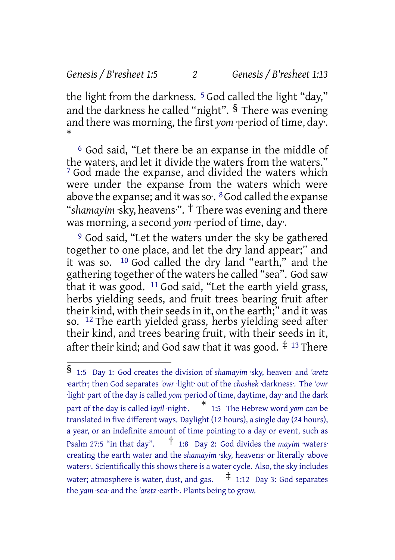#### *Genesis / B'resheet 1:5 2 Genesis / B'resheet 1:13*

the light from the darkness. <sup>5</sup> God called the light "day," and the darkness he called "night".  $\frac{1}{2}$  There was evening and there was morning, the first *yom* ·period of time, day·. \*

6 God said, "Let there be an expanse in the middle of the waters, and let it divide the waters from the waters." 7 God made the expanse, and divided the waters which were under the expanse from the waters which were above the expanse; and it was so.  $8$  God called the expanse "*shamayim* ·sky, heavens·". † There was evening and there was morning, a second *yom* ·period of time, day·.

9 God said, "Let the waters under the sky be gathered together to one place, and let the dry land appear;" and it was so. 10 God called the dry land "earth," and the gathering together of the waters he called "sea". God saw that it was good. 11 God said, "Let the earth yield grass, herbs yielding seeds, and fruit trees bearing fruit after their kind, with their seeds in it, on the earth;" and it was so. 12 The earth yielded grass, herbs yielding seed after their kind, and trees bearing fruit, with their seeds in it, after their kind; and God saw that it was good.  $\ddagger$  13 There

<sup>§</sup> 1:5 Day 1: God creates the division of *shamayim* ·sky, heaven· and *'aretz* ·earth·; then God separates *'owr* ·light· out of the *choshek* ·darkness·. The *'owr* ·light· part of the day is called *yom* ·period of time, daytime, day· and the dark part of the day is called *layil* ·night·.  $*$  1:5 The Hebrew word *yom* can be translated in five different ways. Daylight (12 hours), a single day (24 hours), a year, or an indefinite amount of time pointing to a day or event, such as Psalm 27:5 "in that day". † 1:8 Day 2: God divides the *mayim* ·waters· creating the earth water and the *shamayim* ·sky, heavens· or literally ·above waters<sup>.</sup> Scientifically this shows there is a water cycle. Also, the sky includes water; atmosphere is water, dust, and gas.  $\pm$  1:12 Day 3: God separates the *yam* ·sea· and the *'aretz* ·earth·. Plants being to grow.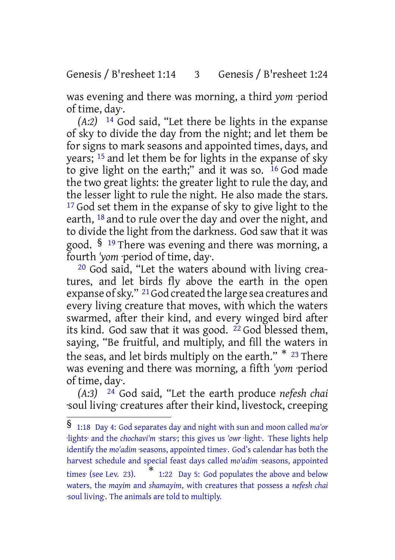### Genesis / B'resheet 1:14 3 Genesis / B'resheet 1:24

was evening and there was morning, a third *yom* ·period of time, day·.

*(A:2)* 14 God said, "Let there be lights in the expanse of sky to divide the day from the night; and let them be for signs to mark seasons and appointed times, days, and years; 15 and let them be for lights in the expanse of sky to give light on the earth;" and it was so. 16 God made the two great lights: the greater light to rule the day, and the lesser light to rule the night. He also made the stars. <sup>17</sup> God set them in the expanse of sky to give light to the earth, 18 and to rule over the day and over the night, and to divide the light from the darkness. God saw that it was good. § <sup>19</sup> There was evening and there was morning, a fourth *'yom* ·period of time, day·.

20 God said, "Let the waters abound with living creatures, and let birds fly above the earth in the open expanse of sky." <sup>21</sup> God created the large sea creatures and every living creature that moves, with which the waters swarmed, after their kind, and every winged bird after its kind. God saw that it was good. 22 God blessed them, saying, "Be fruitful, and multiply, and fill the waters in the seas, and let birds multiply on the earth." \* <sup>23</sup> There was evening and there was morning, a fifth *'yom* ·period of time, day·.

*(A:3)* 24 God said, "Let the earth produce *nefesh chai* ·soul living· creatures after their kind, livestock, creeping

<sup>§</sup> 1:18 Day 4: God separates day and night with sun and moon called *ma'or* ·lights· and the *chochavi'm* ·stars·; this gives us *'owr* ·light·. These lights help identify the *mo'adim* ·seasons, appointed times·. God's calendar has both the harvest schedule and special feast days called *mo'adim* ·seasons, appointed times<sup>·</sup> (see Lev. 23). 1:22 Day 5: God populates the above and below waters, the *mayim* and *shamayim*, with creatures that possess a *nefesh chai* ·soul living·. The animals are told to multiply.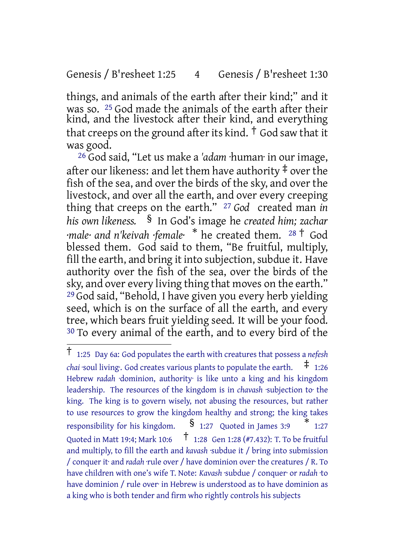### Genesis / B'resheet 1:25 4 Genesis / B'resheet 1:30

things, and animals of the earth after their kind;" and it was so. 25 God made the animals of the earth after their kind, and the livestock after their kind, and everything that creeps on the ground after its kind.  $\dagger$  God saw that it was good.

26 God said, "Let us make a *'adam* ·human· in our image, after our likeness: and let them have authority  $\ddagger$  over the fish of the sea, and over the birds of the sky, and over the livestock, and over all the earth, and over every creeping thing that creeps on the earth." 27 *God* created man *in his own likeness.* § In God's image he *created him; zachar ·male· and n'keivah ·female·* \* he created them. <sup>28</sup> † God blessed them. God said to them, "Be fruitful, multiply, fill the earth, and bring it into subjection, subdue it. Have authority over the fish of the sea, over the birds of the sky, and over every living thing that moves on the earth." 29 God said, "Behold, I have given you every herb yielding seed, which is on the surface of all the earth, and every tree, which bears fruit yielding seed. It will be your food. 30 To every animal of the earth, and to every bird of the

<sup>†</sup> 1:25 Day 6a: God populates the earth with creatures that possess <sup>a</sup> *nefesh chai* ·soul living·. God creates various plants to populate the earth. ‡ 1:26 Hebrew *radah* ·dominion, authority· is like unto a king and his kingdom leadership. The resources of the kingdom is in *chavash* ·subjection to· the king. The king is to govern wisely, not abusing the resources, but rather to use resources to grow the kingdom healthy and strong; the king takes responsibility for his kingdom.  $\frac{127}{2}$  Quoted in James 3:9 \* 1:27 Quoted in Matt 19:4; Mark 10:6 † 1:28 Gen 1:28 (#7.432): T. To be fruitful and multiply, to fill the earth and *kavash* ·subdue it / bring into submission / conquer it· and *radah* ·rule over / have dominion over· the creatures / R. To have children with one's wife T. Note: *Kavash* ·subdue / conquer· or *radah* ·to have dominion / rule over· in Hebrew is understood as to have dominion as a king who is both tender and firm who rightly controls his subjects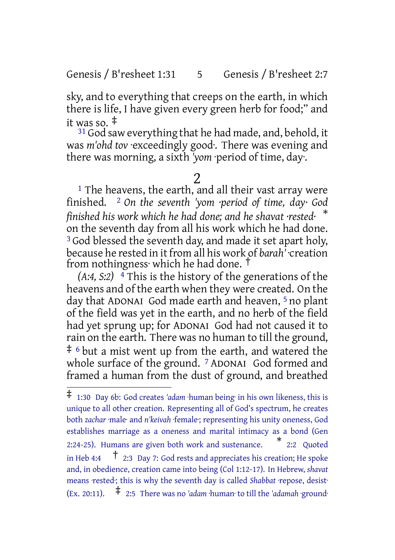Genesis / B'resheet 1:31 5 Genesis / B'resheet 2:7

sky, and to everything that creeps on the earth, in which there is life, I have given every green herb for food;" and it was so. ‡

 $31$  God saw everything that he had made, and, behold, it was *m'ohd tov* ·exceedingly good·. There was evening and there was morning, a sixth *'yom* ·period of time, day·.

### 2

<sup>1</sup> The heavens, the earth, and all their vast array were finished. 2 *On the seventh 'yom ·period of time, day· God finished his work which he had done; and he shavat ·rested·* \* on the seventh day from all his work which he had done. <sup>3</sup> God blessed the seventh day, and made it set apart holy, because he rested in it from all his work of *barah'* ·creation from nothingness· which he had done. †

*(A:4, S:2)* 4 This is the history of the generations of the heavens and of the earth when they were created. On the day that ADONAI God made earth and heaven, 5 no plant of the field was yet in the earth, and no herb of the field had yet sprung up; for ADONAI God had not caused it to rain on the earth. There was no human to till the ground, ‡ <sup>6</sup> but a mist went up from the earth, and watered the whole surface of the ground. <sup>7</sup> ADONAI God formed and framed a human from the dust of ground, and breathed

<sup>‡</sup> 1:30 Day 6b: God creates *'adam* ·human being· in his own likeness, this is unique to all other creation. Representing all of God's spectrum, he creates both *zachar* ·male· and *n'keivah* ·female·; representing his unity oneness, God establishes marriage as a oneness and marital intimacy as a bond (Gen 2:24-25). Humans are given both work and sustenance. \* 2:2 Quoted in Heb 4:4  $\uparrow$  2:3 Day 7: God rests and appreciates his creation; He spoke and, in obedience, creation came into being (Col 1:12-17). In Hebrew, *shavat* means ·rested·; this is why the seventh day is called *Shabbat* ·repose, desist· (Ex. 20:11).  $\uparrow$  2:5 There was no *'adam* ·human· to till the *'adamah* ·ground·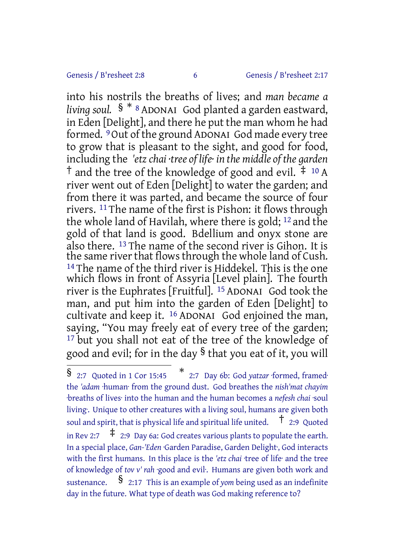Genesis / B'resheet 2:8 6 Genesis / B'resheet 2:17

into his nostrils the breaths of lives; and *man became a living soul.* § \* <sup>8</sup> ADONAI God planted a garden eastward, in Eden [Delight], and there he put the man whom he had formed. 9Out of the ground ADONAI God made every tree to grow that is pleasant to the sight, and good for food, including the *'etzchai ·tree of life· in the middle of the garden* <sup> $\dagger$ </sup> and the tree of the knowledge of good and evil.  $\ddagger$  <sup>10</sup> A river went out of Eden [Delight] to water the garden; and from there it was parted, and became the source of four rivers. 11 The name of the first is Pishon: it flows through the whole land of Havilah, where there is gold; 12 and the gold of that land is good. Bdellium and onyx stone are also there. 13 The name of the second river is Gihon. It is the same river that flows through the whole land of Cush. <sup>14</sup> The name of the third river is Hiddekel. This is the one which flows in front of Assyria [Level plain]. The fourth river is the Euphrates [Fruitful]. 15 ADONAI God took the man, and put him into the garden of Eden [Delight] to cultivate and keep it. 16 ADONAI God enjoined the man, saying, "You may freely eat of every tree of the garden; <sup>17</sup> but you shall not eat of the tree of the knowledge of good and evil; for in the day § that you eat of it, you will

<sup>§ 2:7</sup> Quoted in 1 Cor 15:45 \* 2:7 Day 6b: God *yatzar* ·formed, framed· the *'adam* ·human· from the ground dust. God breathes the *nish'mat chayim* ·breaths of lives· into the human and the human becomes a *nefesh chai* ·soul living·. Unique to other creatures with a living soul, humans are given both soul and spirit, that is physical life and spiritual life united.  $\uparrow$  2:9 Quoted in Rev 2:7  $\pm$  2:9 Day 6a: God creates various plants to populate the earth. In a special place, *Gan-'Eden* ·Garden Paradise, Garden Delight·, God interacts with the first humans. In this place is the *'etz chai* ·tree of life· and the tree of knowledge of *tov v' rah* ·good and evil·. Humans are given both work and sustenance. § 2:17 This is an example of *yom* being used as an indefinite day in the future. What type of death was God making reference to?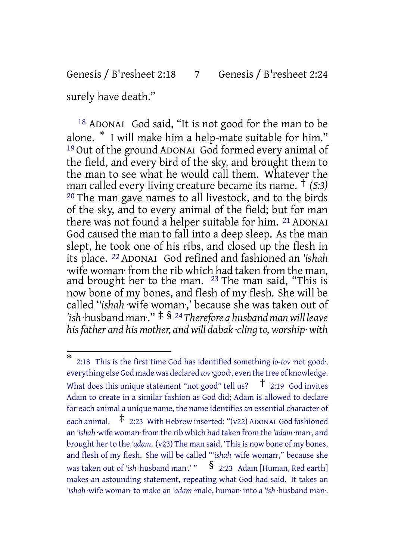# Genesis / B'resheet 2:18 7 Genesis / B'resheet 2:24

surely have death."

18 ADONAI God said, "It is not good for the man to be alone. \* I will make him a help-mate suitable for him." 19 Out of the ground ADONAI God formed every animal of the field, and every bird of the sky, and brought them to the man to see what he would call them. Whatever the man called every living creature became its name. † *(S:3)* 20 The man gave names to all livestock, and to the birds of the sky, and to every animal of the field; but for man there was not found a helper suitable for him. 21 ADONAI God caused the man to fall into a deep sleep. As the man slept, he took one of his ribs, and closed up the flesh in its place. 22 ADONAI God refined and fashioned an *'ishah* ·wife woman· from the rib which had taken from the man, and brought her to the man. <sup>23</sup> The man said, "This is now bone of my bones, and flesh of my flesh. She will be called '*'ishah* ·wife woman·,' because she was taken out of *'ish* ·husband man·." ‡ § <sup>24</sup>*Therefore a husbandmanwill leave hisfather and his mother, andwill dabak ·cling to, worship· with*

<sup>\*</sup> 2:18 This is the first time God has identified something *lo-tov* ·not good·, everything else God made was declared *tov* ·good·, even the tree of knowledge. What does this unique statement "not good" tell us?  $\uparrow$  2:19 God invites Adam to create in a similar fashion as God did; Adam is allowed to declare for each animal a unique name, the name identifies an essential character of each animal.  $\pm$  2:23 With Hebrew inserted: "(v22) ADONAI God fashioned an *'ishah* ·wife woman· from the rib which had taken from the *'adam* ·man·, and brought her to the 'adam. (v23) The man said, 'This is now bone of my bones, and flesh of my flesh. She will be called "*'ishah* ·wife woman·," because she was taken out of *'ish* ·husband man:' "  $\frac{1}{2}$  2:23 Adam [Human, Red earth] makes an astounding statement, repeating what God had said. It takes an *'ishah* ·wife woman· to make an *'adam* ·male, human· into a *'ish* ·husband man·.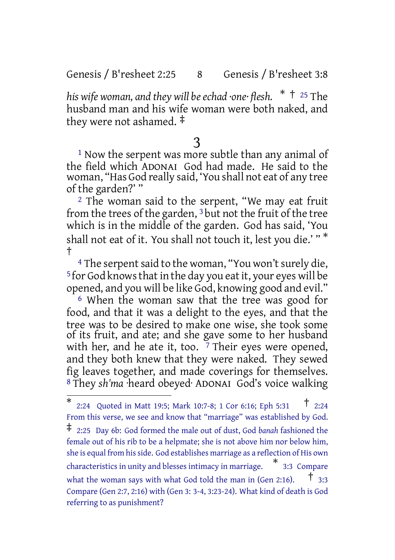Genesis / B'resheet 2:25 8 Genesis / B'resheet 3:8

*his* wife woman, and they will be echad ·one· flesh.  $*$  <sup>†</sup> <sup>25</sup> The husband man and his wife woman were both naked, and they were not ashamed. ‡

# 3

<sup>1</sup> Now the serpent was more subtle than any animal of the field which ADONAI God had made. He said to the woman, "Has God really said, 'You shall not eat of any tree of the garden?' "

<sup>2</sup> The woman said to the serpent, "We may eat fruit from the trees of the garden, 3 but not the fruit of the tree which is in the middle of the garden. God has said, 'You shall not eat of it. You shall not touch it, lest you die.' " \* †

<sup>4</sup> The serpent said to the woman, "You won't surely die, <sup>5</sup> for God knows that in the day you eat it, your eyes will be opened, and you will be like God, knowing good and evil."

6 When the woman saw that the tree was good for food, and that it was a delight to the eyes, and that the tree was to be desired to make one wise, she took some of its fruit, and ate; and she gave some to her husband with her, and he ate it, too.  $7$  Their eyes were opened, and they both knew that they were naked. They sewed fig leaves together, and made coverings for themselves. 8 They *sh'ma* ·heard obeyed· ADONAI God's voice walking

<sup>\*</sup> 2:24 Quoted in Matt 19:5; Mark 10:7-8; <sup>1</sup> Cor 6:16; Eph 5:31 † 2:24 From this verse, we see and know that "marriage" was established by God. ‡ 2:25 Day 6b: God formed the male out of dust, God *banah* fashioned the female out of his rib to be a helpmate; she is not above him nor below him, she is equal from hisside. God establishes marriage as a reflection of His own characteristics in unity and blesses intimacy in marriage. \* 3:3 Compare what the woman says with what God told the man in (Gen 2:16).  $\pm$  3:3 Compare (Gen 2:7, 2:16) with (Gen 3: 3-4, 3:23-24). What kind of death is God referring to as punishment?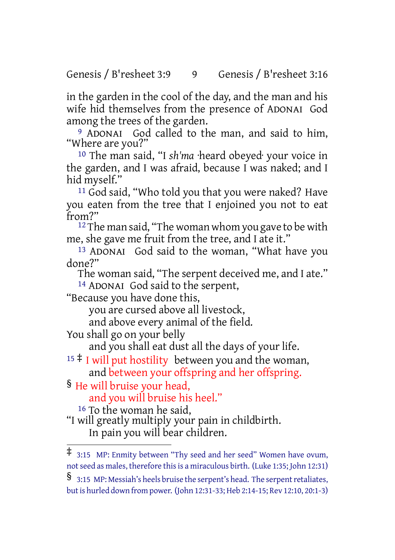Genesis / B'resheet 3:9 9 Genesis / B'resheet 3:16

in the garden in the cool of the day, and the man and his wife hid themselves from the presence of ADONAI God among the trees of the garden.

9 ADONAI God called to the man, and said to him, "Where are you?"

10 The man said, "I *sh'ma* ·heard obeyed· your voice in the garden, and I was afraid, because I was naked; and I hid myself."

11 God said, "Who told you that you were naked? Have you eaten from the tree that I enjoined you not to eat from?"

 $12$  The man said, "The woman whom you gave to be with me, she gave me fruit from the tree, and I ate it."

13 ADONAI God said to the woman, "What have you done?"

The woman said, "The serpent deceived me, and I ate."

14 ADONAI God said to the serpent,

"Because you have done this,

you are cursed above all livestock,

and above every animal of the field.

You shall go on your belly

and you shall eat dust all the days of your life.

 $15 \nmid$  I will put hostility between you and the woman, and between your offspring and her offspring.

§ He will bruise your head,

and you will bruise his heel."

16 To the woman he said,

"I will greatly multiply your pain in childbirth. In pain you will bear children.

<sup>‡</sup> 3:15 MP: Enmity between "Thy seed and her seed" Women have ovum, notseed as males, therefore thisis a miraculous birth. (Luke 1:35; John 12:31)

<sup>§ 3:15</sup> MP: Messiah's heels bruise the serpent's head. The serpent retaliates, butis hurled down from power. (John 12:31-33; Heb 2:14-15; Rev 12:10, 20:1-3)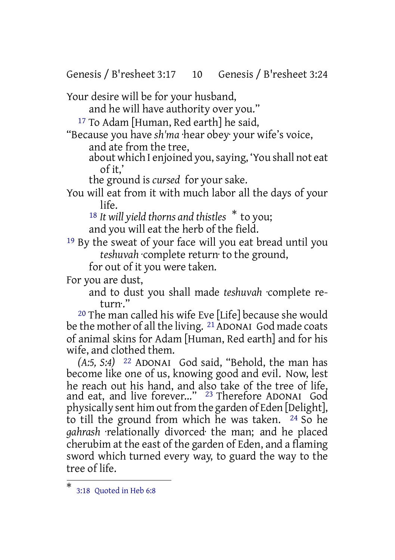Genesis / B'resheet 3:17 10 Genesis / B'resheet 3:24

Your desire will be for your husband,

and he will have authority over you."

17 To Adam [Human, Red earth] he said,

"Because you have *sh'ma* ·hear obey· your wife's voice,

and ate from the tree,

about which I enjoined you, saying, 'You shall not eat of it,'

the ground is *cursed* for your sake.

You will eat from it with much labor all the days of your life.

<sup>18</sup> *It will yield thorns and thistles* \* to you; and you will eat the herb of the field.

19 By the sweat of your face will you eat bread until you *teshuvah* ·complete return· to the ground,

for out of it you were taken.

For you are dust,

and to dust you shall made *teshuvah* ·complete return·."

20 The man called his wife Eve [Life] because she would be the mother of all the living. <sup>21</sup> ADONAI God made coats of animal skins for Adam [Human, Red earth] and for his wife, and clothed them.

*(A:5, S:4)* 22 ADONAI God said, "Behold, the man has become like one of us, knowing good and evil. Now, lest he reach out his hand, and also take of the tree of life, and eat, and live forever..." 23 Therefore ADONAI God physically sent him out from the garden of Eden [Delight], to till the ground from which he was taken. 24 So he *gahrash* ·relationally divorced· the man; and he placed cherubim at the east of the garden of Eden, and a flaming sword which turned every way, to guard the way to the tree of life.

<sup>\*</sup> 3:18 Quoted in Heb 6:8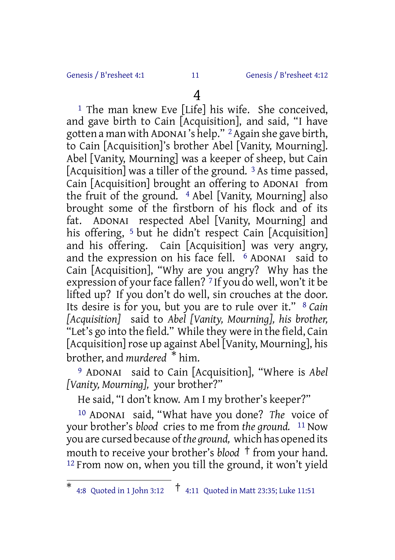#### Genesis / B'resheet 4:1 11 Genesis / B'resheet 4:12

# 4

<sup>1</sup> The man knew Eve [Life] his wife. She conceived, and gave birth to Cain [Acquisition], and said, "I have gotten a man with ADONAI 's help." 2Again she gave birth, to Cain [Acquisition]'s brother Abel [Vanity, Mourning]. Abel [Vanity, Mourning] was a keeper of sheep, but Cain [Acquisition] was a tiller of the ground.<sup>3</sup> As time passed, Cain [Acquisition] brought an offering to ADONAI from the fruit of the ground. 4 Abel [Vanity, Mourning] also brought some of the firstborn of his flock and of its fat. ADONAI respected Abel [Vanity, Mourning] and his offering, <sup>5</sup> but he didn't respect Cain [Acquisition] and his offering. Cain [Acquisition] was very angry, and the expression on his face fell. 6 ADONAI said to Cain [Acquisition], "Why are you angry? Why has the expression of your face fallen?  $7$  If you do well, won't it be lifted up? If you don't do well, sin crouches at the door. Its desire is for you, but you are to rule over it." 8 *Cain [Acquisition]* said to *Abel [Vanity, Mourning], his brother,* "Let's go into the field." While they were in the field, Cain [Acquisition] rose up against Abel [Vanity, Mourning], his brother, and *murdered* \* him.

9 ADONAI said to Cain [Acquisition], "Where is *Abel [Vanity, Mourning],* your brother?"

He said, "I don't know. Am I my brother's keeper?"

10 ADONAI said, "What have you done? *The* voice of your brother's *blood* cries to me from *the ground.* 11 Now you are cursed because of*the ground,* which has opened its mouth to receive your brother's *blood* † from your hand. 12 From now on, when you till the ground, it won't yield

<sup>\*</sup> 4:8 Quoted in <sup>1</sup> John 3:12 † 4:11 Quoted in Matt 23:35; Luke 11:51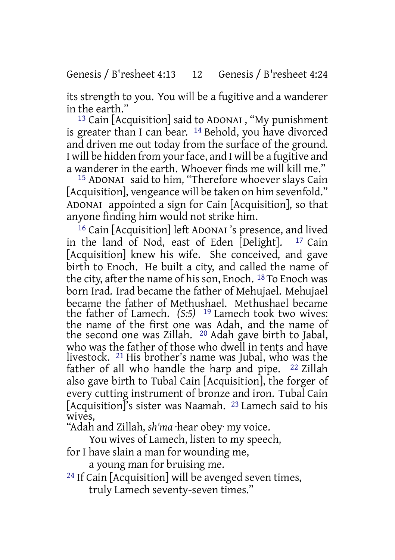its strength to you. You will be a fugitive and a wanderer in the earth."

13 Cain [Acquisition] said to ADONAI , "My punishment is greater than I can bear. 14 Behold, you have divorced and driven me out today from the surface of the ground. I will be hidden from your face, and I will be a fugitive and a wanderer in the earth. Whoever finds me will kill me."

15 ADONAI said to him, "Therefore whoever slays Cain [Acquisition], vengeance will be taken on him sevenfold." ADONAI appointed a sign for Cain [Acquisition], so that anyone finding him would not strike him.

<sup>16</sup> Cain [Acquisition] left ADONAI 's presence, and lived<br>the land of Nod, east of Eden [Delight]. <sup>17</sup> Cain in the land of Nod, east of Eden  $[Delight]$ . [Acquisition] knew his wife. She conceived, and gave birth to Enoch. He built a city, and called the name of the city, after the name of his son, Enoch. <sup>18</sup> To Enoch was born Irad. Irad became the father of Mehujael. Mehujael became the father of Methushael. Methushael became the father of Lamech. *(S:5)* 19 Lamech took two wives: the name of the first one was Adah, and the name of the second one was Zillah. 20 Adah gave birth to Jabal, who was the father of those who dwell in tents and have livestock. 21 His brother's name was Jubal, who was the father of all who handle the harp and pipe. 22 Zillah also gave birth to Tubal Cain [Acquisition], the forger of every cutting instrument of bronze and iron. Tubal Cain [Acquisition]'s sister was Naamah. <sup>23</sup> Lamech said to his wives,

"Adah and Zillah, *sh'ma* ·hear obey· my voice.

You wives of Lamech, listen to my speech,

for I have slain a man for wounding me,

a young man for bruising me.

24 If Cain [Acquisition] will be avenged seven times, truly Lamech seventy-seven times."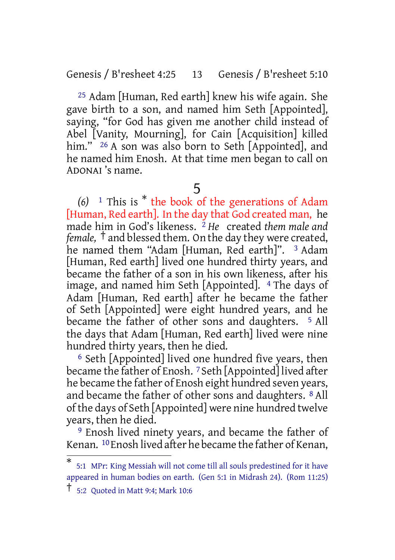Genesis / B'resheet 4:25 13 Genesis / B'resheet 5:10

25 Adam [Human, Red earth] knew his wife again. She gave birth to a son, and named him Seth [Appointed], saying, "for God has given me another child instead of Abel [Vanity, Mourning], for Cain [Acquisition] killed him." <sup>26</sup> A son was also born to Seth [Appointed], and he named him Enosh. At that time men began to call on ADONAI 's name.

### 5

*(6)* <sup>1</sup> This is \* the book of the generations of Adam [Human, Red earth]. In the day that God created man, he made him in God's likeness. 2 *He* created *them male and female,* † and blessed them. On the day they were created, he named them "Adam [Human, Red earth]". <sup>3</sup> Adam [Human, Red earth] lived one hundred thirty years, and became the father of a son in his own likeness, after his image, and named him Seth [Appointed]. <sup>4</sup> The days of Adam [Human, Red earth] after he became the father of Seth [Appointed] were eight hundred years, and he became the father of other sons and daughters. <sup>5</sup> All the days that Adam [Human, Red earth] lived were nine hundred thirty years, then he died.

6 Seth [Appointed] lived one hundred five years, then became the father of Enosh. 7 Seth [Appointed] lived after he became the father of Enosh eight hundred seven years, and became the father of other sons and daughters. 8 All of the days of Seth [Appointed] were nine hundred twelve years, then he died.

9 Enosh lived ninety years, and became the father of Kenan. 10Enosh lived after he became the father of Kenan,

<sup>\*</sup> 5:1 MPr: King Messiah will not come till all souls predestined for it have appeared in human bodies on earth. (Gen 5:1 in Midrash 24). (Rom 11:25)

<sup>†</sup> 5:2 Quoted in Matt 9:4; Mark 10:6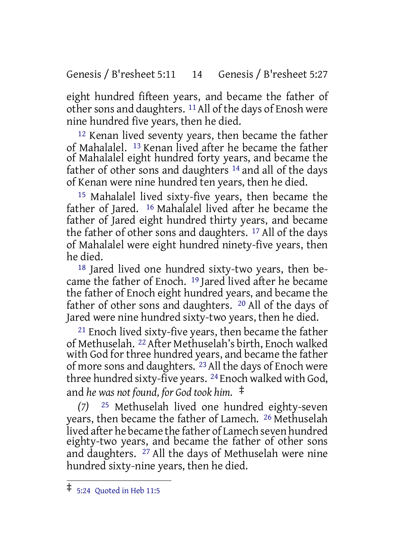Genesis / B'resheet 5:11 14 Genesis / B'resheet 5:27

eight hundred fifteen years, and became the father of other sons and daughters. <sup>11</sup> All of the days of Enosh were nine hundred five years, then he died.

12 Kenan lived seventy years, then became the father of Mahalalel. 13 Kenan lived after he became the father of Mahalalel eight hundred forty years, and became the father of other sons and daughters 14 and all of the days of Kenan were nine hundred ten years, then he died.

15 Mahalalel lived sixty-five years, then became the father of Jared. 16 Mahalalel lived after he became the father of Jared eight hundred thirty years, and became the father of other sons and daughters. 17 All of the days of Mahalalel were eight hundred ninety-five years, then he died.

18 Jared lived one hundred sixty-two years, then became the father of Enoch. 19 Jared lived after he became the father of Enoch eight hundred years, and became the father of other sons and daughters. 20 All of the days of Jared were nine hundred sixty-two years, then he died.

<sup>21</sup> Enoch lived sixty-five years, then became the father of Methuselah. 22After Methuselah's birth, Enoch walked with God for three hundred years, and became the father of more sons and daughters. 23All the days of Enoch were three hundred sixty-five years. 24 Enoch walked with God, and *he was not found, for God took him.* ‡

*(7)* 25 Methuselah lived one hundred eighty-seven years, then became the father of Lamech. 26 Methuselah lived after he became the father of Lamech seven hundred eighty-two years, and became the father of other sons and daughters. 27 All the days of Methuselah were nine hundred sixty-nine years, then he died.

<sup>‡</sup> 5:24 Quoted in Heb 11:5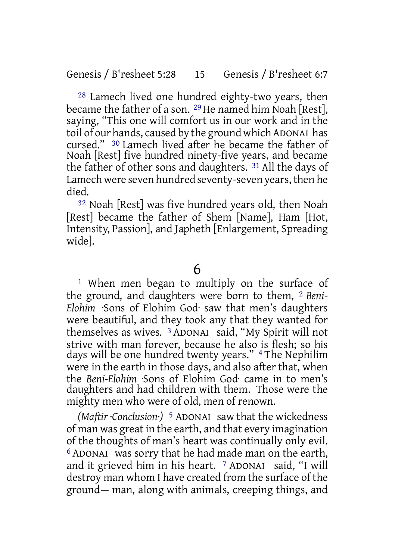28 Lamech lived one hundred eighty-two years, then became the father of a son. <sup>29</sup> He named him Noah [Rest], saying, "This one will comfort us in our work and in the toil of our hands, caused by the ground which ADONAI has cursed." 30 Lamech lived after he became the father of Noah [Rest] five hundred ninety-five years, and became the father of other sons and daughters. 31 All the days of Lamech were seven hundred seventy-seven years, then he died.

32 Noah [Rest] was five hundred years old, then Noah [Rest] became the father of Shem [Name], Ham [Hot, Intensity, Passion], and Japheth [Enlargement, Spreading wide].

6

1 When men began to multiply on the surface of the ground, and daughters were born to them, 2 *Beni-Elohim* ·Sons of Elohim God· saw that men's daughters were beautiful, and they took any that they wanted for themselves as wives. 3 ADONAI said, "My Spirit will not strive with man forever, because he also is flesh; so his days will be one hundred twenty years." 4 The Nephilim were in the earth in those days, and also after that, when the *Beni-Elohim* ·Sons of Elohim God· came in to men's daughters and had children with them. Those were the mighty men who were of old, men of renown.

*(Maftir ·Conclusion·)* 5 ADONAI saw that the wickedness of man was great in the earth, and that every imagination of the thoughts of man's heart was continually only evil. 6 ADONAI was sorry that he had made man on the earth, and it grieved him in his heart. 7 ADONAI said, "I will destroy man whom I have created from the surface of the ground— man, along with animals, creeping things, and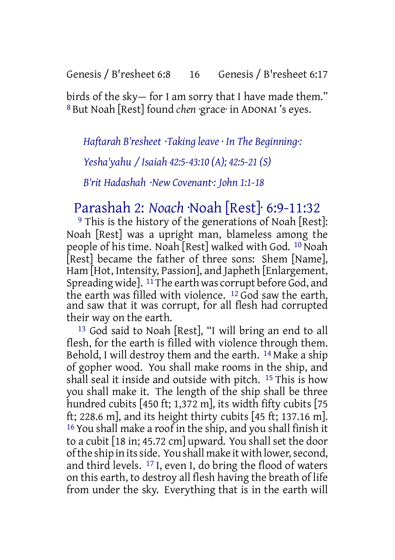Genesis / B'resheet 6:8 16 Genesis / B'resheet 6:17

birds of the sky— for I am sorry that I have made them." 8 But Noah [Rest] found *chen* ·grace· in ADONAI 's eyes.

*Haftarah B'resheet ·Taking leave · In The Beginning·:*

*Yesha'yahu / Isaiah 42:5-43:10 (A); 42:5-21 (S)*

*B'rit Hadashah ·New Covenant·: John 1:1-18*

# Parashah 2: *Noach* ·Noah [Rest]· 6:9-11:32

<sup>9</sup> This is the history of the generations of Noah [Rest]: Noah [Rest] was a upright man, blameless among the people of his time. Noah [Rest] walked with God. 10 Noah [Rest] became the father of three sons: Shem [Name], Ham Hot, Intensity, Passion], and Japheth [Enlargement, Spreading widel.  $^{11}$  The earth was corrupt before God, and the earth was filled with violence. 12 God saw the earth, and saw that it was corrupt, for all flesh had corrupted their way on the earth.

13 God said to Noah [Rest], "I will bring an end to all flesh, for the earth is filled with violence through them. Behold, I will destroy them and the earth. 14 Make a ship of gopher wood. You shall make rooms in the ship, and shall seal it inside and outside with pitch. <sup>15</sup> This is how you shall make it. The length of the ship shall be three hundred cubits [450 ft; 1,372 m], its width fifty cubits [75] ft; 228.6 m], and its height thirty cubits [45 ft; 137.16 m]. 16 You shall make a roof in the ship, and you shall finish it to a cubit [18 in; 45.72 cm] upward. You shall set the door of the ship in its side. You shall make it with lower, second, and third levels. 17 I, even I, do bring the flood of waters on this earth, to destroy all flesh having the breath of life from under the sky. Everything that is in the earth will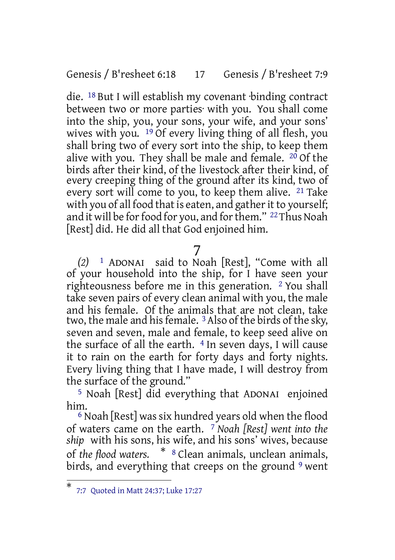#### Genesis / B'resheet 6:18 17 Genesis / B'resheet 7:9

die. 18 But I will establish my covenant ·binding contract between two or more parties· with you. You shall come into the ship, you, your sons, your wife, and your sons' wives with you.  $19$  Of every living thing of all flesh, you shall bring two of every sort into the ship, to keep them alive with you. They shall be male and female.  $20$  Of the birds after their kind, of the livestock after their kind, of every creeping thing of the ground after its kind, two of every sort will come to you, to keep them alive. 21 Take with you of all food that is eaten, and gather it to yourself; and it will be for food for you, and for them." <sup>22</sup>Thus Noah [Rest] did. He did all that God enjoined him.

7

*(2)* 1 ADONAI said to Noah [Rest], "Come with all of your household into the ship, for I have seen your righteousness before me in this generation. <sup>2</sup> You shall take seven pairs of every clean animal with you, the male and his female. Of the animals that are not clean, take two, the male and his female. <sup>3</sup> Also of the birds of the sky, seven and seven, male and female, to keep seed alive on the surface of all the earth.  $4$  In seven days, I will cause it to rain on the earth for forty days and forty nights. Every living thing that I have made, I will destroy from the surface of the ground."

5 Noah [Rest] did everything that ADONAI enjoined him.

 $6$  Noah [Rest] was six hundred years old when the flood of waters came on the earth. 7 *Noah [Rest] went into the ship* with his sons, his wife, and his sons' wives, because of *the flood waters.* \* <sup>8</sup> Clean animals, unclean animals, birds, and everything that creeps on the ground <sup>9</sup> went

<sup>\*</sup> 7:7 Quoted in Matt 24:37; Luke 17:27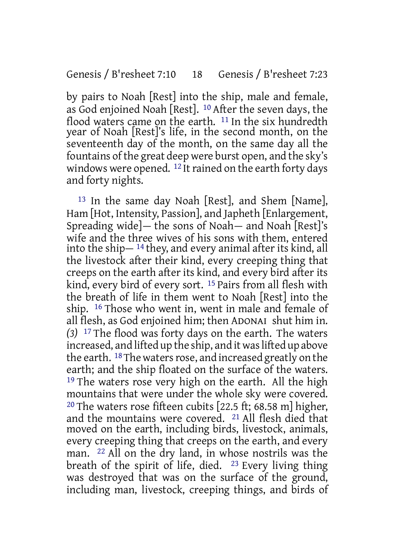by pairs to Noah [Rest] into the ship, male and female, as God enjoined Noah [Rest]. 10 After the seven days, the flood waters came on the earth. 11 In the six hundredth year of Noah [Rest]'s life, in the second month, on the seventeenth day of the month, on the same day all the fountains of the great deep were burst open, and the sky's windows were opened.  $^{12}$  It rained on the earth forty days and forty nights.

13 In the same day Noah [Rest], and Shem [Name], Ham [Hot, Intensity, Passion], and Japheth [Enlargement, Spreading wide]— the sons of Noah— and Noah [Rest]'s wife and the three wives of his sons with them, entered into the ship— 14 they, and every animal after its kind, all the livestock after their kind, every creeping thing that creeps on the earth after its kind, and every bird after its kind, every bird of every sort. 15 Pairs from all flesh with the breath of life in them went to Noah [Rest] into the ship. 16 Those who went in, went in male and female of all flesh, as God enjoined him; then ADONAI shut him in. *(3)* 17 The flood was forty days on the earth. The waters increased, and lifted up the ship, and it was lifted up above the earth.  $^{18}$  The waters rose, and increased greatly on the earth; and the ship floated on the surface of the waters. <sup>19</sup> The waters rose very high on the earth. All the high mountains that were under the whole sky were covered. <sup>20</sup> The waters rose fifteen cubits  $[22.5 \text{ ft} : 68.58 \text{ m}]$  higher, and the mountains were covered. 21 All flesh died that moved on the earth, including birds, livestock, animals, every creeping thing that creeps on the earth, and every man. 22 All on the dry land, in whose nostrils was the breath of the spirit of life, died.  $23$  Every living thing was destroyed that was on the surface of the ground, including man, livestock, creeping things, and birds of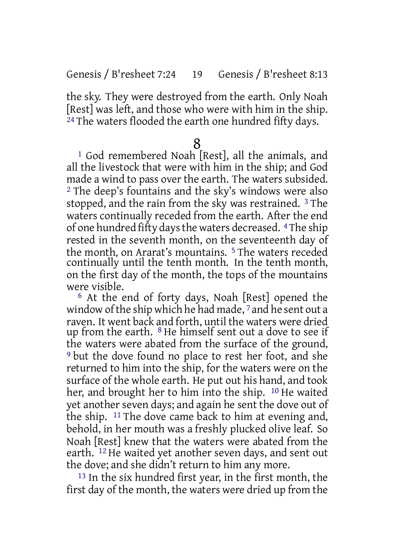the sky. They were destroyed from the earth. Only Noah [Rest] was left, and those who were with him in the ship. <sup>24</sup> The waters flooded the earth one hundred fifty days.

## 8

1 God remembered Noah [Rest], all the animals, and all the livestock that were with him in the ship; and God made a wind to pass over the earth. The waters subsided. 2 The deep's fountains and the sky's windows were also stopped, and the rain from the sky was restrained. <sup>3</sup> The waters continually receded from the earth. After the end of one hundred fifty daysthe waters decreased. 4The ship rested in the seventh month, on the seventeenth day of the month, on Ararat's mountains. 5 The waters receded continually until the tenth month. In the tenth month, on the first day of the month, the tops of the mountains were visible.

6 At the end of forty days, Noah [Rest] opened the window of the ship which he had made, 7 and he sent out a raven. It went back and forth, until the waters were dried up from the earth. 8 He himself sent out a dove to see if the waters were abated from the surface of the ground, 9 but the dove found no place to rest her foot, and she returned to him into the ship, for the waters were on the surface of the whole earth. He put out his hand, and took her, and brought her to him into the ship. 10 He waited yet another seven days; and again he sent the dove out of the ship. 11 The dove came back to him at evening and, behold, in her mouth was a freshly plucked olive leaf. So Noah [Rest] knew that the waters were abated from the earth. 12 He waited yet another seven days, and sent out the dove; and she didn't return to him any more.

13 In the six hundred first year, in the first month, the first day of the month, the waters were dried up from the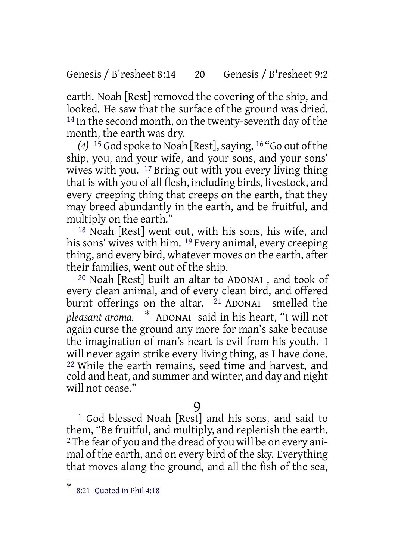Genesis / B'resheet 8:14 20 Genesis / B'resheet 9:2

earth. Noah [Rest] removed the covering of the ship, and looked. He saw that the surface of the ground was dried. <sup>14</sup> In the second month, on the twenty-seventh day of the month, the earth was dry.

*(4)* 15 God spoke to Noah [Rest],saying, 16 "Go out of the ship, you, and your wife, and your sons, and your sons' wives with you. 17 Bring out with you every living thing that is with you of all flesh, including birds, livestock, and every creeping thing that creeps on the earth, that they may breed abundantly in the earth, and be fruitful, and multiply on the earth."

18 Noah [Rest] went out, with his sons, his wife, and his sons' wives with him. 19 Every animal, every creeping thing, and every bird, whatever moves on the earth, after their families, went out of the ship.

20 Noah [Rest] built an altar to ADONAI , and took of every clean animal, and of every clean bird, and offered burnt offerings on the altar. <sup>21</sup> ADONAI smelled the *pleasant aroma.* \* ADONAI said in his heart, "I will not again curse the ground any more for man's sake because the imagination of man's heart is evil from his youth. I will never again strike every living thing, as I have done. 22 While the earth remains, seed time and harvest, and cold and heat, and summer and winter, and day and night will not cease."

# 9

1 God blessed Noah [Rest] and his sons, and said to them, "Be fruitful, and multiply, and replenish the earth. 2The fear of you and the dread of you will be on every animal of the earth, and on every bird of the sky. Everything that moves along the ground, and all the fish of the sea,

<sup>\*</sup> 8:21 Quoted in Phil 4:18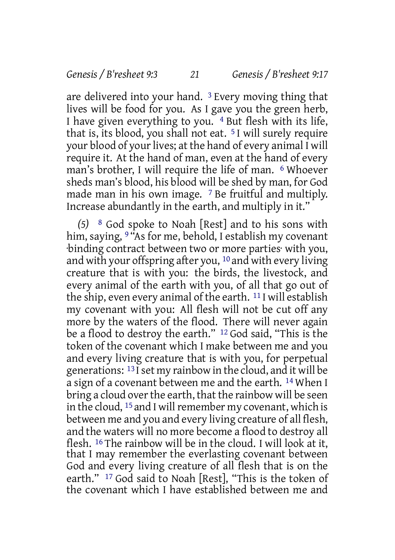are delivered into your hand. 3 Every moving thing that lives will be food for you. As I gave you the green herb, I have given everything to you. 4 But flesh with its life, that is, its blood, you shall not eat. 5 I will surely require your blood of your lives; at the hand of every animal I will require it. At the hand of man, even at the hand of every man's brother, I will require the life of man. 6 Whoever sheds man's blood, his blood will be shed by man, for God made man in his own image. 7 Be fruitful and multiply. Increase abundantly in the earth, and multiply in it."

*(5)* 8 God spoke to Noah [Rest] and to his sons with him, saying, <sup>9 "</sup>As for me, behold, I establish my covenant ·binding contract between two or more parties· with you, and with your offspring after you,  $10$  and with every living creature that is with you: the birds, the livestock, and every animal of the earth with you, of all that go out of the ship, even every animal of the earth. 11 I will establish my covenant with you: All flesh will not be cut off any more by the waters of the flood. There will never again be a flood to destroy the earth." 12 God said, "This is the token of the covenant which I make between me and you and every living creature that is with you, for perpetual generations: 13 Iset my rainbow in the cloud, and it will be a sign of a covenant between me and the earth. 14 When I bring a cloud overthe earth, that the rainbow will be seen in the cloud,  $^{15}$  and I will remember my covenant, which is between me and you and every living creature of all flesh, and the waters will no more become a flood to destroy all flesh. 16 The rainbow will be in the cloud. I will look at it, that I may remember the everlasting covenant between God and every living creature of all flesh that is on the earth." 17 God said to Noah [Rest], "This is the token of the covenant which I have established between me and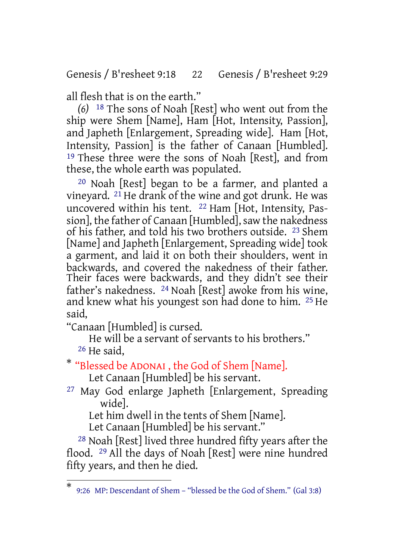Genesis / B'resheet 9:18 22 Genesis / B'resheet 9:29

all flesh that is on the earth."

*(6)* 18 The sons of Noah [Rest] who went out from the ship were Shem [Name], Ham [Hot, Intensity, Passion], and Japheth [Enlargement, Spreading wide]. Ham [Hot, Intensity, Passion] is the father of Canaan [Humbled]. 19 These three were the sons of Noah [Rest], and from these, the whole earth was populated.

20 Noah [Rest] began to be a farmer, and planted a vineyard. 21 He drank of the wine and got drunk. He was uncovered within his tent. 22 Ham [Hot, Intensity, Passion], the father of Canaan [Humbled], saw the nakedness of his father, and told his two brothers outside. 23 Shem [Name] and Japheth [Enlargement, Spreading wide] took a garment, and laid it on both their shoulders, went in backwards, and covered the nakedness of their father. Their faces were backwards, and they didn't see their father's nakedness. 24 Noah [Rest] awoke from his wine, and knew what his youngest son had done to him. 25 He said,

"Canaan [Humbled] is cursed.

He will be a servant of servants to his brothers." 26 He said,

\* "Blessed be ADONAI , the God of Shem [Name].

Let Canaan [Humbled] be his servant.

27 May God enlarge Japheth [Enlargement, Spreading wide].

Let him dwell in the tents of Shem [Name].

Let Canaan [Humbled] be his servant."

28 Noah [Rest] lived three hundred fifty years after the flood. 29 All the days of Noah [Rest] were nine hundred fifty years, and then he died.

<sup>\*</sup> 9:26 MP: Descendant of Shem – "blessed be the God of Shem." (Gal 3:8)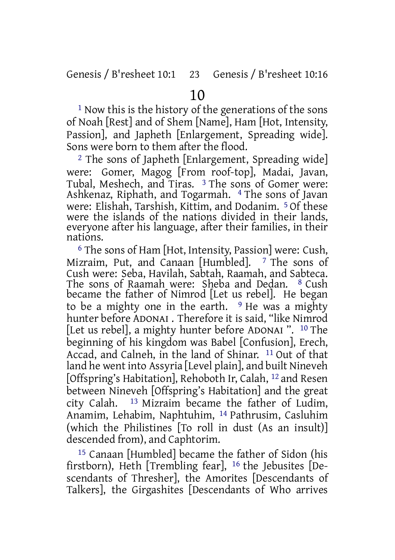1 Now this is the history of the generations of the sons of Noah [Rest] and of Shem [Name], Ham [Hot, Intensity, Passion], and Japheth [Enlargement, Spreading wide]. Sons were born to them after the flood.

<sup>2</sup> The sons of Japheth [Enlargement, Spreading wide] were: Gomer, Magog [From roof-top], Madai, Javan, Tubal, Meshech, and Tiras. 3 The sons of Gomer were: Ashkenaz, Riphath, and Togarmah. 4 The sons of Javan were: Elishah, Tarshish, Kittim, and Dodanim. 5 Of these were the islands of the nations divided in their lands, everyone after his language, after their families, in their nations.

6 The sons of Ham [Hot, Intensity, Passion] were: Cush, Mizraim, Put, and Canaan [Humbled]. <sup>7</sup> The sons of Cush were: Seba, Havilah, Sabtah, Raamah, and Sabteca. The sons of Raamah were: Sheba and Dedan. <sup>8</sup> Cush became the father of Nimrod [Let us rebel]. He began to be a mighty one in the earth.  $9$  He was a mighty hunter before ADONAI . Therefore it is said, "like Nimrod [Let us rebel], a mighty hunter before ADONAI ". 10 The beginning of his kingdom was Babel [Confusion], Erech, Accad, and Calneh, in the land of Shinar. 11 Out of that land he went into Assyria [Level plain], and built Nineveh [Offspring's Habitation], Rehoboth Ir, Calah, 12 and Resen between Nineveh [Offspring's Habitation] and the great city Calah. 13 Mizraim became the father of Ludim, Anamim, Lehabim, Naphtuhim, 14 Pathrusim, Casluhim (which the Philistines [To roll in dust (As an insult)] descended from), and Caphtorim.

15 Canaan [Humbled] became the father of Sidon (his firstborn), Heth [Trembling fear], 16 the Jebusites [Descendants of Thresher], the Amorites [Descendants of Talkers], the Girgashites [Descendants of Who arrives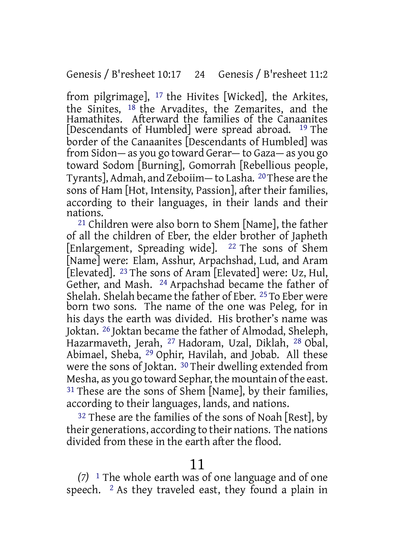from pilgrimage], 17 the Hivites [Wicked], the Arkites, the Sinites,  $18$  the Arvadites, the Zemarites, and the Hamathites. Afterward the families of the Canaanites [Descendants of Humbled] were spread abroad. 19 The border of the Canaanites [Descendants of Humbled] was from Sidon— as you go toward Gerar— to Gaza— as you go toward Sodom [Burning], Gomorrah [Rebellious people, Tyrants], Admah, and Zeboiim— to Lasha. 20These are the sons of Ham [Hot, Intensity, Passion], after their families, according to their languages, in their lands and their nations.

21 Children were also born to Shem [Name], the father of all the children of Eber, the elder brother of Japheth [Enlargement, Spreading wide]. <sup>22</sup> The sons of Shem [Name] were: Elam, Asshur, Arpachshad, Lud, and Aram [Elevated]. 23 The sons of Aram [Elevated] were: Uz, Hul, Gether, and Mash. 24 Arpachshad became the father of Shelah. Shelah became the father of Eber. 25 To Eber were born two sons. The name of the one was Peleg, for in his days the earth was divided. His brother's name was Joktan. 26 Joktan became the father of Almodad, Sheleph, Hazarmaveth, Jerah, 27 Hadoram, Uzal, Diklah, 28 Obal, Abimael, Sheba, 29 Ophir, Havilah, and Jobab. All these were the sons of Joktan. 30 Their dwelling extended from Mesha, as you go toward Sephar, the mountain of the east. <sup>31</sup> These are the sons of Shem [Name], by their families, according to their languages, lands, and nations.

<sup>32</sup> These are the families of the sons of Noah [Rest], by their generations, according to their nations. The nations divided from these in the earth after the flood.

### 11

*(7)* 1 The whole earth was of one language and of one speech.  $\frac{2}{3}$  As they traveled east, they found a plain in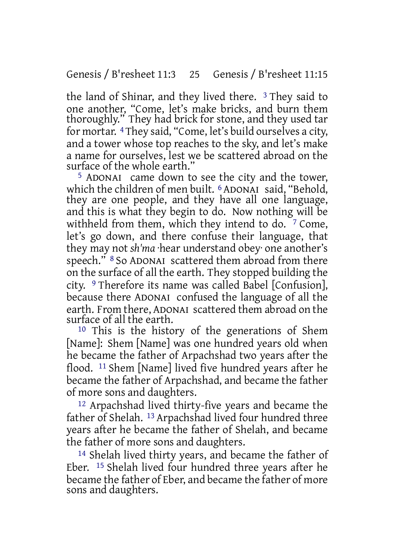the land of Shinar, and they lived there. 3 They said to one another, "Come, let's make bricks, and burn them thoroughly." They had brick for stone, and they used tar for mortar. 4 They said, "Come, let's build ourselves a city, and a tower whose top reaches to the sky, and let's make a name for ourselves, lest we be scattered abroad on the surface of the whole earth. $\overline{a}$ 

5 ADONAI came down to see the city and the tower, which the children of men built. <sup>6</sup> ADONAI said, "Behold, they are one people, and they have all one language, and this is what they begin to do. Now nothing will be withheld from them, which they intend to do. <sup>7</sup> Come, let's go down, and there confuse their language, that they may not *sh'ma* ·hear understand obey· one another's speech." <sup>8</sup> So ADONAI scattered them abroad from there on the surface of all the earth. They stopped building the city. 9 Therefore its name was called Babel [Confusion], because there ADONAI confused the language of all the earth. From there, ADONAI scattered them abroad on the surface of all the earth.

10 This is the history of the generations of Shem [Name]: Shem [Name] was one hundred years old when he became the father of Arpachshad two years after the flood. 11 Shem [Name] lived five hundred years after he became the father of Arpachshad, and became the father of more sons and daughters.

12 Arpachshad lived thirty-five years and became the father of Shelah. 13 Arpachshad lived four hundred three years after he became the father of Shelah, and became the father of more sons and daughters.

14 Shelah lived thirty years, and became the father of Eber. 15 Shelah lived four hundred three years after he became the father of Eber, and became the father of more sons and daughters.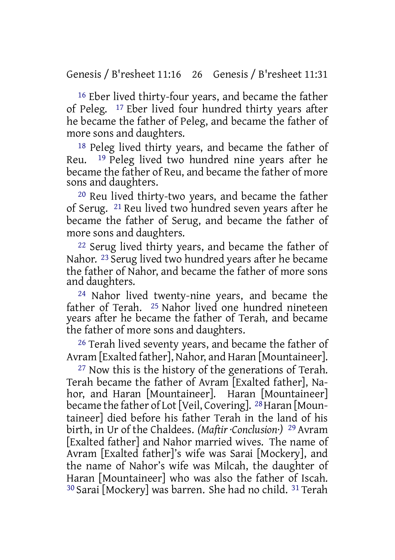16 Eber lived thirty-four years, and became the father of Peleg. 17 Eber lived four hundred thirty years after he became the father of Peleg, and became the father of more sons and daughters.

18 Peleg lived thirty years, and became the father of Reu. 19 Peleg lived two hundred nine years after he became the father of Reu, and became the father of more sons and daughters.

20 Reu lived thirty-two years, and became the father of Serug. 21 Reu lived two hundred seven years after he became the father of Serug, and became the father of more sons and daughters.

22 Serug lived thirty years, and became the father of Nahor. 23 Serug lived two hundred years after he became the father of Nahor, and became the father of more sons and daughters.

24 Nahor lived twenty-nine years, and became the father of Terah. 25 Nahor lived one hundred nineteen years after he became the father of Terah, and became the father of more sons and daughters.

26 Terah lived seventy years, and became the father of Avram [Exalted father], Nahor, and Haran [Mountaineer].

27 Now this is the history of the generations of Terah. Terah became the father of Avram [Exalted father], Nahor, and Haran [Mountaineer]. Haran [Mountaineer] became the father of Lot [Veil, Covering]. 28 Haran [Mountaineer] died before his father Terah in the land of his birth, in Ur of the Chaldees. *(Maftir ·Conclusion·)* 29 Avram [Exalted father] and Nahor married wives. The name of Avram [Exalted father]'s wife was Sarai [Mockery], and the name of Nahor's wife was Milcah, the daughter of Haran [Mountaineer] who was also the father of Iscah. 30 Sarai [Mockery] was barren. She had no child. 31 Terah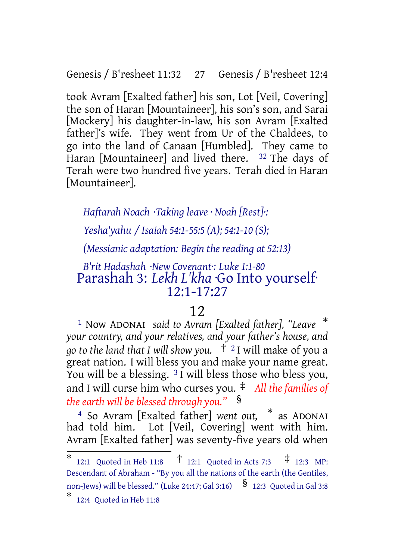Genesis / B'resheet 11:32 27 Genesis / B'resheet 12:4

took Avram [Exalted father] his son, Lot [Veil, Covering] the son of Haran [Mountaineer], his son's son, and Sarai [Mockery] his daughter-in-law, his son Avram [Exalted father]'s wife. They went from Ur of the Chaldees, to go into the land of Canaan [Humbled]. They came to Haran [Mountaineer] and lived there. <sup>32</sup> The days of Terah were two hundred five years. Terah died in Haran [Mountaineer].

*Haftarah Noach ·Taking leave · Noah [Rest]·:*

*Yesha'yahu / Isaiah 54:1-55:5 (A); 54:1-10 (S);*

*(Messianic adaptation: Begin the reading at 52:13)*

## *B'rit Hadashah ·New Covenant·: Luke 1:1-80* Parashah 3: *Lekh L'kha* ·Go Into yourself· 12:1-17:27

## 12

<sup>1</sup> Now ADONAI *said to Avram [Exalted father], "Leave* \* *your country, and your relatives, and your father's house, and go to the land that I will show you.* † <sup>2</sup> I will make of you a great nation. I will bless you and make your name great. You will be a blessing. <sup>3</sup> I will bless those who bless you, and I will curse him who curses you. ‡ *All the families of the earth will be blessed through you."* §

<sup>4</sup> So Avram [Exalted father] *went out,* \* as ADONAI had told him. Lot [Veil, Covering] went with him. Avram [Exalted father] was seventy-five years old when

<sup>\*</sup> 12:1 Quoted in Heb 11:8 † 12:1 Quoted in Acts 7:3 ‡ 12:3 MP: Descendant of Abraham - "By you all the nations of the earth (the Gentiles, non-Jews) will be blessed." (Luke 24:47; Gal 3:16)  $\frac{\$}$  12:3 Quoted in Gal 3:8

<sup>\*</sup> 12:4 Quoted in Heb 11:8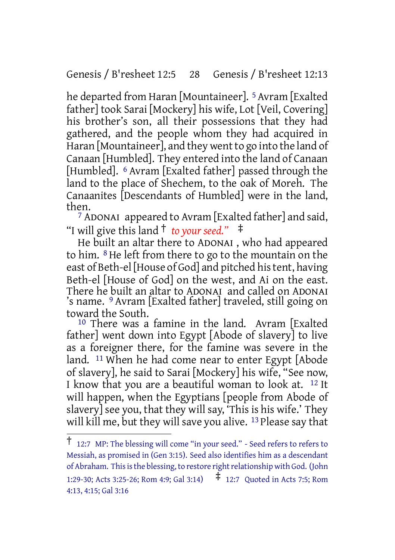Genesis / B'resheet 12:5 28 Genesis / B'resheet 12:13

he departed from Haran [Mountaineer]. 5 Avram [Exalted father] took Sarai [Mockery] his wife, Lot [Veil, Covering] his brother's son, all their possessions that they had gathered, and the people whom they had acquired in Haran [Mountaineer], and they went to go into the land of Canaan [Humbled]. They entered into the land of Canaan [Humbled]. <sup>6</sup> Avram [Exalted father] passed through the land to the place of Shechem, to the oak of Moreh. The Canaanites [Descendants of Humbled] were in the land, then.

7 ADONAI appeared to Avram [Exalted father] and said, "I will give this land † *to your seed."* ‡

He built an altar there to ADONAI , who had appeared to him. 8 He left from there to go to the mountain on the east of Beth-el [House of God] and pitched his tent, having Beth-el [House of God] on the west, and Ai on the east. There he built an altar to ADONAI and called on ADONAI 's name. <sup>9</sup> Avram [Exalted father] traveled, still going on toward the South.

10 There was a famine in the land. Avram [Exalted father] went down into Egypt [Abode of slavery] to live as a foreigner there, for the famine was severe in the land. 11 When he had come near to enter Egypt [Abode of slavery], he said to Sarai [Mockery] his wife, "See now, I know that you are a beautiful woman to look at. 12 It will happen, when the Egyptians [people from Abode of slavery] see you, that they will say, 'This is his wife.' They will kill me, but they will save you alive. <sup>13</sup> Please say that

<sup>†</sup> 12:7 MP: The blessing will come "in your seed." - Seed refers to refers to Messiah, as promised in (Gen 3:15). Seed also identifies him as a descendant of Abraham. This is the blessing, to restore right relationship with God. (John 1:29-30; Acts 3:25-26; Rom 4:9; Gal 3:14)  $\uparrow$  12:7 Quoted in Acts 7:5; Rom 4:13, 4:15; Gal 3:16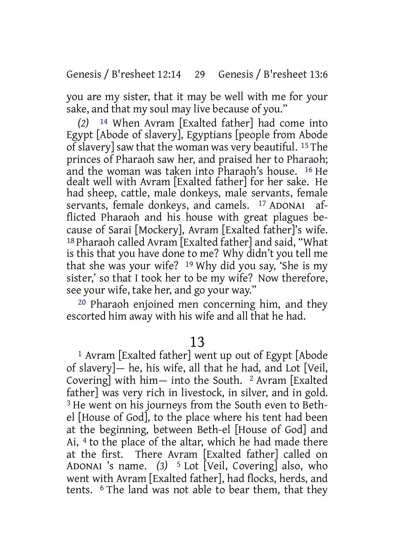you are my sister, that it may be well with me for your sake, and that my soul may live because of you."

*(2)* 14 When Avram [Exalted father] had come into Egypt [Abode of slavery], Egyptians [people from Abode of slavery] saw that the woman was very beautiful. 15 The princes of Pharaoh saw her, and praised her to Pharaoh; and the woman was taken into Pharaoh's house. 16 He dealt well with Avram [Exalted father] for her sake. He had sheep, cattle, male donkeys, male servants, female servants, female donkeys, and camels. <sup>17</sup> ADONAI afflicted Pharaoh and his house with great plagues because of Sarai [Mockery], Avram [Exalted father]'s wife. 18 Pharaoh called Avram [Exalted father] and said, "What is this that you have done to me? Why didn't you tell me that she was your wife? 19 Why did you say, 'She is my sister,' so that I took her to be my wife? Now therefore, see your wife, take her, and go your way."

20 Pharaoh enjoined men concerning him, and they escorted him away with his wife and all that he had.

# 13

1 Avram [Exalted father] went up out of Egypt [Abode of slavery]— he, his wife, all that he had, and Lot [Veil, Covering] with him— into the South.  $2$  Avram [Exalted] father] was very rich in livestock, in silver, and in gold. <sup>3</sup> He went on his journeys from the South even to Bethel [House of God], to the place where his tent had been at the beginning, between Beth-el [House of God] and Ai, 4 to the place of the altar, which he had made there at the first. There Avram [Exalted father] called on ADONAI 's name. *(3)* 5 Lot [Veil, Covering] also, who went with Avram [Exalted father], had flocks, herds, and tents. 6 The land was not able to bear them, that they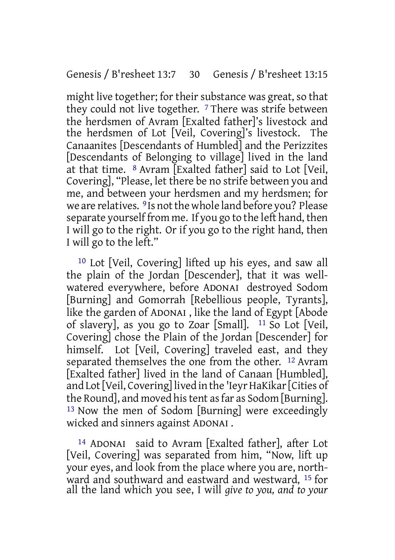might live together; for their substance was great, so that they could not live together. 7 There was strife between the herdsmen of Avram [Exalted father]'s livestock and the herdsmen of Lot [Veil, Covering]'s livestock. The Canaanites [Descendants of Humbled] and the Perizzites [Descendants of Belonging to village] lived in the land at that time. 8 Avram [Exalted father] said to Lot [Veil, Covering], "Please, let there be no strife between you and me, and between your herdsmen and my herdsmen; for we are relatives. <sup>9</sup> Is not the whole land before you? Please separate yourself from me. If you go to the left hand, then I will go to the right. Or if you go to the right hand, then I will go to the left."

10 Lot [Veil, Covering] lifted up his eyes, and saw all the plain of the Jordan [Descender], that it was wellwatered everywhere, before ADONAI destroyed Sodom [Burning] and Gomorrah [Rebellious people, Tyrants], like the garden of ADONAI , like the land of Egypt [Abode of slavery], as you go to Zoar [Small]. 11 So Lot [Veil, Covering] chose the Plain of the Jordan [Descender] for himself. Lot [Veil, Covering] traveled east, and they separated themselves the one from the other. 12 Avram [Exalted father] lived in the land of Canaan [Humbled], and Lot [Veil, Covering] lived in the 'Ieyr HaKikar [Cities of the Round], and moved his tent as far as Sodom [Burning]. 13 Now the men of Sodom [Burning] were exceedingly wicked and sinners against ADONAI .

14 ADONAI said to Avram [Exalted father], after Lot [Veil, Covering] was separated from him, "Now, lift up your eyes, and look from the place where you are, northward and southward and eastward and westward, 15 for all the land which you see, I will *give to you, and to your*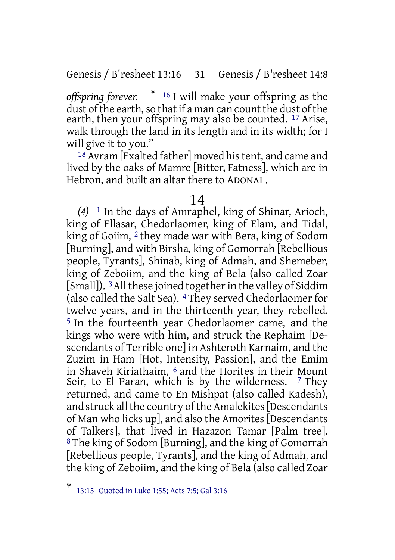Genesis / B'resheet 13:16 31 Genesis / B'resheet 14:8

*offspring forever.* \* <sup>16</sup> I will make your offspring as the dust of the earth, so that if a man can count the dust of the earth, then your offspring may also be counted. <sup>17</sup> Arise, walk through the land in its length and in its width; for I will give it to you."

18 Avram [Exalted father] moved his tent, and came and lived by the oaks of Mamre [Bitter, Fatness], which are in Hebron, and built an altar there to ADONAI .

### 14

*(4)* 1 In the days of Amraphel, king of Shinar, Arioch, king of Ellasar, Chedorlaomer, king of Elam, and Tidal, king of Goiim, 2 they made war with Bera, king of Sodom [Burning], and with Birsha, king of Gomorrah [Rebellious people, Tyrants], Shinab, king of Admah, and Shemeber, king of Zeboiim, and the king of Bela (also called Zoar [Small]). <sup>3</sup> All these joined together in the valley of Siddim (also called the Salt Sea). 4 They served Chedorlaomer for twelve years, and in the thirteenth year, they rebelled. 5 In the fourteenth year Chedorlaomer came, and the kings who were with him, and struck the Rephaim [Descendants of Terrible one] in Ashteroth Karnaim, and the Zuzim in Ham [Hot, Intensity, Passion], and the Emim in Shaveh Kiriathaim, <sup>6</sup> and the Horites in their Mount Seir, to El Paran, which is by the wilderness.  $7$  They returned, and came to En Mishpat (also called Kadesh), and struck all the country of the Amalekites Descendants of Man who licks up], and also the Amorites[Descendants of Talkers], that lived in Hazazon Tamar [Palm tree]. 8 The king of Sodom [Burning], and the king of Gomorrah [Rebellious people, Tyrants], and the king of Admah, and the king of Zeboiim, and the king of Bela (also called Zoar

<sup>\*</sup> 13:15 Quoted in Luke 1:55; Acts 7:5; Gal 3:16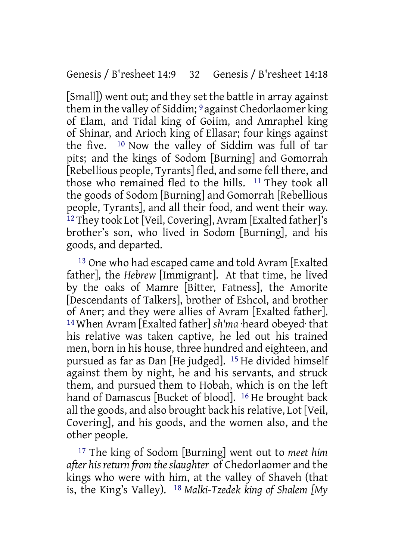[Small]) went out; and they set the battle in array against them in the valley of Siddim; 9 against Chedorlaomer king of Elam, and Tidal king of Goiim, and Amraphel king of Shinar, and Arioch king of Ellasar; four kings against the five. 10 Now the valley of Siddim was full of tar pits; and the kings of Sodom [Burning] and Gomorrah [Rebellious people, Tyrants] fled, and some fell there, and those who remained fled to the hills. 11 They took all the goods of Sodom [Burning] and Gomorrah [Rebellious people, Tyrants], and all their food, and went their way. 12 They took Lot [Veil, Covering], Avram [Exalted father]'s brother's son, who lived in Sodom [Burning], and his goods, and departed.

13 One who had escaped came and told Avram [Exalted father], the *Hebrew* [Immigrant]. At that time, he lived by the oaks of Mamre [Bitter, Fatness], the Amorite [Descendants of Talkers], brother of Eshcol, and brother of Aner; and they were allies of Avram [Exalted father]. 14 When Avram [Exalted father] *sh'ma* ·heard obeyed· that his relative was taken captive, he led out his trained men, born in his house, three hundred and eighteen, and pursued as far as Dan [He judged]. 15 He divided himself against them by night, he and his servants, and struck them, and pursued them to Hobah, which is on the left hand of Damascus [Bucket of blood]. <sup>16</sup> He brought back all the goods, and also brought back hisrelative, Lot [Veil, Covering], and his goods, and the women also, and the other people.

17 The king of Sodom [Burning] went out to *meet him after his return from theslaughter* of Chedorlaomer and the kings who were with him, at the valley of Shaveh (that is, the King's Valley). 18 *Malki-Tzedek king of Shalem [My*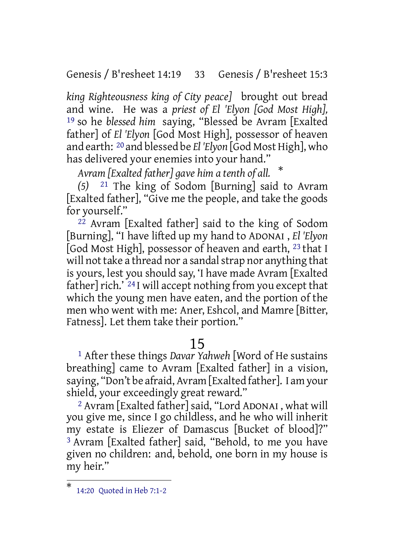Genesis / B'resheet 14:19 33 Genesis / B'resheet 15:3

*king Righteousness king of City peace]* brought out bread and wine. He was a *priest of El 'Elyon [God Most High],* 19 so he *blessed him* saying, "Blessed be Avram [Exalted father] of *El 'Elyon* [God Most High], possessor of heaven and earth: 20 and blessed be *El 'Elyon* [God Most High], who has delivered your enemies into your hand."

*Avram [Exalted father] gave him a tenth of all.* \*

*(5)* 21 The king of Sodom [Burning] said to Avram [Exalted father], "Give me the people, and take the goods for yourself."

22 Avram [Exalted father] said to the king of Sodom [Burning], "I have lifted up my hand to ADONAI , *El 'Elyon* [God Most High], possessor of heaven and earth, 23 that I will not take a thread nor a sandal strap nor anything that is yours, lest you should say, 'I have made Avram [Exalted father] rich.'  $^{24}$  I will accept nothing from you except that which the young men have eaten, and the portion of the men who went with me: Aner, Eshcol, and Mamre [Bitter, Fatness]. Let them take their portion."

# 15

1 After these things *Davar Yahweh* [Word of He sustains breathing] came to Avram [Exalted father] in a vision, saying, "Don't be afraid, Avram [Exalted father]. I am your shield, your exceedingly great reward."

2 Avram [Exalted father] said, "Lord ADONAI , what will you give me, since I go childless, and he who will inherit my estate is Eliezer of Damascus [Bucket of blood]?" 3 Avram [Exalted father] said, "Behold, to me you have given no children: and, behold, one born in my house is my heir."

<sup>\*</sup> 14:20 Quoted in Heb 7:1-2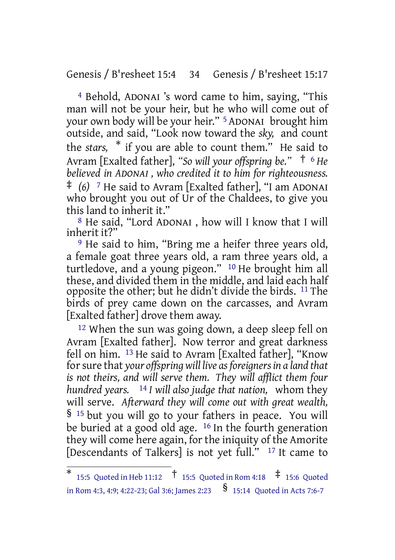Genesis / B'resheet 15:4 34 Genesis / B'resheet 15:17

4 Behold, ADONAI 's word came to him, saying, "This man will not be your heir, but he who will come out of your own body will be your heir." 5 ADONAI brought him outside, and said, "Look now toward the *sky,* and count the *stars,* \* if you are able to count them." He said to Avram [Exalted father], *"So will your offspring be."* † <sup>6</sup> *He believed in ADONAI , who credited it to him for righteousness.* ‡ *(6)* <sup>7</sup> He said to Avram [Exalted father], "I am ADONAI who brought you out of Ur of the Chaldees, to give you this land to inherit it."

8 He said, "Lord ADONAI , how will I know that I will inherit it?"

9 He said to him, "Bring me a heifer three years old, a female goat three years old, a ram three years old, a turtledove, and a young pigeon." 10 He brought him all these, and divided them in the middle, and laid each half opposite the other; but he didn't divide the birds. 11 The birds of prey came down on the carcasses, and Avram [Exalted father] drove them away.

<sup>12</sup> When the sun was going down, a deep sleep fell on Avram [Exalted father]. Now terror and great darkness fell on him. 13 He said to Avram [Exalted father], "Know forsure that *your offspring will live asforeignersin a land that is not theirs, and will serve them. They will afflict them four hundred years.* 14 *I will also judge that nation,* whom they will serve. *Afterward they will come out with great wealth,* § <sup>15</sup> but you will go to your fathers in peace. You will be buried at a good old age. 16 In the fourth generation they will come here again, for the iniquity of the Amorite [Descendants of Talkers] is not yet full." 17 It came to

<sup>\*</sup> 15:5 Quoted in Heb 11:12 † 15:5 Quoted in Rom 4:18 ‡ 15:6 Quoted in Rom 4:3, 4:9; 4:22-23; Gal 3:6; James 2:23  $\frac{\$}{\$}$  15:14 Quoted in Acts 7:6-7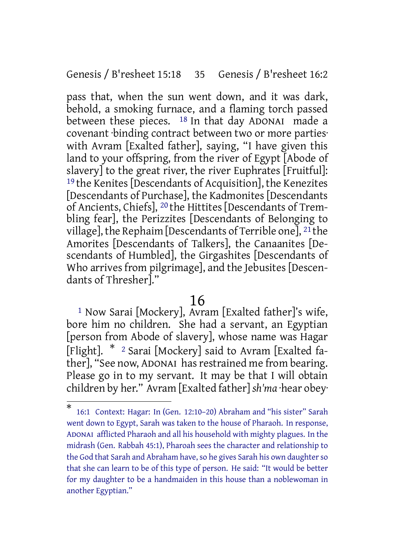Genesis / B'resheet 15:18 35 Genesis / B'resheet 16:2

pass that, when the sun went down, and it was dark, behold, a smoking furnace, and a flaming torch passed between these pieces. <sup>18</sup> In that day ADONAI made a covenant ·binding contract between two or more parties· with Avram [Exalted father], saying, "I have given this land to your offspring, from the river of Egypt [Abode of slavery] to the great river, the river Euphrates [Fruitful]: 19 the Kenites [Descendants of Acquisition], the Kenezites [Descendants of Purchase], the Kadmonites [Descendants of Ancients, Chiefs], 20 the Hittites [Descendants of Trembling fear], the Perizzites [Descendants of Belonging to village], the Rephaim [Descendants of Terrible one], 21 the Amorites [Descendants of Talkers], the Canaanites [Descendants of Humbled], the Girgashites [Descendants of Who arrives from pilgrimage], and the Jebusites [Descendants of Thresher]."

# 16

1 Now Sarai [Mockery], Avram [Exalted father]'s wife, bore him no children. She had a servant, an Egyptian [person from Abode of slavery], whose name was Hagar [Flight]. \* <sup>2</sup> Sarai [Mockery] said to Avram [Exalted father], "See now, ADONAI has restrained me from bearing. Please go in to my servant. It may be that I will obtain children by her." Avram [Exalted father] *sh'ma* ·hear obey·

<sup>\*</sup> 16:1 Context: Hagar: In (Gen. 12:10–20) Abraham and "his sister" Sarah went down to Egypt, Sarah was taken to the house of Pharaoh. In response, ADONAI afflicted Pharaoh and all his household with mighty plagues. In the midrash (Gen. Rabbah 45:1), Pharoah sees the character and relationship to the God that Sarah and Abraham have, so he gives Sarah his own daughter so that she can learn to be of this type of person. He said: "It would be better for my daughter to be a handmaiden in this house than a noblewoman in another Egyptian."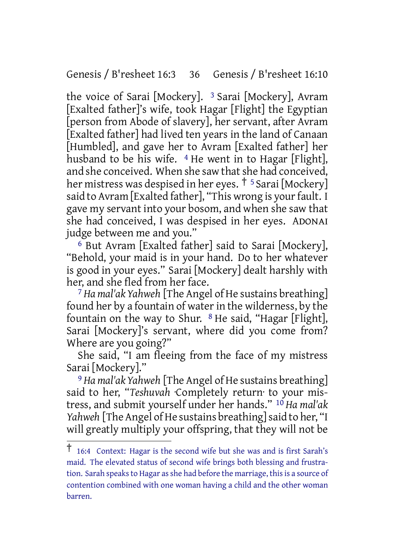Genesis / B'resheet 16:3 36 Genesis / B'resheet 16:10

the voice of Sarai [Mockery]. <sup>3</sup> Sarai [Mockery], Avram [Exalted father]'s wife, took Hagar [Flight] the Egyptian [person from Abode of slavery], her servant, after Avram [Exalted father] had lived ten years in the land of Canaan [Humbled], and gave her to Avram [Exalted father] her husband to be his wife.  $4$  He went in to Hagar [Flight], and she conceived. When she saw that she had conceived, her mistress was despised in her eyes. <sup>† 5</sup> Sarai [Mockery] said to Avram [Exalted father], "This wrong is your fault. I gave my servant into your bosom, and when she saw that she had conceived, I was despised in her eyes. ADONAI judge between me and you."

6 But Avram [Exalted father] said to Sarai [Mockery], "Behold, your maid is in your hand. Do to her whatever is good in your eyes." Sarai [Mockery] dealt harshly with her, and she fled from her face.

7 *Ha mal'ak Yahweh* [The Angel of He sustains breathing] found her by a fountain of water in the wilderness, by the fountain on the way to Shur.  $8$  He said, "Hagar [Flight], Sarai [Mockery]'s servant, where did you come from? Where are you going?"

She said, "I am fleeing from the face of my mistress Sarai [Mockery]."

9 *Ha mal'ak Yahweh* [The Angel of He sustains breathing] said to her, "*Teshuvah* ·Completely return· to your mistress, and submit yourself under her hands." 10 *Ha mal'ak Yahweh* [The Angel of He sustains breathing] said to her, "I will greatly multiply your offspring, that they will not be

<sup>†</sup> 16:4 Context: Hagar is the second wife but she was and is first Sarah's maid. The elevated status of second wife brings both blessing and frustration. Sarah speaks to Hagar as she had before the marriage, this is a source of contention combined with one woman having a child and the other woman barren.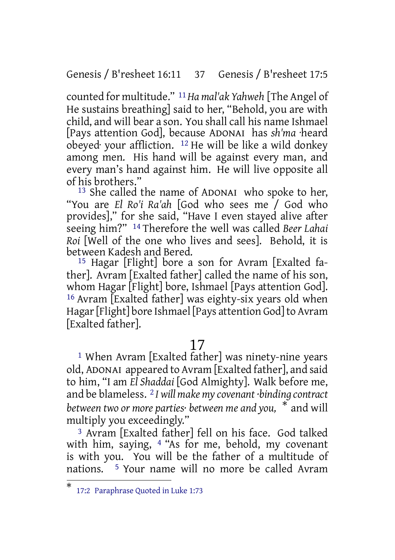Genesis / B'resheet 16:11 37 Genesis / B'resheet 17:5

counted for multitude." 11*Ha mal'ak Yahweh* [The Angel of He sustains breathing] said to her, "Behold, you are with child, and will bear a son. You shall call his name Ishmael [Pays attention God], because ADONAI has *sh'ma* ·heard obeyed· your affliction. 12 He will be like a wild donkey among men. His hand will be against every man, and every man's hand against him. He will live opposite all of his brothers."

13 She called the name of ADONAI who spoke to her, "You are *El Ro'i Ra'ah* [God who sees me / God who provides]," for she said, "Have I even stayed alive after seeing him?" 14 Therefore the well was called *Beer Lahai Roi* [Well of the one who lives and sees]. Behold, it is between Kadesh and Bered.

15 Hagar [Flight] bore a son for Avram [Exalted father]. Avram [Exalted father] called the name of his son, whom Hagar [Flight] bore, Ishmael [Pays attention God]. 16 Avram [Exalted father] was eighty-six years old when Hagar [Flight] bore Ishmael [Pays attention God] to Avram [Exalted father].

## 17

1 When Avram [Exalted father] was ninety-nine years old, ADONAI appeared to Avram [Exalted father], and said to him, "I am *El Shaddai* [God Almighty]. Walk before me, and be blameless. 2 *I will make my covenant ·binding contract between two or more parties· between me and you,* \* and will multiply you exceedingly."

3 Avram [Exalted father] fell on his face. God talked with him, saying, 4 "As for me, behold, my covenant is with you. You will be the father of a multitude of nations. 5 Your name will no more be called Avram

<sup>\*</sup> 17:2 Paraphrase Quoted in Luke 1:73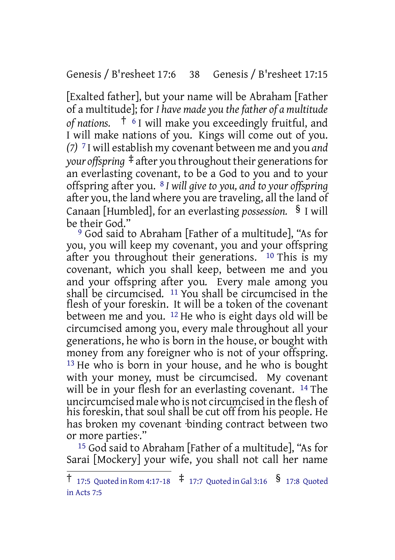Genesis / B'resheet 17:6 38 Genesis / B'resheet 17:15

[Exalted father], but your name will be Abraham [Father of a multitude]; for *I have made you thefather of a multitude of nations.* † <sup>6</sup> I will make you exceedingly fruitful, and I will make nations of you. Kings will come out of you. *(7)* 7 I will establish my covenant between me and you *and your offspring*  $\ddagger$  after you throughout their generations for an everlasting covenant, to be a God to you and to your offspring after you. 8 *I will give to you, and to your offspring* after you, the land where you are traveling, all the land of Canaan [Humbled], for an everlasting *possession.* § I will be their God."

9 God said to Abraham [Father of a multitude], "As for you, you will keep my covenant, you and your offspring after you throughout their generations.  $10$  This is my covenant, which you shall keep, between me and you and your offspring after you. Every male among you shall be circumcised. 11 You shall be circumcised in the flesh of your foreskin. It will be a token of the covenant between me and you. 12 He who is eight days old will be circumcised among you, every male throughout all your generations, he who is born in the house, or bought with money from any foreigner who is not of your offspring. <sup>13</sup> He who is born in your house, and he who is bought with your money, must be circumcised. My covenant will be in your flesh for an everlasting covenant. <sup>14</sup> The uncircumcised male who is not circumcised in the flesh of his foreskin, that soul shall be cut off from his people. He has broken my covenant ·binding contract between two or more parties·."

15 God said to Abraham [Father of a multitude], "As for Sarai [Mockery] your wife, you shall not call her name

<sup>†</sup> 17:5 Quoted in Rom 4:17-18 ‡ 17:7 Quoted in Gal 3:16 § 17:8 Quoted in Acts 7:5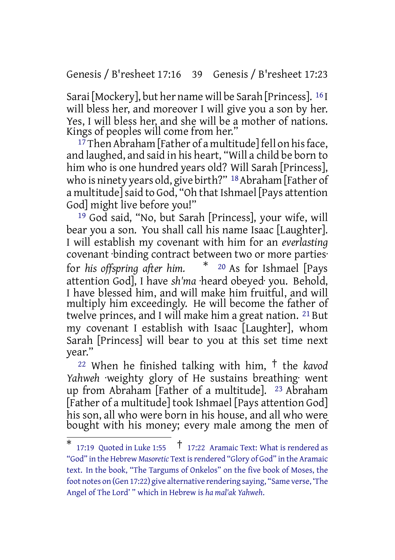Genesis / B'resheet 17:16 39 Genesis / B'resheet 17:23

Sarai [Mockery], but her name will be Sarah [Princess]. 16 I will bless her, and moreover I will give you a son by her. Yes, I will bless her, and she will be a mother of nations. Kings of peoples will come from her."

 $17$  Then Abraham [Father of a multitude] fell on his face, and laughed, and said in his heart, "Will a child be born to him who is one hundred years old? Will Sarah [Princess], who is ninety years old, give birth?" <sup>18</sup> Abraham [Father of a multitude] said to God, "Oh that Ishmael [Pays attention God] might live before you!"

19 God said, "No, but Sarah [Princess], your wife, will bear you a son. You shall call his name Isaac [Laughter]. I will establish my covenant with him for an *everlasting* covenant ·binding contract between two or more parties· for *his offspring after him.* \* <sup>20</sup> As for Ishmael [Pays attention God], I have *sh'ma* ·heard obeyed· you. Behold, I have blessed him, and will make him fruitful, and will multiply him exceedingly. He will become the father of twelve princes, and I will make him a great nation. <sup>21</sup> But my covenant I establish with Isaac [Laughter], whom Sarah [Princess] will bear to you at this set time next year."

<sup>22</sup> When he finished talking with him, † the *kavod Yahweh* ·weighty glory of He sustains breathing· went up from Abraham [Father of a multitude]. 23 Abraham [Father of a multitude] took Ishmael [Pays attention God] his son, all who were born in his house, and all who were bought with his money; every male among the men of

<sup>\*</sup> 17:19 Quoted in Luke 1:55 † 17:22 Aramaic Text: What is rendered as "God" in the Hebrew *Masoretic* Textisrendered "Glory of God" in the Aramaic text. In the book, "The Targums of Onkelos" on the five book of Moses, the foot notes on (Gen 17:22) give alternative rendering saying, "Same verse, 'The Angel of The Lord' " which in Hebrew is *ha mal'ak Yahweh*.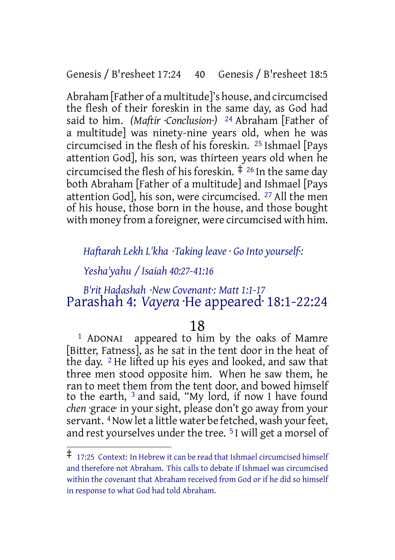Genesis / B'resheet 17:24 40 Genesis / B'resheet 18:5

Abraham [Father of a multitude]'s house, and circumcised the flesh of their foreskin in the same day, as God had said to him. *(Maftir ·Conclusion·)* 24 Abraham [Father of a multitude] was ninety-nine years old, when he was circumcised in the flesh of his foreskin. 25 Ishmael [Pays attention God], his son, was thirteen years old when he circumcised the flesh of his foreskin.  $\frac{4}{5}$  <sup>26</sup> In the same day both Abraham [Father of a multitude] and Ishmael [Pays attention God], his son, were circumcised. 27 All the men of his house, those born in the house, and those bought with money from a foreigner, were circumcised with him.

## *Haftarah Lekh L'kha ·Taking leave · Go Into yourself·:*

## *Yesha'yahu / Isaiah 40:27-41:16*

## *B'rit Hadashah ·New Covenant·: Matt 1:1-17* Parashah 4: *Vayera* ·He appeared· 18:1-22:24

## 18

1 ADONAI appeared to him by the oaks of Mamre [Bitter, Fatness], as he sat in the tent door in the heat of the day. 2 He lifted up his eyes and looked, and saw that three men stood opposite him. When he saw them, he ran to meet them from the tent door, and bowed himself to the earth, 3 and said, "My lord, if now I have found *chen* ·grace· in your sight, please don't go away from your servant. <sup>4</sup> Now let a little water be fetched, wash your feet, and rest yourselves under the tree. 5 I will get a morsel of

<sup>‡</sup> 17:25 Context: In Hebrew it can be read that Ishmael circumcised himself and therefore not Abraham. This calls to debate if Ishmael was circumcised within the covenant that Abraham received from God or if he did so himself in response to what God had told Abraham.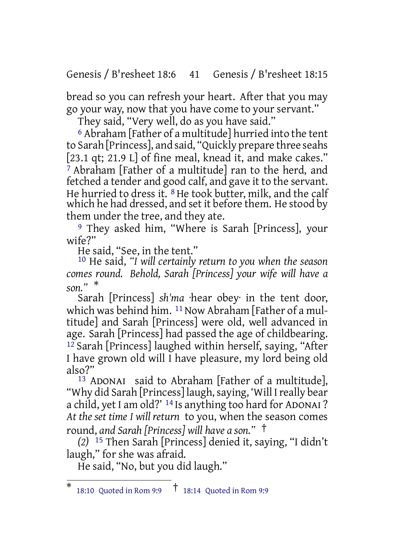Genesis / B'resheet 18:6 41 Genesis / B'resheet 18:15

bread so you can refresh your heart. After that you may go your way, now that you have come to your servant."

They said, "Very well, do as you have said."

6 Abraham [Father of a multitude] hurried into the tent to Sarah [Princess], and said, "Quickly prepare three seahs [23.1 qt; 21.9 L] of fine meal, knead it, and make cakes." 7 Abraham [Father of a multitude] ran to the herd, and fetched a tender and good calf, and gave it to the servant. He hurried to dress it. <sup>8</sup> He took butter, milk, and the calf which he had dressed, and set it before them. He stood by them under the tree, and they ate.

9 They asked him, "Where is Sarah [Princess], your wife?"

He said, "See, in the tent."

10 He said, *"I will certainly return to you when the season comes round. Behold, Sarah [Princess] your wife will have a son."* \*

Sarah [Princess] *sh'ma* ·hear obey· in the tent door, which was behind him.  $11$  Now Abraham [Father of a multitude] and Sarah [Princess] were old, well advanced in age. Sarah [Princess] had passed the age of childbearing. 12 Sarah [Princess] laughed within herself, saying, "After I have grown old will I have pleasure, my lord being old also?"

13 ADONAI said to Abraham [Father of a multitude], "Why did Sarah [Princess] laugh,saying, 'Will Ireally bear a child, yet I am old?' 14 Is anything too hard for ADONAI ? *At the set time I will return* to you, when the season comes round, *and Sarah [Princess] will have a son."* †

*(2)* 15 Then Sarah [Princess] denied it, saying, "I didn't laugh," for she was afraid.

He said, "No, but you did laugh."

<sup>\*</sup> 18:10 Quoted in Rom 9:9 † 18:14 Quoted in Rom 9:9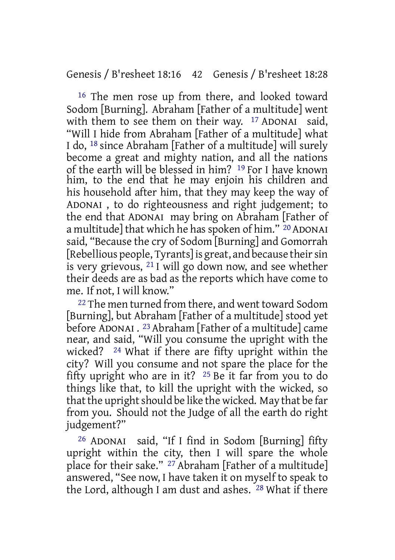16 The men rose up from there, and looked toward Sodom [Burning]. Abraham [Father of a multitude] went with them to see them on their way. <sup>17</sup> ADONAI said, "Will I hide from Abraham [Father of a multitude] what I do, 18 since Abraham [Father of a multitude] will surely become a great and mighty nation, and all the nations of the earth will be blessed in him? 19 For I have known him, to the end that he may enjoin his children and his household after him, that they may keep the way of ADONAI , to do righteousness and right judgement; to the end that ADONAI may bring on Abraham [Father of a multitude] that which he has spoken of him." <sup>20</sup> ADONAI said, "Because the cry of Sodom [Burning] and Gomorrah [Rebellious people, Tyrants] is great, and because their sin is very grievous, 21 I will go down now, and see whether their deeds are as bad as the reports which have come to me. If not, I will know."

<sup>22</sup> The men turned from there, and went toward Sodom [Burning], but Abraham [Father of a multitude] stood yet before ADONAI . 23 Abraham [Father of a multitude] came near, and said, "Will you consume the upright with the wicked? 24 What if there are fifty upright within the city? Will you consume and not spare the place for the fifty upright who are in it? 25 Be it far from you to do things like that, to kill the upright with the wicked, so that the upright should be like the wicked. May that be far from you. Should not the Judge of all the earth do right judgement?"

26 ADONAI said, "If I find in Sodom [Burning] fifty upright within the city, then I will spare the whole place for their sake." 27 Abraham [Father of a multitude] answered, "See now, I have taken it on myself to speak to the Lord, although I am dust and ashes. 28 What if there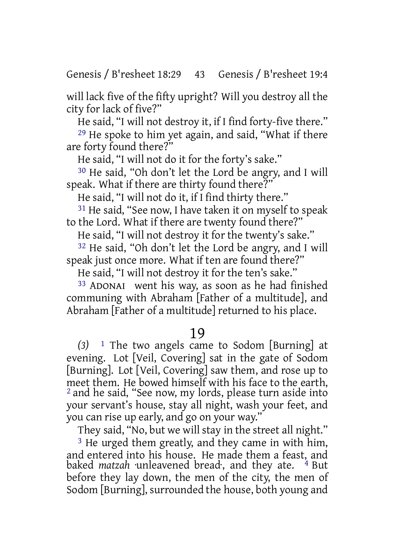will lack five of the fifty upright? Will you destroy all the city for lack of five?"

He said, "I will not destroy it, if I find forty-five there."

29 He spoke to him yet again, and said, "What if there are forty found there?"

He said, "I will not do it for the forty's sake."

30 He said, "Oh don't let the Lord be angry, and I will speak. What if there are thirty found there?"

He said, "I will not do it, if I find thirty there."

31 He said, "See now, I have taken it on myself to speak to the Lord. What if there are twenty found there?"

He said, "I will not destroy it for the twenty's sake."

32 He said, "Oh don't let the Lord be angry, and I will speak just once more. What if ten are found there?"

He said, "I will not destroy it for the ten's sake."

33 ADONAI went his way, as soon as he had finished communing with Abraham [Father of a multitude], and Abraham [Father of a multitude] returned to his place.

## 19

*(3)* 1 The two angels came to Sodom [Burning] at evening. Lot [Veil, Covering] sat in the gate of Sodom [Burning]. Lot [Veil, Covering] saw them, and rose up to meet them. He bowed himself with his face to the earth, 2 and he said, "See now, my lords, please turn aside into your servant's house, stay all night, wash your feet, and you can rise up early, and go on your way."

They said, "No, but we will stay in the street all night."

<sup>3</sup> He urged them greatly, and they came in with him, and entered into his house. He made them a feast, and baked *matzah* unleavened bread, and they ate. <sup>4</sup> But before they lay down, the men of the city, the men of Sodom [Burning], surrounded the house, both young and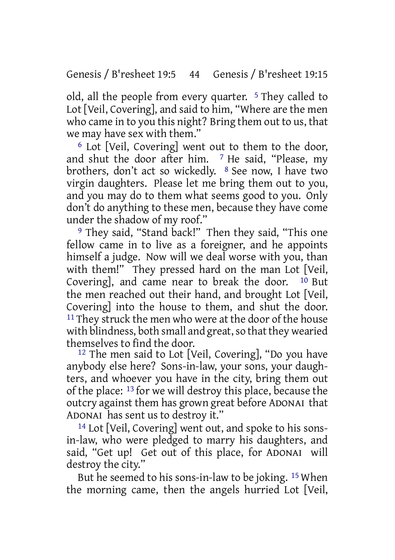old, all the people from every quarter. 5 They called to Lot [Veil, Covering], and said to him, "Where are the men who came in to you this night? Bring them out to us, that we may have sex with them."

6 Lot [Veil, Covering] went out to them to the door, and shut the door after him. 7 He said, "Please, my brothers, don't act so wickedly. 8 See now, I have two virgin daughters. Please let me bring them out to you, and you may do to them what seems good to you. Only don't do anything to these men, because they have come under the shadow of my roof."

9 They said, "Stand back!" Then they said, "This one fellow came in to live as a foreigner, and he appoints himself a judge. Now will we deal worse with you, than with them!" They pressed hard on the man Lot [Veil, Covering], and came near to break the door. 10 But the men reached out their hand, and brought Lot [Veil, Covering] into the house to them, and shut the door. <sup>11</sup> They struck the men who were at the door of the house with blindness, both small and great, so that they wearied themselves to find the door.

12 The men said to Lot [Veil, Covering], "Do you have anybody else here? Sons-in-law, your sons, your daughters, and whoever you have in the city, bring them out of the place: 13 for we will destroy this place, because the outcry against them has grown great before ADONAI that ADONAI has sent us to destroy it."

14 Lot [Veil, Covering] went out, and spoke to his sonsin-law, who were pledged to marry his daughters, and said, "Get up! Get out of this place, for ADONAI will destroy the city."

But he seemed to his sons-in-law to be joking. 15 When the morning came, then the angels hurried Lot [Veil,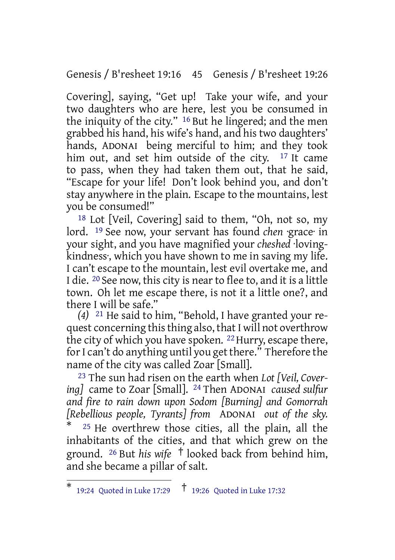Genesis / B'resheet 19:16 45 Genesis / B'resheet 19:26

Covering], saying, "Get up! Take your wife, and your two daughters who are here, lest you be consumed in the iniquity of the city." 16 But he lingered; and the men grabbed his hand, his wife's hand, and his two daughters' hands, ADONAI being merciful to him; and they took him out, and set him outside of the city. <sup>17</sup> It came to pass, when they had taken them out, that he said, "Escape for your life! Don't look behind you, and don't stay anywhere in the plain. Escape to the mountains, lest you be consumed!"

18 Lot [Veil, Covering] said to them, "Oh, not so, my lord. 19 See now, your servant has found *chen* ·grace· in your sight, and you have magnified your *cheshed* ·lovingkindness·, which you have shown to me in saving my life. I can't escape to the mountain, lest evil overtake me, and I die. 20 See now, this city is nearto flee to, and it is a little town. Oh let me escape there, is not it a little one?, and there I will be safe."

*(4)* 21 He said to him, "Behold, I have granted your request concerning this thing also, that I will not overthrow the city of which you have spoken. <sup>22</sup> Hurry, escape there, for I can't do anything until you get there." Therefore the name of the city was called Zoar [Small].

23 The sun had risen on the earth when *Lot [Veil, Covering]* came to Zoar [Small]. 24 Then ADONAI *caused sulfur and fire to rain down upon Sodom [Burning] and Gomorrah [Rebellious people, Tyrants] from* ADONAI *out of the sky.*  $25$  He overthrew those cities, all the plain, all the inhabitants of the cities, and that which grew on the ground. <sup>26</sup> But *his wife* † looked back from behind him, and she became a pillar of salt.

<sup>\*</sup> 19:24 Quoted in Luke 17:29 † 19:26 Quoted in Luke 17:32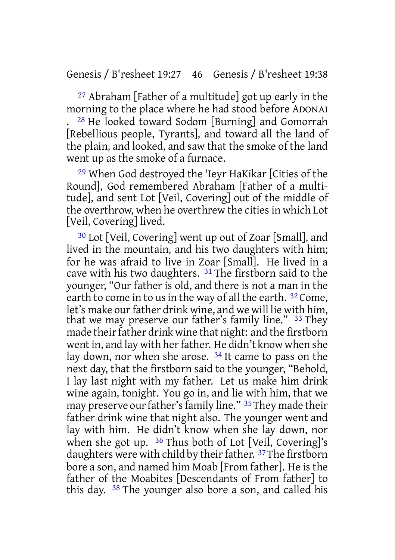27 Abraham [Father of a multitude] got up early in the morning to the place where he had stood before ADONAI . 28 He looked toward Sodom [Burning] and Gomorrah [Rebellious people, Tyrants], and toward all the land of the plain, and looked, and saw that the smoke of the land went up as the smoke of a furnace.

29 When God destroyed the 'Ieyr HaKikar [Cities of the Round], God remembered Abraham [Father of a multitude], and sent Lot [Veil, Covering] out of the middle of the overthrow, when he overthrew the cities in which Lot [Veil, Covering] lived.

30 Lot [Veil, Covering] went up out of Zoar [Small], and lived in the mountain, and his two daughters with him; for he was afraid to live in Zoar [Small]. He lived in a cave with his two daughters. 31 The firstborn said to the younger, "Our father is old, and there is not a man in the earth to come in to us in the way of all the earth. <sup>32</sup> Come, let's make our father drink wine, and we will lie with him, that we may preserve our father's family line." 33 They made their father drink wine that night: and the firstborn went in, and lay with her father. He didn't know when she lay down, nor when she arose. 34 It came to pass on the next day, that the firstborn said to the younger, "Behold, I lay last night with my father. Let us make him drink wine again, tonight. You go in, and lie with him, that we may preserve our father's family line." <sup>35</sup> They made their father drink wine that night also. The younger went and lay with him. He didn't know when she lay down, nor when she got up. 36 Thus both of Lot [Veil, Covering]'s daughters were with child by their father. <sup>37</sup>The firstborn bore a son, and named him Moab [From father]. He is the father of the Moabites [Descendants of From father] to this day. 38 The younger also bore a son, and called his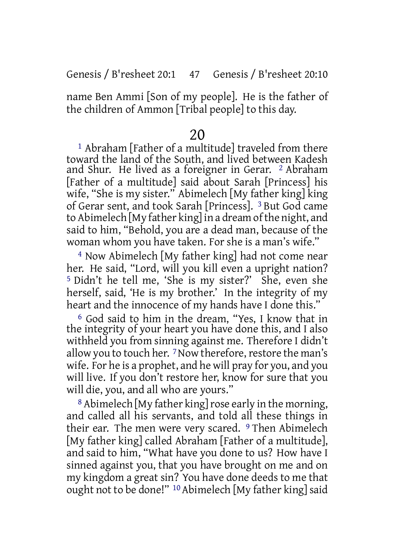Genesis / B'resheet 20:1 47 Genesis / B'resheet 20:10

name Ben Ammi [Son of my people]. He is the father of the children of Ammon [Tribal people] to this day.

## 20

1 Abraham [Father of a multitude] traveled from there toward the land of the South, and lived between Kadesh and Shur. He lived as a foreigner in Gerar. 2 Abraham [Father of a multitude] said about Sarah [Princess] his wife, "She is my sister." Abimelech [My father king] king of Gerar sent, and took Sarah [Princess]. 3 But God came to Abimelech [My father king] in a dream ofthe night, and said to him, "Behold, you are a dead man, because of the woman whom you have taken. For she is a man's wife."

4 Now Abimelech [My father king] had not come near her. He said, "Lord, will you kill even a upright nation? 5 Didn't he tell me, 'She is my sister?' She, even she herself, said, 'He is my brother.' In the integrity of my heart and the innocence of my hands have I done this."

6 God said to him in the dream, "Yes, I know that in the integrity of your heart you have done this, and I also withheld you from sinning against me. Therefore I didn't allow you to touch her.  $7$  Now therefore, restore the man's wife. For he is a prophet, and he will pray for you, and you will live. If you don't restore her, know for sure that you will die, you, and all who are yours."

<sup>8</sup> Abimelech [My father king] rose early in the morning, and called all his servants, and told all these things in their ear. The men were very scared. 9 Then Abimelech [My father king] called Abraham [Father of a multitude], and said to him, "What have you done to us? How have I sinned against you, that you have brought on me and on my kingdom a great sin? You have done deeds to me that ought not to be done!" <sup>10</sup> Abimelech [My father king] said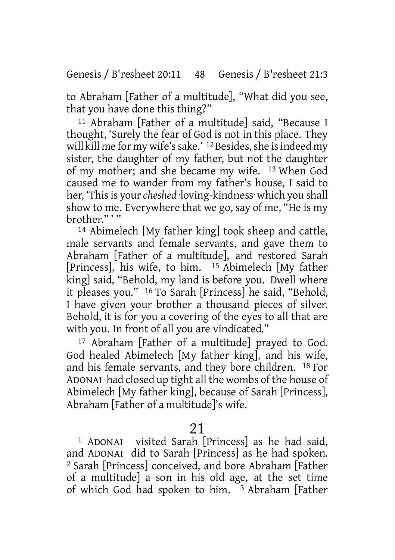Genesis / B'resheet 20:11 48 Genesis / B'resheet 21:3

to Abraham [Father of a multitude], "What did you see, that you have done this thing?"

11 Abraham [Father of a multitude] said, "Because I thought, 'Surely the fear of God is not in this place. They will kill me for my wife's sake.' <sup>12</sup> Besides, she is indeed my sister, the daughter of my father, but not the daughter of my mother; and she became my wife. 13 When God caused me to wander from my father's house, I said to her, 'Thisis your*cheshed* ·loving-kindness· which you shall show to me. Everywhere that we go, say of me, "He is my hrother"'"

14 Abimelech [My father king] took sheep and cattle, male servants and female servants, and gave them to Abraham [Father of a multitude], and restored Sarah [Princess], his wife, to him. 15 Abimelech [My father king] said, "Behold, my land is before you. Dwell where it pleases you." 16 To Sarah [Princess] he said, "Behold, I have given your brother a thousand pieces of silver. Behold, it is for you a covering of the eyes to all that are with you. In front of all you are vindicated."

17 Abraham [Father of a multitude] prayed to God. God healed Abimelech [My father king], and his wife, and his female servants, and they bore children. 18 For ADONAI had closed up tight all the wombs of the house of Abimelech [My father king], because of Sarah [Princess], Abraham [Father of a multitude]'s wife.

## 21

1 ADONAI visited Sarah [Princess] as he had said, and ADONAI did to Sarah [Princess] as he had spoken. 2 Sarah [Princess] conceived, and bore Abraham [Father of a multitude] a son in his old age, at the set time of which God had spoken to him. <sup>3</sup> Abraham [Father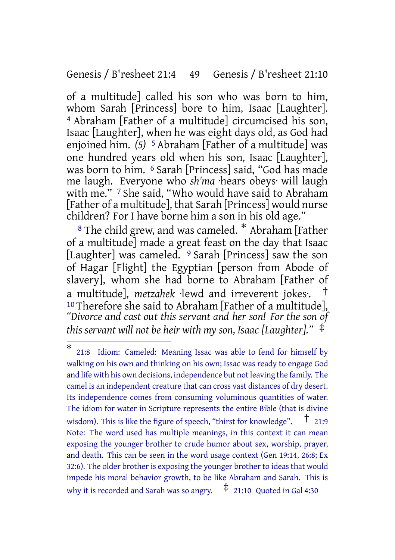## Genesis / B'resheet 21:4 49 Genesis / B'resheet 21:10

of a multitude] called his son who was born to him, whom Sarah [Princess] bore to him, Isaac [Laughter]. 4 Abraham [Father of a multitude] circumcised his son, Isaac [Laughter], when he was eight days old, as God had enjoined him. *(5)* 5 Abraham [Father of a multitude] was one hundred years old when his son, Isaac [Laughter], was born to him. 6 Sarah [Princess] said, "God has made me laugh. Everyone who *sh'ma* ·hears obeys· will laugh with me." 7 She said, "Who would have said to Abraham [Father of a multitude], that Sarah [Princess] would nurse children? For I have borne him a son in his old age."

<sup>8</sup> The child grew, and was cameled. \* Abraham [Father of a multitude] made a great feast on the day that Isaac [Laughter] was cameled. <sup>9</sup> Sarah [Princess] saw the son of Hagar [Flight] the Egyptian [person from Abode of slavery], whom she had borne to Abraham [Father of a multitude], *metzahek* ·lewd and irreverent jokes·. † 10 Therefore she said to Abraham [Father of a multitude], *"Divorce and cast out this servant and her son! For the son of this servant will not be heir with my son, Isaac [Laughter]."* ‡

<sup>\*</sup> 21:8 Idiom: Cameled: Meaning Issac was able to fend for himself by walking on his own and thinking on his own; Issac was ready to engage God and life with his own decisions, independence but not leaving the family. The camel is an independent creature that can cross vast distances of dry desert. Its independence comes from consuming voluminous quantities of water. The idiom for water in Scripture represents the entire Bible (that is divine wisdom). This is like the figure of speech, "thirst for knowledge".  $\uparrow$  21:9 Note: The word used has multiple meanings, in this context it can mean exposing the younger brother to crude humor about sex, worship, prayer, and death. This can be seen in the word usage context (Gen 19:14, 26:8; Ex 32:6). The older brother is exposing the younger brother to ideas that would impede his moral behavior growth, to be like Abraham and Sarah. This is why it is recorded and Sarah was so angry.  $\pm$  21:10 Quoted in Gal 4:30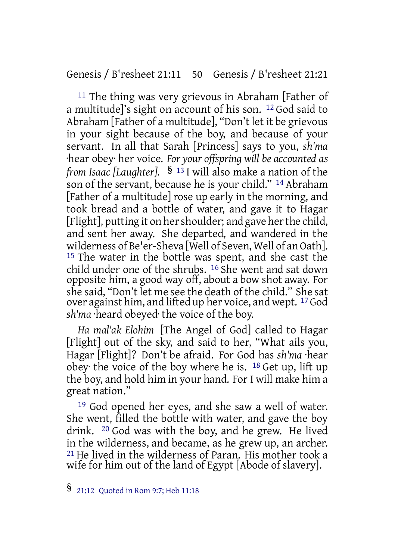Genesis / B'resheet 21:11 50 Genesis / B'resheet 21:21

11 The thing was very grievous in Abraham [Father of a multitude]'s sight on account of his son. 12 God said to Abraham [Father of a multitude], "Don't let it be grievous in your sight because of the boy, and because of your servant. In all that Sarah [Princess] says to you, *sh'ma* ·hear obey· her voice. *For your offspring will be accounted as from Isaac [Laughter].* § <sup>13</sup> I will also make a nation of the son of the servant, because he is your child." 14 Abraham [Father of a multitude] rose up early in the morning, and took bread and a bottle of water, and gave it to Hagar [Flight], putting it on her shoulder; and gave her the child, and sent her away. She departed, and wandered in the wilderness of Be'er-Sheva [Well of Seven, Well of an Oath]. <sup>15</sup> The water in the bottle was spent, and she cast the child under one of the shrubs. 16 She went and sat down opposite him, a good way off, about a bow shot away. For she said, "Don't let me see the death of the child." She sat over against him, and lifted up her voice, and wept. 17God *sh'ma* ·heard obeyed· the voice of the boy.

*Ha mal'ak Elohim* [The Angel of God] called to Hagar [Flight] out of the sky, and said to her, "What ails you, Hagar [Flight]? Don't be afraid. For God has *sh'ma* ·hear obey the voice of the boy where he is.  $18$  Get up, lift up the boy, and hold him in your hand. For I will make him a great nation."

<sup>19</sup> God opened her eyes, and she saw a well of water. She went, filled the bottle with water, and gave the boy drink. 20 God was with the boy, and he grew. He lived in the wilderness, and became, as he grew up, an archer. 21 He lived in the wilderness of Paran. His mother took a wife for him out of the land of Egypt [Abode of slavery].

<sup>§</sup> 21:12 Quoted in Rom 9:7; Heb 11:18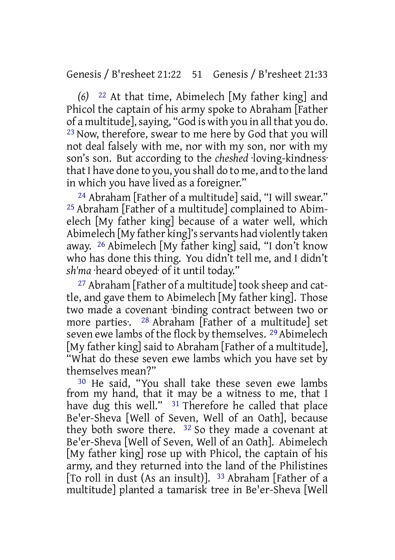Genesis / B'resheet 21:22 51 Genesis / B'resheet 21:33

*(6)* 22 At that time, Abimelech [My father king] and Phicol the captain of his army spoke to Abraham [Father of a multitude], saying, "God is with you in all that you do. 23 Now, therefore, swear to me here by God that you will not deal falsely with me, nor with my son, nor with my son's son. But according to the *cheshed* ·loving-kindness· that I have done to you, you shall do to me, and to the land in which you have lived as a foreigner."

24 Abraham [Father of a multitude] said, "I will swear." 25 Abraham [Father of a multitude] complained to Abimelech [My father king] because of a water well, which Abimelech [My father king]'sservants had violently taken away. 26 Abimelech [My father king] said, "I don't know who has done this thing. You didn't tell me, and I didn't *sh'ma* ·heard obeyed· of it until today."

27 Abraham [Father of a multitude] took sheep and cattle, and gave them to Abimelech [My father king]. Those two made a covenant ·binding contract between two or more parties: <sup>28</sup> Abraham [Father of a multitude] set seven ewe lambs of the flock by themselves. 29 Abimelech [My father king] said to Abraham [Father of a multitude], "What do these seven ewe lambs which you have set by themselves mean?"

30 He said, "You shall take these seven ewe lambs from my hand, that it may be a witness to me, that I have dug this well." <sup>31</sup> Therefore he called that place Be'er-Sheva [Well of Seven, Well of an Oath], because they both swore there. 32 So they made a covenant at Be'er-Sheva [Well of Seven, Well of an Oath]. Abimelech [My father king] rose up with Phicol, the captain of his army, and they returned into the land of the Philistines [To roll in dust (As an insult)]. 33 Abraham [Father of a multitude] planted a tamarisk tree in Be'er-Sheva [Well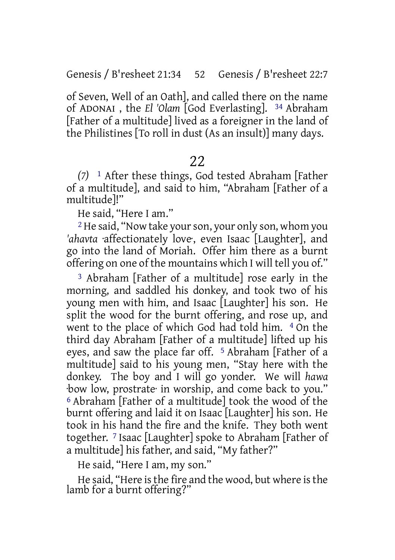of Seven, Well of an Oath], and called there on the name of ADONAI , the *El 'Olam* [God Everlasting]. 34 Abraham [Father of a multitude] lived as a foreigner in the land of the Philistines [To roll in dust (As an insult)] many days.

## 22

*(7)* 1 After these things, God tested Abraham [Father of a multitude], and said to him, "Abraham [Father of a multitude]!"

He said, "Here I am."

<sup>2</sup> He said, "Now take your son, your only son, whom you *'ahavta* ·affectionately love·, even Isaac [Laughter], and go into the land of Moriah. Offer him there as a burnt offering on one of the mountains which I will tell you of."

3 Abraham [Father of a multitude] rose early in the morning, and saddled his donkey, and took two of his young men with him, and Isaac [Laughter] his son. He split the wood for the burnt offering, and rose up, and went to the place of which God had told him. 4 On the third day Abraham [Father of a multitude] lifted up his eyes, and saw the place far off. 5 Abraham [Father of a multitude] said to his young men, "Stay here with the donkey. The boy and I will go yonder. We will *hawa* ·bow low, prostrate· in worship, and come back to you." 6 Abraham [Father of a multitude] took the wood of the burnt offering and laid it on Isaac [Laughter] his son. He took in his hand the fire and the knife. They both went together. 7 Isaac [Laughter] spoke to Abraham [Father of a multitude] his father, and said, "My father?"

He said, "Here I am, my son."

He said, "Here is the fire and the wood, but where is the lamb for a burnt offering?"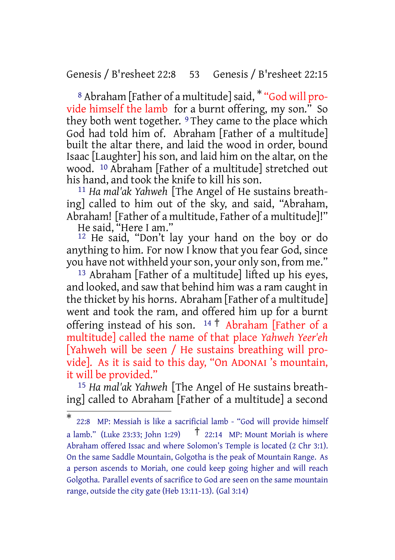#### Genesis / B'resheet 22:8 53 Genesis / B'resheet 22:15

8 Abraham [Father of a multitude] said, \* "God will provide himself the lamb for a burnt offering, my son." So they both went together. <sup>9</sup> They came to the place which God had told him of. Abraham [Father of a multitude] built the altar there, and laid the wood in order, bound Isaac [Laughter] his son, and laid him on the altar, on the wood. 10 Abraham [Father of a multitude] stretched out his hand, and took the knife to kill his son.

11 *Ha mal'ak Yahweh* [The Angel of He sustains breathing] called to him out of the sky, and said, "Abraham, Abraham! [Father of a multitude, Father of a multitude]!" He said, "Here I am."

12 He said, "Don't lay your hand on the boy or do anything to him. For now I know that you fear God, since you have not withheld your son, your only son, from me."

13 Abraham [Father of a multitude] lifted up his eyes, and looked, and saw that behind him was a ram caught in the thicket by his horns. Abraham [Father of a multitude] went and took the ram, and offered him up for a burnt offering instead of his son.  $14 \uparrow$  Abraham [Father of a multitude] called the name of that place *Yahweh Yeer'eh* [Yahweh will be seen / He sustains breathing will provide]. As it is said to this day, "On ADONAI 's mountain, it will be provided."

15 *Ha mal'ak Yahweh* [The Angel of He sustains breathing] called to Abraham [Father of a multitude] a second

<sup>\*</sup> 22:8 MP: Messiah is like a sacrificial lamb - "God will provide himself a lamb." (Luke 23:33: John 1:29)  $\uparrow$  22:14 MP: Mount Moriah is where Abraham offered Issac and where Solomon's Temple is located (2 Chr 3:1). On the same Saddle Mountain, Golgotha is the peak of Mountain Range. As a person ascends to Moriah, one could keep going higher and will reach Golgotha. Parallel events of sacrifice to God are seen on the same mountain range, outside the city gate (Heb 13:11-13). (Gal 3:14)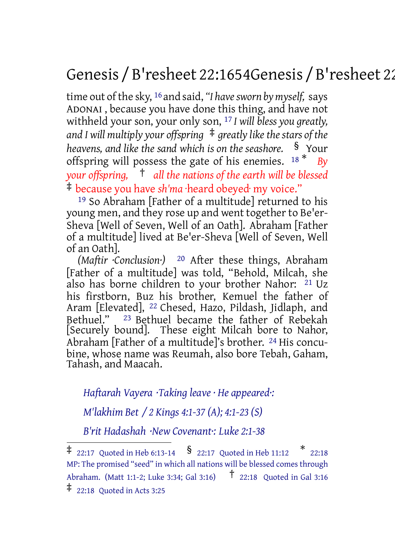# Genesis / B'resheet 22:1654Genesis / B'resheet 22:24

time out of the sky, <sup>16</sup> and said, "I have sworn by myself, says ADONAI , because you have done this thing, and have not withheld your son, your only son, 17 *I will bless you greatly, and I will multiply your offspring* ‡ *greatly likethestars of the heavens, and like the sand which is on the seashore.* § Your offspring will possess the gate of his enemies. <sup>18</sup> \* *By your offspring,* † *all the nations of the earth will be blessed* ‡ because you have *sh'ma* ·heard obeyed· my voice."

19 So Abraham [Father of a multitude] returned to his young men, and they rose up and went together to Be'er-Sheva [Well of Seven, Well of an Oath]. Abraham [Father of a multitude] lived at Be'er-Sheva [Well of Seven, Well of an Oath].

*(Maftir ·Conclusion·)* 20 After these things, Abraham [Father of a multitude] was told, "Behold, Milcah, she also has borne children to your brother Nahor: 21 Uz his firstborn, Buz his brother, Kemuel the father of Aram [Elevated], 22 Chesed, Hazo, Pildash, Jidlaph, and Bethuel." 23 Bethuel became the father of Rebekah [Securely bound]. These eight Milcah bore to Nahor, Abraham [Father of a multitude]'s brother. 24 His concubine, whose name was Reumah, also bore Tebah, Gaham, Tahash, and Maacah.

*Haftarah Vayera ·Taking leave · He appeared·:*

*M'lakhim Bet / 2 Kings 4:1-37 (A); 4:1-23 (S)*

*B'rit Hadashah ·New Covenant·: Luke 2:1-38*

‡ 22:18 Quoted in Acts 3:25

 $\ddagger$  22:17 Quoted in Heb 6:13-14  $\,$   $\frac{\pi}{22.17}$  Quoted in Heb 11:12  $\,$   $\,$   $\ast$  22:18 MP: The promised "seed" in which all nations will be blessed comes through Abraham. (Matt 1:1-2; Luke 3:34; Gal 3:16) † 22:18 Quoted in Gal 3:16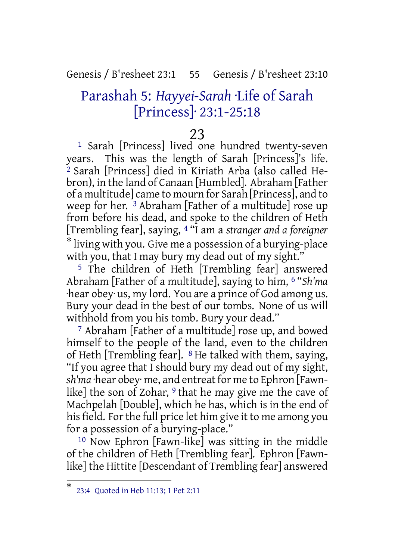### Genesis / B'resheet 23:1 55 Genesis / B'resheet 23:10

# Parashah 5: *Hayyei-Sarah* ·Life of Sarah [Princess]· 23:1-25:18

### 23

1 Sarah [Princess] lived one hundred twenty-seven years. This was the length of Sarah [Princess]'s life. 2 Sarah [Princess] died in Kiriath Arba (also called Hebron), in the land of Canaan [Humbled]. Abraham [Father of a multitude] came to mourn for Sarah [Princess], and to weep for her. 3 Abraham [Father of a multitude] rose up from before his dead, and spoke to the children of Heth [Trembling fear], saying, 4 "I am a *stranger and a foreigner* \* living with you. Give me a possession of a burying-place with you, that I may bury my dead out of my sight."

5 The children of Heth [Trembling fear] answered Abraham [Father of a multitude], saying to him, 6 "*Sh'ma* ·hear obey· us, my lord. You are a prince of God among us. Bury your dead in the best of our tombs. None of us will withhold from you his tomb. Bury your dead."

7 Abraham [Father of a multitude] rose up, and bowed himself to the people of the land, even to the children of Heth [Trembling fear]. 8 He talked with them, saying, "If you agree that I should bury my dead out of my sight, *sh'ma* ·hear obey· me, and entreat for me to Ephron [Fawnlike] the son of Zohar,  $9$  that he may give me the cave of Machpelah [Double], which he has, which is in the end of his field. For the full price let him give it to me among you for a possession of a burying-place."

10 Now Ephron [Fawn-like] was sitting in the middle of the children of Heth [Trembling fear]. Ephron [Fawnlike] the Hittite [Descendant of Trembling fear] answered

<sup>\*</sup> 23:4 Quoted in Heb 11:13; 1 Pet 2:11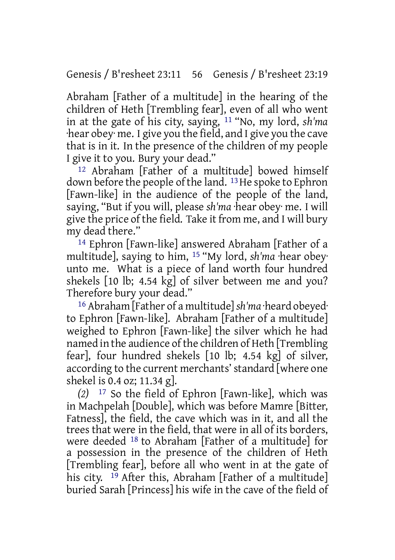Abraham [Father of a multitude] in the hearing of the children of Heth [Trembling fear], even of all who went in at the gate of his city, saying, 11 "No, my lord, *sh'ma* ·hear obey· me. I give you the field, and I give you the cave that is in it. In the presence of the children of my people I give it to you. Bury your dead."

12 Abraham [Father of a multitude] bowed himself down before the people of the land. <sup>13</sup> He spoke to Ephron [Fawn-like] in the audience of the people of the land, saying, "But if you will, please *sh'ma* ·hear obey· me. I will give the price of the field. Take it from me, and I will bury my dead there."

14 Ephron [Fawn-like] answered Abraham [Father of a multitude], saying to him, 15 "My lord, *sh'ma* ·hear obey· unto me. What is a piece of land worth four hundred shekels [10 lb; 4.54 kg] of silver between me and you? Therefore bury your dead."

16 Abraham [Father of a multitude]*sh'ma* ·heard obeyed· to Ephron [Fawn-like]. Abraham [Father of a multitude] weighed to Ephron [Fawn-like] the silver which he had named in the audience of the children of Heth [Trembling] fear], four hundred shekels [10 lb; 4.54 kg] of silver, according to the current merchants'standard [where one shekel is 0.4 oz; 11.34 g].

*(2)* 17 So the field of Ephron [Fawn-like], which was in Machpelah [Double], which was before Mamre [Bitter, Fatness], the field, the cave which was in it, and all the trees that were in the field, that were in all of its borders, were deeded 18 to Abraham [Father of a multitude] for a possession in the presence of the children of Heth [Trembling fear], before all who went in at the gate of his city. <sup>19</sup> After this, Abraham [Father of a multitude] buried Sarah [Princess] his wife in the cave of the field of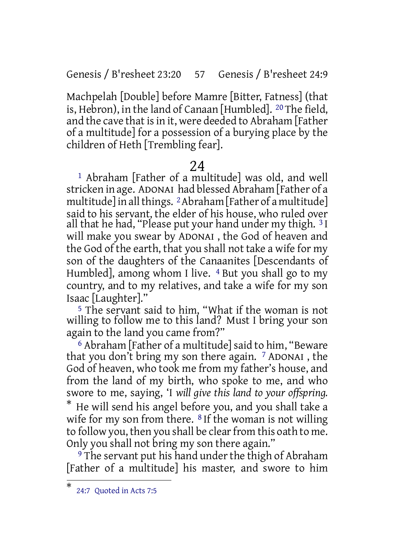Genesis / B'resheet 23:20 57 Genesis / B'resheet 24:9

Machpelah [Double] before Mamre [Bitter, Fatness] (that is, Hebron), in the land of Canaan [Humbled]. 20 The field, and the cave that is in it, were deeded to Abraham [Father of a multitude] for a possession of a burying place by the children of Heth [Trembling fear].

## 24

1 Abraham [Father of a multitude] was old, and well stricken in age. ADONAI had blessed Abraham [Father of a multitude] in all things. <sup>2</sup> Abraham [Father of a multitude] said to his servant, the elder of his house, who ruled over all that he had, "Please put your hand under my thigh. 3 I will make you swear by ADONAI , the God of heaven and the God of the earth, that you shall not take a wife for my son of the daughters of the Canaanites [Descendants of Humbled], among whom I live. <sup>4</sup> But you shall go to my country, and to my relatives, and take a wife for my son Isaac [Laughter]."

5 The servant said to him, "What if the woman is not willing to follow me to this land? Must I bring your son again to the land you came from?"

<sup>6</sup> Abraham [Father of a multitude] said to him, "Beware that you don't bring my son there again. 7 ADONAI , the God of heaven, who took me from my father's house, and from the land of my birth, who spoke to me, and who swore to me, saying, 'I *will give this land to your offspring.* \* He will send his angel before you, and you shall take a wife for my son from there.  $8$  If the woman is not willing to follow you, then you shall be clear from this oath to me. Only you shall not bring my son there again."

<sup>9</sup> The servant put his hand under the thigh of Abraham [Father of a multitude] his master, and swore to him

<sup>\*</sup> 24:7 Quoted in Acts 7:5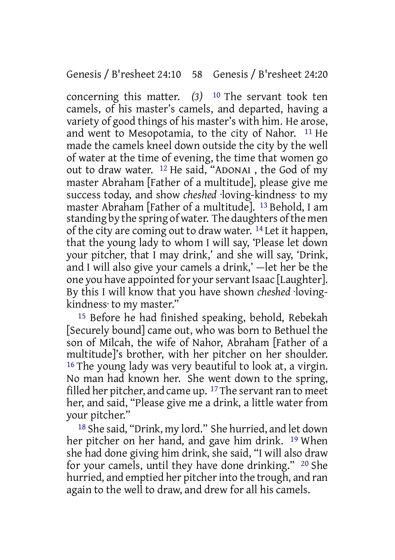concerning this matter. *(3)* 10 The servant took ten camels, of his master's camels, and departed, having a variety of good things of his master's with him. He arose, and went to Mesopotamia, to the city of Nahor. 11 He made the camels kneel down outside the city by the well of water at the time of evening, the time that women go out to draw water. 12 He said, "ADONAI , the God of my master Abraham [Father of a multitude], please give me success today, and show *cheshed* ·loving-kindness· to my master Abraham [Father of a multitude]. 13 Behold, I am standing by the spring of water. The daughters of the men of the city are coming out to draw water. 14 Let it happen, that the young lady to whom I will say, 'Please let down your pitcher, that I may drink,' and she will say, 'Drink, and I will also give your camels a drink,' —let her be the one you have appointed for your servant Isaac [Laughter]. By this I will know that you have shown *cheshed* ·lovingkindness· to my master."

15 Before he had finished speaking, behold, Rebekah [Securely bound] came out, who was born to Bethuel the son of Milcah, the wife of Nahor, Abraham [Father of a multitude]'s brother, with her pitcher on her shoulder. 16 The young lady was very beautiful to look at, a virgin. No man had known her. She went down to the spring, filled her pitcher, and came up. <sup>17</sup>The servant ran to meet her, and said, "Please give me a drink, a little water from your pitcher."

18 She said, "Drink, my lord." She hurried, and let down her pitcher on her hand, and gave him drink. 19 When she had done giving him drink, she said, "I will also draw for your camels, until they have done drinking." 20 She hurried, and emptied her pitcher into the trough, and ran again to the well to draw, and drew for all his camels.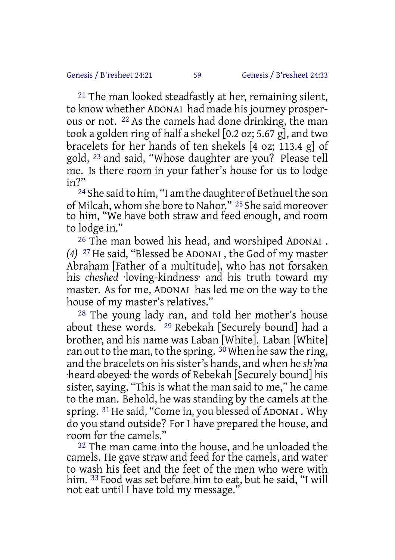21 The man looked steadfastly at her, remaining silent, to know whether ADONAI had made his journey prosperous or not. 22 As the camels had done drinking, the man took a golden ring of half a shekel [0.2 oz; 5.67 g], and two bracelets for her hands of ten shekels [4 oz; 113.4 g] of gold, 23 and said, "Whose daughter are you? Please tell me. Is there room in your father's house for us to lodge in?"

<sup>24</sup> She said to him, "I am the daughter of Bethuel the son of Milcah, whom she bore to Nahor." 25 She said moreover to him, "We have both straw and feed enough, and room to lodge in."

26 The man bowed his head, and worshiped ADONAI . *(4)* 27 He said, "Blessed be ADONAI , the God of my master Abraham [Father of a multitude], who has not forsaken his *cheshed* ·loving-kindness· and his truth toward my master. As for me, ADONAI has led me on the way to the house of my master's relatives."

28 The young lady ran, and told her mother's house about these words. 29 Rebekah [Securely bound] had a brother, and his name was Laban [White]. Laban [White] ran out to the man, to the spring.  $3\overline{0}$  When he saw the ring, and the bracelets on hissister's hands, and when he *sh'ma* ·heard obeyed· the words of Rebekah [Securely bound] his sister, saying, "This is what the man said to me," he came to the man. Behold, he was standing by the camels at the spring. <sup>31</sup> He said, "Come in, you blessed of ADONAI . Why do you stand outside? For I have prepared the house, and room for the camels."

<sup>32</sup> The man came into the house, and he unloaded the camels. He gave straw and feed for the camels, and water to wash his feet and the feet of the men who were with him. 33 Food was set before him to eat, but he said, "I will not eat until I have told my message."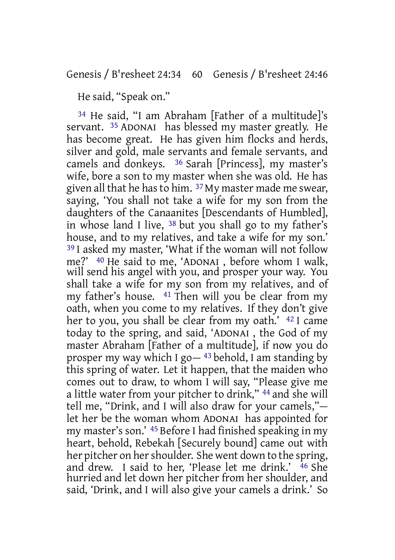He said, "Speak on."

34 He said, "I am Abraham [Father of a multitude]'s servant. 35 ADONAI has blessed my master greatly. He has become great. He has given him flocks and herds, silver and gold, male servants and female servants, and camels and donkeys. 36 Sarah [Princess], my master's wife, bore a son to my master when she was old. He has given all that he hasto him. 37 My master made me swear, saying, 'You shall not take a wife for my son from the daughters of the Canaanites [Descendants of Humbled], in whose land I live,  $38$  but you shall go to my father's house, and to my relatives, and take a wife for my son.' 39 I asked my master, 'What if the woman will not follow me?' 40 He said to me, 'ADONAI , before whom I walk, will send his angel with you, and prosper your way. You shall take a wife for my son from my relatives, and of my father's house. 41 Then will you be clear from my oath, when you come to my relatives. If they don't give her to you, you shall be clear from my oath.' 42 I came today to the spring, and said, 'ADONAI , the God of my master Abraham [Father of a multitude], if now you do prosper my way which I go $-$ <sup>43</sup> behold, I am standing by this spring of water. Let it happen, that the maiden who comes out to draw, to whom I will say, "Please give me a little water from your pitcher to drink," 44 and she will tell me, "Drink, and I will also draw for your camels," let her be the woman whom ADONAI has appointed for my master's son.' 45 Before I had finished speaking in my heart, behold, Rebekah [Securely bound] came out with her pitcher on her shoulder. She went down to the spring, and drew. I said to her, 'Please let me drink.' <sup>46</sup> She hurried and let down her pitcher from her shoulder, and said, 'Drink, and I will also give your camels a drink.' So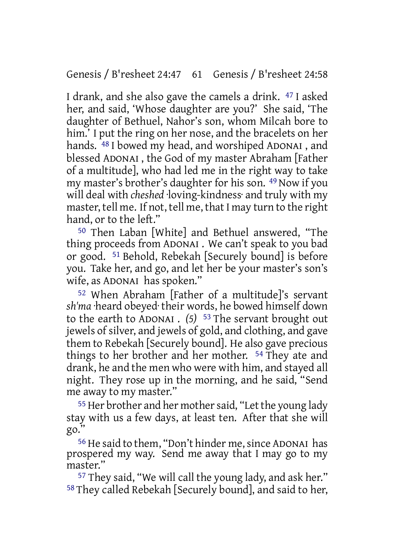I drank, and she also gave the camels a drink. 47 I asked her, and said, 'Whose daughter are you?' She said, 'The daughter of Bethuel, Nahor's son, whom Milcah bore to him.' I put the ring on her nose, and the bracelets on her hands. 48 I bowed my head, and worshiped ADONAI , and blessed ADONAI , the God of my master Abraham [Father of a multitude], who had led me in the right way to take my master's brother's daughter for his son. 49 Now if you will deal with *cheshed* ·loving-kindness· and truly with my master, tell me. If not, tell me, that I may turn to the right hand, or to the left."

50 Then Laban [White] and Bethuel answered, "The thing proceeds from ADONAI . We can't speak to you bad or good. 51 Behold, Rebekah [Securely bound] is before you. Take her, and go, and let her be your master's son's wife, as ADONAI has spoken."

52 When Abraham [Father of a multitude]'s servant *sh'ma* ·heard obeyed· their words, he bowed himself down to the earth to ADONAI . *(5)* 53 The servant brought out jewels of silver, and jewels of gold, and clothing, and gave them to Rebekah [Securely bound]. He also gave precious things to her brother and her mother. 54 They ate and drank, he and the men who were with him, and stayed all night. They rose up in the morning, and he said, "Send me away to my master."

<sup>55</sup> Her brother and her mother said, "Let the young lady stay with us a few days, at least ten. After that she will go."

<sup>56</sup> He said to them, "Don't hinder me, since ADONAI has prospered my way. Send me away that I may go to my master."

57 They said, "We will call the young lady, and ask her." 58 They called Rebekah [Securely bound], and said to her,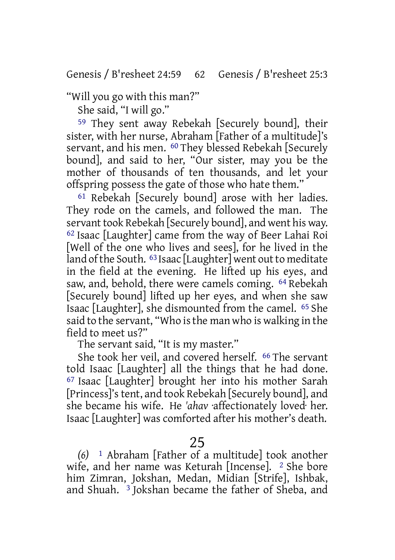"Will you go with this man?"

She said, "I will go."

59 They sent away Rebekah [Securely bound], their sister, with her nurse, Abraham [Father of a multitude]'s servant, and his men. 60 They blessed Rebekah [Securely bound], and said to her, "Our sister, may you be the mother of thousands of ten thousands, and let your offspring possess the gate of those who hate them."

61 Rebekah [Securely bound] arose with her ladies. They rode on the camels, and followed the man. The servant took Rebekah [Securely bound], and went his way. 62 Isaac [Laughter] came from the way of Beer Lahai Roi [Well of the one who lives and sees], for he lived in the land of the South.  $63$  Isaac [Laughter] went out to meditate in the field at the evening. He lifted up his eyes, and saw, and, behold, there were camels coming. 64 Rebekah [Securely bound] lifted up her eyes, and when she saw Isaac [Laughter], she dismounted from the camel. 65 She said to the servant, "Who is the man who is walking in the field to meet us?"

The servant said, "It is my master."

She took her veil, and covered herself. 66 The servant told Isaac [Laughter] all the things that he had done. 67 Isaac [Laughter] brought her into his mother Sarah [Princess]'stent, and took Rebekah [Securely bound], and she became his wife. He *'ahav* ·affectionately loved· her. Isaac [Laughter] was comforted after his mother's death.

25

*(6)* 1 Abraham [Father of a multitude] took another wife, and her name was Keturah [Incense]. <sup>2</sup> She bore him Zimran, Jokshan, Medan, Midian [Strife], Ishbak, and Shuah. 3 Jokshan became the father of Sheba, and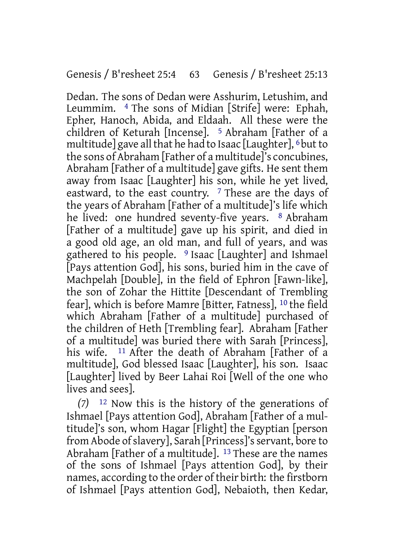Dedan. The sons of Dedan were Asshurim, Letushim, and Leummim. 4 The sons of Midian [Strife] were: Ephah, Epher, Hanoch, Abida, and Eldaah. All these were the children of Keturah [Incense]. 5 Abraham [Father of a multitude] gave all that he had to Isaac [Laughter],  $6$  but to the sons of Abraham [Father of a multitude]'s concubines, Abraham [Father of a multitude] gave gifts. He sent them away from Isaac [Laughter] his son, while he yet lived, eastward, to the east country. <sup>7</sup> These are the days of the years of Abraham [Father of a multitude]'s life which he lived: one hundred seventy-five years. <sup>8</sup> Abraham [Father of a multitude] gave up his spirit, and died in a good old age, an old man, and full of years, and was gathered to his people. 9 Isaac [Laughter] and Ishmael [Pays attention God], his sons, buried him in the cave of Machpelah [Double], in the field of Ephron [Fawn-like], the son of Zohar the Hittite [Descendant of Trembling fear], which is before Mamre [Bitter, Fatness], 10 the field which Abraham [Father of a multitude] purchased of the children of Heth [Trembling fear]. Abraham [Father of a multitude] was buried there with Sarah [Princess], his wife. <sup>11</sup> After the death of Abraham [Father of a multitude], God blessed Isaac [Laughter], his son. Isaac [Laughter] lived by Beer Lahai Roi [Well of the one who lives and sees].

*(7)* 12 Now this is the history of the generations of Ishmael [Pays attention God], Abraham [Father of a multitude]'s son, whom Hagar [Flight] the Egyptian [person from Abode ofslavery], Sarah [Princess]'sservant, bore to Abraham [Father of a multitude]. 13 These are the names of the sons of Ishmael [Pays attention God], by their names, according to the order of their birth: the firstborn of Ishmael [Pays attention God], Nebaioth, then Kedar,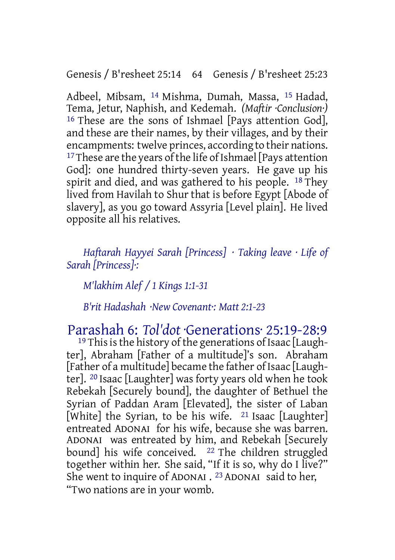Adbeel, Mibsam, 14 Mishma, Dumah, Massa, 15 Hadad, Tema, Jetur, Naphish, and Kedemah. *(Maftir ·Conclusion·)* 16 These are the sons of Ishmael [Pays attention God], and these are their names, by their villages, and by their encampments: twelve princes, according to their nations. <sup>17</sup>These are the years of the life of Ishmael [Pays attention] God]: one hundred thirty-seven years. He gave up his spirit and died, and was gathered to his people.  $^{18}$  They lived from Havilah to Shur that is before Egypt [Abode of slavery], as you go toward Assyria [Level plain]. He lived opposite all his relatives.

*Haftarah Hayyei Sarah [Princess] · Taking leave · Life of Sarah [Princess]·:*

*M'lakhim Alef / 1 Kings 1:1-31*

*B'rit Hadashah ·New Covenant·: Matt 2:1-23*

Parashah 6: *Tol'dot* ·Generations· 25:19-28:9

<sup>19</sup> This is the history of the generations of Isaac [Laughter], Abraham [Father of a multitude]'s son. Abraham [Father of a multitude] became the father of Isaac [Laughter]. 20 Isaac [Laughter] was forty years old when he took Rebekah [Securely bound], the daughter of Bethuel the Syrian of Paddan Aram [Elevated], the sister of Laban [White] the Syrian, to be his wife.  $21$  Isaac [Laughter] entreated ADONAI for his wife, because she was barren. ADONAI was entreated by him, and Rebekah [Securely bound] his wife conceived. <sup>22</sup> The children struggled together within her. She said, "If it is so, why do I live?" She went to inquire of ADONAI .<sup>23</sup> ADONAI said to her, "Two nations are in your womb.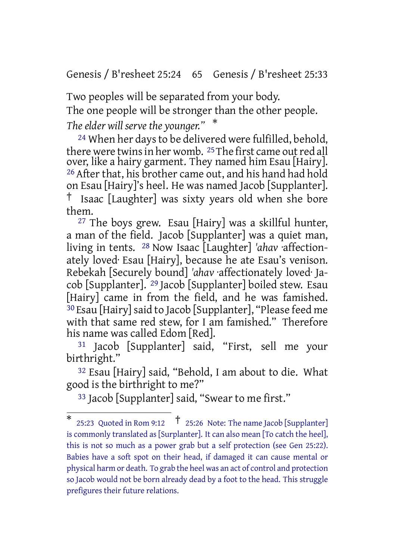Genesis / B'resheet 25:24 65 Genesis / B'resheet 25:33

Two peoples will be separated from your body.

The one people will be stronger than the other people.

*The elder will serve the younger."* \*

24 When her daysto be delivered were fulfilled, behold, there were twins in her womb. <sup>25</sup> The first came out red all over, like a hairy garment. They named him Esau [Hairy]. 26 After that, his brother came out, and his hand had hold on Esau [Hairy]'s heel. He was named Jacob [Supplanter]. † Isaac [Laughter] was sixty years old when she bore them.

 $27$  The boys grew. Esau [Hairy] was a skillful hunter, a man of the field. Jacob [Supplanter] was a quiet man, living in tents. 28 Now Isaac [Laughter] *'ahav* ·affectionately loved· Esau [Hairy], because he ate Esau's venison. Rebekah [Securely bound] *'ahav* ·affectionately loved· Jacob [Supplanter]. 29 Jacob [Supplanter] boiled stew. Esau [Hairy] came in from the field, and he was famished. 30 Esau [Hairy]said to Jacob [Supplanter], "Please feed me with that same red stew, for I am famished." Therefore his name was called Edom [Red].

31 Jacob [Supplanter] said, "First, sell me your birthright."

32 Esau [Hairy] said, "Behold, I am about to die. What good is the birthright to me?"

33 Jacob [Supplanter] said, "Swear to me first."

<sup>\*</sup> 25:23 Quoted in Rom 9:12 † 25:26 Note: The name Jacob [Supplanter] is commonly translated as [Surplanter]. It can also mean [To catch the heel], this is not so much as a power grab but a self protection (see Gen 25:22). Babies have a soft spot on their head, if damaged it can cause mental or physical harm or death. To grab the heel was an act of control and protection so Jacob would not be born already dead by a foot to the head. This struggle prefigures their future relations.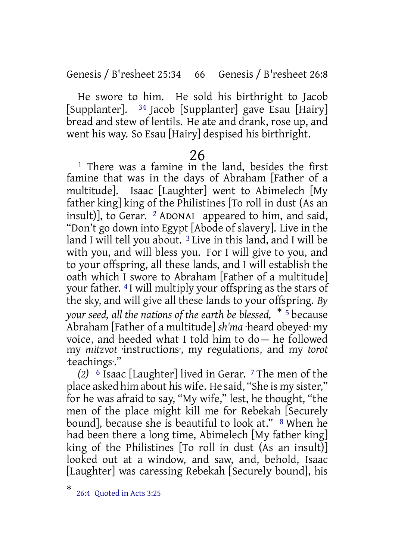Genesis / B'resheet 25:34 66 Genesis / B'resheet 26:8

He swore to him. He sold his birthright to Jacob [Supplanter]. 34 Jacob [Supplanter] gave Esau [Hairy] bread and stew of lentils. He ate and drank, rose up, and went his way. So Esau [Hairy] despised his birthright.

## 26

1 There was a famine in the land, besides the first famine that was in the days of Abraham [Father of a multitude]. Isaac [Laughter] went to Abimelech [My father king] king of the Philistines [To roll in dust (As an insult)], to Gerar.  $\frac{2}{3}$  ADONAI appeared to him, and said, "Don't go down into Egypt [Abode of slavery]. Live in the land I will tell you about.<sup>3</sup> Live in this land, and I will be with you, and will bless you. For I will give to you, and to your offspring, all these lands, and I will establish the oath which I swore to Abraham [Father of a multitude] your father. 4 I will multiply your offspring as the stars of the sky, and will give all these lands to your offspring. *By your seed, all the nations of the earth be blessed,* \* <sup>5</sup> because Abraham [Father of a multitude] *sh'ma* ·heard obeyed· my voice, and heeded what I told him to do— he followed my *mitzvot* ·instructions·, my regulations, and my *torot* ·teachings·."

*(2)* 6 Isaac [Laughter] lived in Gerar. 7 The men of the place asked him about his wife. He said, "She is my sister," for he was afraid to say, "My wife," lest, he thought, "the men of the place might kill me for Rebekah [Securely bound], because she is beautiful to look at." <sup>8</sup> When he had been there a long time, Abimelech [My father king] king of the Philistines [To roll in dust (As an insult)] looked out at a window, and saw, and, behold, Isaac [Laughter] was caressing Rebekah [Securely bound], his

<sup>\*</sup> 26:4 Quoted in Acts 3:25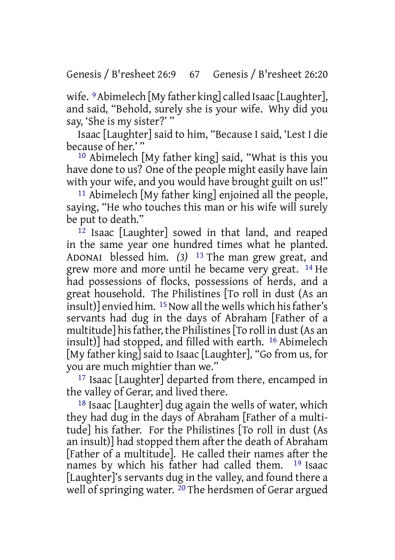wife. <sup>9</sup> Abimelech [My father king] called Isaac [Laughter], and said, "Behold, surely she is your wife. Why did you say, 'She is my sister?' "

Isaac [Laughter] said to him, "Because I said, 'Lest I die because of her.'"

10 Abimelech [My father king] said, "What is this you have done to us? One of the people might easily have lain with your wife, and you would have brought guilt on us!"

11 Abimelech [My father king] enjoined all the people, saying, "He who touches this man or his wife will surely be put to death."

12 Isaac [Laughter] sowed in that land, and reaped in the same year one hundred times what he planted. ADONAI blessed him. *(3)* 13 The man grew great, and grew more and more until he became very great. 14 He had possessions of flocks, possessions of herds, and a great household. The Philistines [To roll in dust (As an insult)] envied him. <sup>15</sup> Now all the wells which his father's servants had dug in the days of Abraham [Father of a multitude] hisfather, the Philistines[To roll in dust(As an insult)] had stopped, and filled with earth. 16 Abimelech [My father king] said to Isaac [Laughter], "Go from us, for you are much mightier than we."

17 Isaac [Laughter] departed from there, encamped in the valley of Gerar, and lived there.

18 Isaac [Laughter] dug again the wells of water, which they had dug in the days of Abraham [Father of a multitude] his father. For the Philistines [To roll in dust (As an insult)] had stopped them after the death of Abraham [Father of a multitude]. He called their names after the names by which his father had called them. 19 Isaac [Laughter]'s servants dug in the valley, and found there a well of springing water.  $20$  The herdsmen of Gerar argued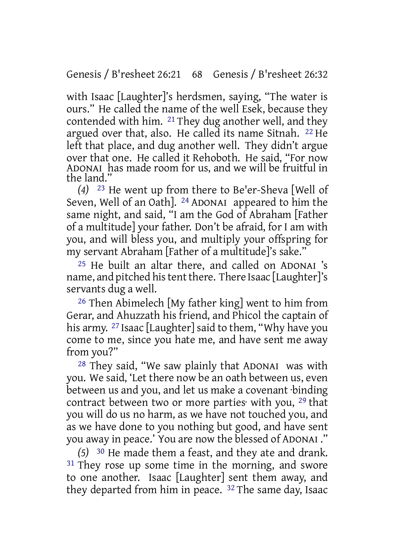with Isaac [Laughter]'s herdsmen, saying, "The water is ours." He called the name of the well Esek, because they contended with him. 21 They dug another well, and they argued over that, also. He called its name Sitnah. 22 He left that place, and dug another well. They didn't argue over that one. He called it Rehoboth. He said, "For now ADONAI has made room for us, and we will be fruitful in the land."

*(4)* 23 He went up from there to Be'er-Sheva [Well of Seven, Well of an Oath]. 24 ADONAI appeared to him the same night, and said, "I am the God of Abraham [Father of a multitude] your father. Don't be afraid, for I am with you, and will bless you, and multiply your offspring for my servant Abraham [Father of a multitude]'s sake."

25 He built an altar there, and called on ADONAI 's name, and pitched his tent there. There Isaac [Laughter]'s servants dug a well.

26 Then Abimelech [My father king] went to him from Gerar, and Ahuzzath his friend, and Phicol the captain of his army. <sup>27</sup> Isaac [Laughter] said to them, "Why have you come to me, since you hate me, and have sent me away from you?"

28 They said, "We saw plainly that ADONAI was with you. We said, 'Let there now be an oath between us, even between us and you, and let us make a covenant ·binding contract between two or more parties· with you, 29 that you will do us no harm, as we have not touched you, and as we have done to you nothing but good, and have sent you away in peace.' You are now the blessed of ADONAI ."

*(5)* 30 He made them a feast, and they ate and drank. <sup>31</sup> They rose up some time in the morning, and swore to one another. Isaac [Laughter] sent them away, and they departed from him in peace. 32 The same day, Isaac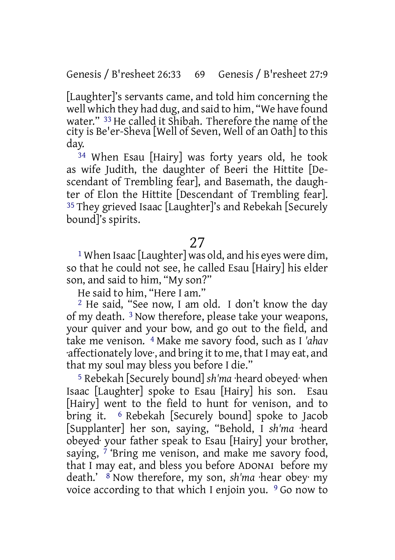[Laughter]'s servants came, and told him concerning the well which they had dug, and said to him, "We have found water." 33 He called it Shibah. Therefore the name of the city is Be'er-Sheva [Well of Seven, Well of an Oath] to this day.

34 When Esau [Hairy] was forty years old, he took as wife Judith, the daughter of Beeri the Hittite [Descendant of Trembling fear], and Basemath, the daughter of Elon the Hittite [Descendant of Trembling fear]. 35 They grieved Isaac [Laughter]'s and Rebekah [Securely bound]'s spirits.

## 27

1 When Isaac [Laughter] was old, and his eyes were dim, so that he could not see, he called Esau [Hairy] his elder son, and said to him, "My son?"

He said to him, "Here I am."

2 He said, "See now, I am old. I don't know the day of my death. 3 Now therefore, please take your weapons, your quiver and your bow, and go out to the field, and take me venison. 4 Make me savory food, such as I *'ahav* affectionately love, and bring it to me, that I may eat, and that my soul may bless you before I die."

5 Rebekah [Securely bound] *sh'ma* ·heard obeyed· when Isaac [Laughter] spoke to Esau [Hairy] his son. Esau [Hairy] went to the field to hunt for venison, and to bring it. 6 Rebekah [Securely bound] spoke to Jacob [Supplanter] her son, saying, "Behold, I *sh'ma* ·heard obeyed· your father speak to Esau [Hairy] your brother, saying,  $\frac{7}{7}$  'Bring me venison, and make me savory food, that I may eat, and bless you before ADONAI before my death.' 8 Now therefore, my son, *sh'ma* ·hear obey· my voice according to that which I enjoin you. 9 Go now to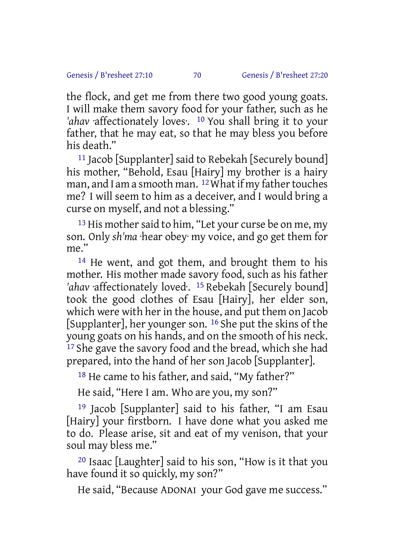the flock, and get me from there two good young goats. I will make them savory food for your father, such as he *'ahav* ·affectionately loves·. 10 You shall bring it to your father, that he may eat, so that he may bless you before his death."

<sup>11</sup> Jacob [Supplanter] said to Rebekah [Securely bound] his mother, "Behold, Esau [Hairy] my brother is a hairy man, and I am a smooth man.  $12$  What if my father touches me? I will seem to him as a deceiver, and I would bring a curse on myself, and not a blessing."

<sup>13</sup> His mother said to him, "Let your curse be on me, my son. Only *sh'ma* ·hear obey· my voice, and go get them for me."

14 He went, and got them, and brought them to his mother. His mother made savory food, such as his father *'ahav* ·affectionately loved·. 15 Rebekah [Securely bound] took the good clothes of Esau [Hairy], her elder son, which were with her in the house, and put them on Jacob [Supplanter], her younger son. 16 She put the skins of the young goats on his hands, and on the smooth of his neck. <sup>17</sup> She gave the savory food and the bread, which she had prepared, into the hand of her son Jacob [Supplanter].

18 He came to his father, and said, "My father?"

He said, "Here I am. Who are you, my son?"

19 Jacob [Supplanter] said to his father, "I am Esau [Hairy] your firstborn. I have done what you asked me to do. Please arise, sit and eat of my venison, that your soul may bless me."

20 Isaac [Laughter] said to his son, "How is it that you have found it so quickly, my son?"

He said, "Because ADONAI your God gave me success."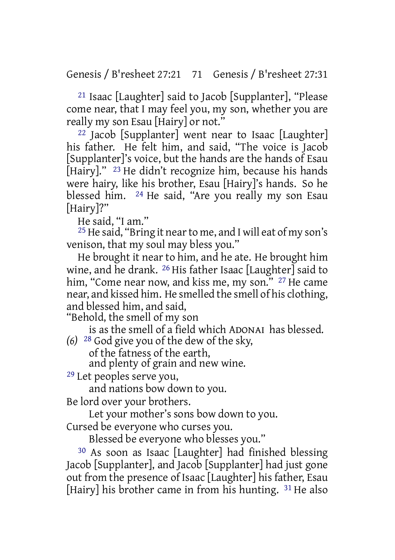Genesis / B'resheet 27:21 71 Genesis / B'resheet 27:31

21 Isaac [Laughter] said to Jacob [Supplanter], "Please come near, that I may feel you, my son, whether you are really my son Esau [Hairy] or not."

22 Jacob [Supplanter] went near to Isaac [Laughter] his father. He felt him, and said, "The voice is Jacob [Supplanter]'s voice, but the hands are the hands of Esau [Hairy]." <sup>23</sup> He didn't recognize him, because his hands were hairy, like his brother, Esau [Hairy]'s hands. So he blessed him. 24 He said, "Are you really my son Esau [Hairy]?"

He said, "I am."

25 He said, "Bring it nearto me, and I will eat of my son's venison, that my soul may bless you."

He brought it near to him, and he ate. He brought him wine, and he drank. 26 His father Isaac [Laughter] said to him, "Come near now, and kiss me, my son." <sup>27</sup> He came near, and kissed him. He smelled the smell of his clothing, and blessed him, and said,

"Behold, the smell of my son

is as the smell of a field which ADONAI has blessed. *(6)* 28 God give you of the dew of the sky,

of the fatness of the earth,

and plenty of grain and new wine.

29 Let peoples serve you,

and nations bow down to you.

Be lord over your brothers.

Let your mother's sons bow down to you.

Cursed be everyone who curses you.

Blessed be everyone who blesses you."

30 As soon as Isaac [Laughter] had finished blessing Jacob [Supplanter], and Jacob [Supplanter] had just gone out from the presence of Isaac [Laughter] his father, Esau [Hairy] his brother came in from his hunting. <sup>31</sup> He also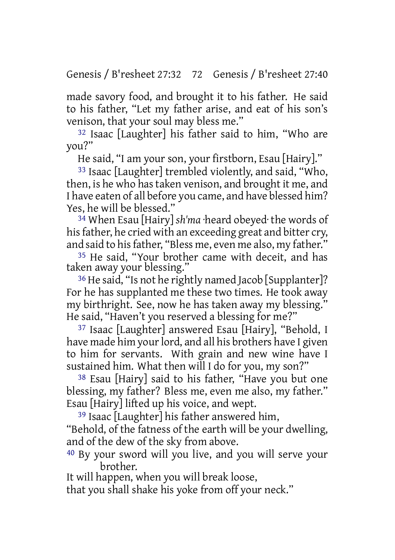made savory food, and brought it to his father. He said to his father, "Let my father arise, and eat of his son's venison, that your soul may bless me."

32 Isaac [Laughter] his father said to him, "Who are you?"

He said, "I am your son, your firstborn, Esau [Hairy]."

33 Isaac [Laughter] trembled violently, and said, "Who, then, is he who hastaken venison, and brought it me, and I have eaten of all before you came, and have blessed him? Yes, he will be blessed."

34 When Esau [Hairy] *sh'ma* ·heard obeyed· the words of his father, he cried with an exceeding great and bitter cry, and said to his father, "Bless me, even me also, my father."

35 He said, "Your brother came with deceit, and has taken away your blessing."

36 He said, "Is not he rightly named Jacob [Supplanter]? For he has supplanted me these two times. He took away my birthright. See, now he has taken away my blessing." He said, "Haven't you reserved a blessing for me?"

37 Isaac [Laughter] answered Esau [Hairy], "Behold, I have made him your lord, and all his brothers have I given to him for servants. With grain and new wine have I sustained him. What then will I do for you, my son?"

38 Esau [Hairy] said to his father, "Have you but one blessing, my father? Bless me, even me also, my father." Esau [Hairy] lifted up his voice, and wept.

39 Isaac [Laughter] his father answered him, "Behold, of the fatness of the earth will be your dwelling, and of the dew of the sky from above.

40 By your sword will you live, and you will serve your brother.

It will happen, when you will break loose, that you shall shake his yoke from off your neck."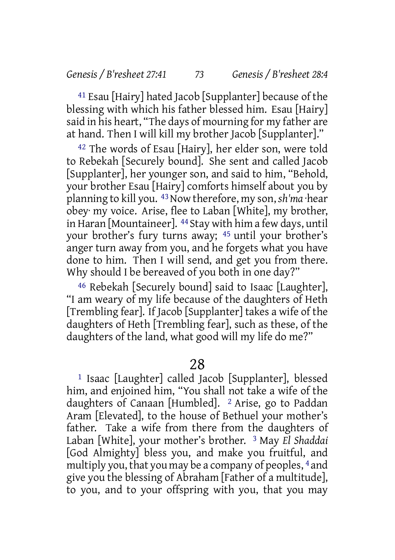41 Esau [Hairy] hated Jacob [Supplanter] because of the blessing with which his father blessed him. Esau [Hairy] said in his heart, "The days of mourning for my father are at hand. Then I will kill my brother Jacob [Supplanter]."

42 The words of Esau [Hairy], her elder son, were told to Rebekah [Securely bound]. She sent and called Jacob [Supplanter], her younger son, and said to him, "Behold, your brother Esau [Hairy] comforts himself about you by planning to kill you. 43Now therefore, my son, *sh'ma* ·hear obey· my voice. Arise, flee to Laban [White], my brother, in Haran [Mountaineer]. 44 Stay with him a few days, until your brother's fury turns away; 45 until your brother's anger turn away from you, and he forgets what you have done to him. Then I will send, and get you from there. Why should I be bereaved of you both in one day?"

46 Rebekah [Securely bound] said to Isaac [Laughter], "I am weary of my life because of the daughters of Heth [Trembling fear]. If Jacob [Supplanter] takes a wife of the daughters of Heth [Trembling fear], such as these, of the daughters of the land, what good will my life do me?"

28

1 Isaac [Laughter] called Jacob [Supplanter], blessed him, and enjoined him, "You shall not take a wife of the daughters of Canaan [Humbled]. 2 Arise, go to Paddan Aram [Elevated], to the house of Bethuel your mother's father. Take a wife from there from the daughters of Laban [White], your mother's brother. 3 May *El Shaddai* [God Almighty] bless you, and make you fruitful, and multiply you, that you may be a company of peoples, 4 and give you the blessing of Abraham [Father of a multitude], to you, and to your offspring with you, that you may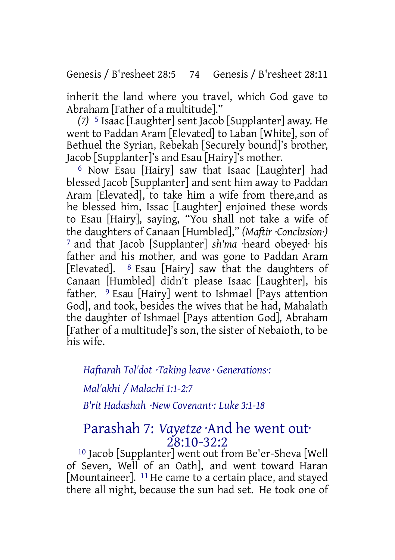Genesis / B'resheet 28:5 74 Genesis / B'resheet 28:11

inherit the land where you travel, which God gave to Abraham [Father of a multitude]."

*(7)* 5 Isaac [Laughter] sent Jacob [Supplanter] away. He went to Paddan Aram [Elevated] to Laban [White], son of Bethuel the Syrian, Rebekah [Securely bound]'s brother, Jacob [Supplanter]'s and Esau [Hairy]'s mother.

6 Now Esau [Hairy] saw that Isaac [Laughter] had blessed Jacob [Supplanter] and sent him away to Paddan Aram [Elevated], to take him a wife from there,and as he blessed him, Issac [Laughter] enjoined these words to Esau [Hairy], saying, "You shall not take a wife of the daughters of Canaan [Humbled]," *(Maftir ·Conclusion·)* 7 and that Jacob [Supplanter] *sh'ma* ·heard obeyed· his father and his mother, and was gone to Paddan Aram [Elevated]. 8 Esau [Hairy] saw that the daughters of Canaan [Humbled] didn't please Isaac [Laughter], his father. 9 Esau [Hairy] went to Ishmael [Pays attention God], and took, besides the wives that he had, Mahalath the daughter of Ishmael [Pays attention God], Abraham [Father of a multitude]'s son, the sister of Nebaioth, to be his wife.

*Haftarah Tol'dot ·Taking leave · Generations·:*

*Mal'akhi / Malachi 1:1-2:7*

*B'rit Hadashah ·New Covenant·: Luke 3:1-18*

## Parashah 7: *Vayetze* ·And he went out· 28:10-32:2

10 Jacob [Supplanter] went out from Be'er-Sheva [Well of Seven, Well of an Oath], and went toward Haran [Mountaineer]. <sup>11</sup> He came to a certain place, and stayed there all night, because the sun had set. He took one of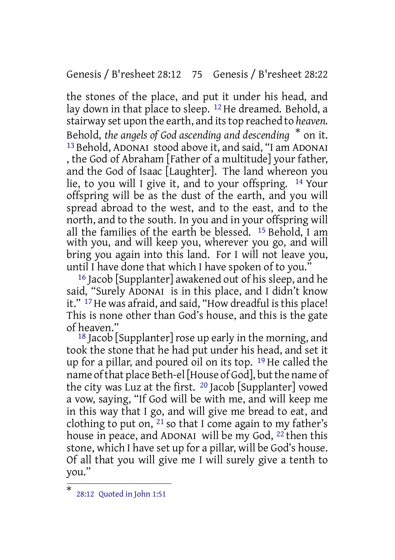Genesis / B'resheet 28:12 75 Genesis / B'resheet 28:22

the stones of the place, and put it under his head, and lay down in that place to sleep. 12 He dreamed. Behold, a stairway set upon the earth, and itstop reached to *heaven.* Behold, *the angels of God ascending and descending* \* on it. 13 Behold, ADONAI stood above it, and said, "I am ADONAI , the God of Abraham [Father of a multitude] your father, and the God of Isaac [Laughter]. The land whereon you lie, to you will I give it, and to your offspring. 14 Your offspring will be as the dust of the earth, and you will spread abroad to the west, and to the east, and to the north, and to the south. In you and in your offspring will all the families of the earth be blessed. 15 Behold, I am with you, and will keep you, wherever you go, and will bring you again into this land. For I will not leave you, until I have done that which I have spoken of to you.'

16 Jacob [Supplanter] awakened out of his sleep, and he said, "Surely ADONAI is in this place, and I didn't know it." <sup>17</sup> He was afraid, and said, "How dreadful is this place! This is none other than God's house, and this is the gate of heaven."

 $18$  Jacob [Supplanter] rose up early in the morning, and took the stone that he had put under his head, and set it up for a pillar, and poured oil on its top. 19 He called the name of that place Beth-el [House of God], but the name of the city was Luz at the first. 20 Jacob [Supplanter] vowed a vow, saying, "If God will be with me, and will keep me in this way that I go, and will give me bread to eat, and clothing to put on,  $^{21}$  so that I come again to my father's house in peace, and ADONAI will be my God, 22 then this stone, which I have set up for a pillar, will be God's house. Of all that you will give me I will surely give a tenth to you."

<sup>\*</sup> 28:12 Quoted in John 1:51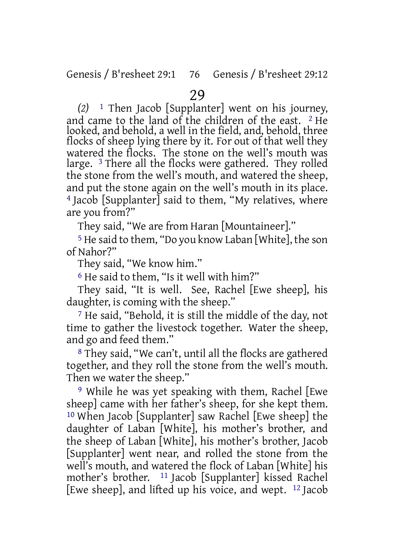*(2)* 1 Then Jacob [Supplanter] went on his journey, and came to the land of the children of the east. 2 He looked, and behold, a well in the field, and, behold, three flocks of sheep lying there by it. For out of that well they watered the flocks. The stone on the well's mouth was large. 3 There all the flocks were gathered. They rolled the stone from the well's mouth, and watered the sheep, and put the stone again on the well's mouth in its place. 4 Jacob [Supplanter] said to them, "My relatives, where are you from?"

They said, "We are from Haran [Mountaineer]."

5 He said to them, "Do you know Laban [White], the son of Nahor?"

They said, "We know him."

6 He said to them, "Is it well with him?"

They said, "It is well. See, Rachel [Ewe sheep], his daughter, is coming with the sheep."

7 He said, "Behold, it is still the middle of the day, not time to gather the livestock together. Water the sheep, and go and feed them."

8 They said, "We can't, until all the flocks are gathered together, and they roll the stone from the well's mouth. Then we water the sheep."

9 While he was yet speaking with them, Rachel [Ewe sheep] came with her father's sheep, for she kept them. 10 When Jacob [Supplanter] saw Rachel [Ewe sheep] the daughter of Laban [White], his mother's brother, and the sheep of Laban [White], his mother's brother, Jacob [Supplanter] went near, and rolled the stone from the well's mouth, and watered the flock of Laban [White] his mother's brother. 11 Jacob [Supplanter] kissed Rachel [Ewe sheep], and lifted up his voice, and wept. 12 Jacob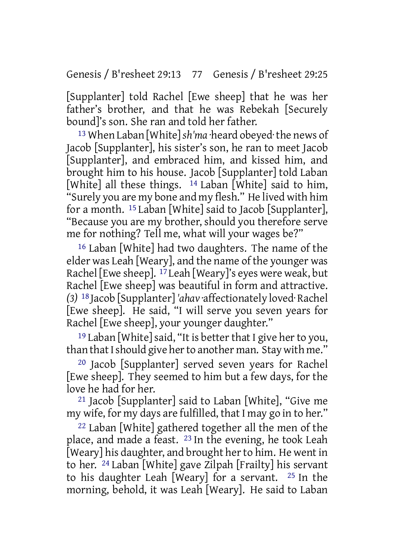[Supplanter] told Rachel [Ewe sheep] that he was her father's brother, and that he was Rebekah [Securely bound]'s son. She ran and told her father.

13 When Laban [White]*sh'ma* ·heard obeyed·the news of Jacob [Supplanter], his sister's son, he ran to meet Jacob [Supplanter], and embraced him, and kissed him, and brought him to his house. Jacob [Supplanter] told Laban [White] all these things. <sup>14</sup> Laban [White] said to him, "Surely you are my bone and my flesh." He lived with him for a month. 15 Laban [White] said to Jacob [Supplanter], "Because you are my brother, should you therefore serve me for nothing? Tell me, what will your wages be?"

16 Laban [White] had two daughters. The name of the elder was Leah [Weary], and the name of the younger was Rachel [Ewe sheep]. 17 Leah [Weary]'s eyes were weak, but Rachel [Ewe sheep] was beautiful in form and attractive. *(3)* 18 Jacob [Supplanter] *'ahav* ·affectionately loved· Rachel [Ewe sheep]. He said, "I will serve you seven years for Rachel [Ewe sheep], your younger daughter."

 $19$  Laban [White] said, "It is better that I give her to you, than that I should give her to another man. Stay with me."

20 Jacob [Supplanter] served seven years for Rachel [Ewe sheep]. They seemed to him but a few days, for the love he had for her.

21 Jacob [Supplanter] said to Laban [White], "Give me my wife, for my days are fulfilled, that I may go in to her."

22 Laban [White] gathered together all the men of the place, and made a feast. 23 In the evening, he took Leah [Weary] his daughter, and brought her to him. He went in to her. 24 Laban [White] gave Zilpah [Frailty] his servant to his daughter Leah [Weary] for a servant. 25 In the morning, behold, it was Leah [Weary]. He said to Laban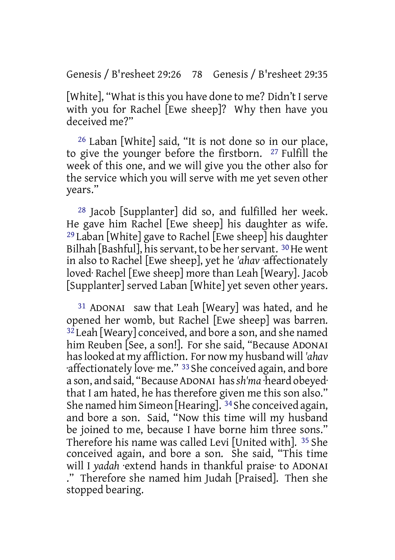[White], "What is this you have done to me? Didn't I serve with you for Rachel Ewe sheep]? Why then have you deceived me?"

26 Laban [White] said, "It is not done so in our place, to give the younger before the firstborn. 27 Fulfill the week of this one, and we will give you the other also for the service which you will serve with me yet seven other years."

28 Jacob [Supplanter] did so, and fulfilled her week. He gave him Rachel [Ewe sheep] his daughter as wife. <sup>29</sup> Laban [White] gave to Rachel  $[{\rm Ewe\ sheep}]$  his daughter Bilhah [Bashful], his servant, to be her servant. <sup>30</sup> He went in also to Rachel [Ewe sheep], yet he *'ahav* ·affectionately loved· Rachel [Ewe sheep] more than Leah [Weary]. Jacob [Supplanter] served Laban [White] yet seven other years.

31 ADONAI saw that Leah [Weary] was hated, and he opened her womb, but Rachel [Ewe sheep] was barren.  $32$  Leah [Weary] conceived, and bore a son, and she named him Reuben [See, a son!]. For she said, "Because ADONAI haslooked at my affliction. For now my husband will *'ahav* ·affectionately love· me." 33 She conceived again, and bore a son, and said, "Because ADONAI has*sh'ma* ·heard obeyed· that I am hated, he has therefore given me this son also." She named him Simeon [Hearing]. 34 She conceived again, and bore a son. Said, "Now this time will my husband be joined to me, because I have borne him three sons." Therefore his name was called Levi [United with]. 35 She conceived again, and bore a son. She said, "This time will I *yadah* ·extend hands in thankful praise· to ADONAI ." Therefore she named him Judah [Praised]. Then she stopped bearing.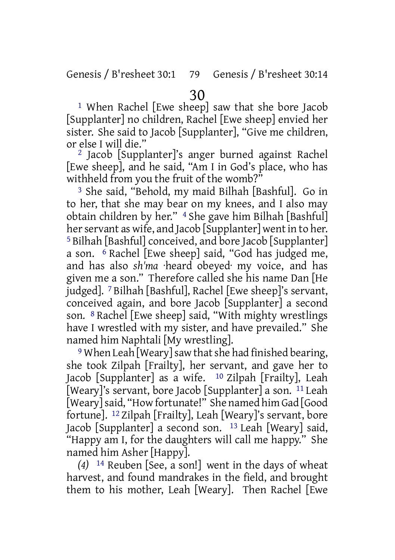1 When Rachel [Ewe sheep] saw that she bore Jacob [Supplanter] no children, Rachel [Ewe sheep] envied her sister. She said to Jacob [Supplanter], "Give me children, or else I will die."

2 Jacob [Supplanter]'s anger burned against Rachel [Ewe sheep], and he said, "Am I in God's place, who has withheld from you the fruit of the womb?"

3 She said, "Behold, my maid Bilhah [Bashful]. Go in to her, that she may bear on my knees, and I also may obtain children by her." 4 She gave him Bilhah [Bashful] her servant as wife, and Jacob [Supplanter] went in to her. 5 Bilhah [Bashful] conceived, and bore Jacob [Supplanter] a son. 6 Rachel [Ewe sheep] said, "God has judged me, and has also *sh'ma* ·heard obeyed· my voice, and has given me a son." Therefore called she his name Dan [He judged]. 7 Bilhah [Bashful], Rachel [Ewe sheep]'s servant, conceived again, and bore Jacob [Supplanter] a second son. 8 Rachel [Ewe sheep] said, "With mighty wrestlings have I wrestled with my sister, and have prevailed." She named him Naphtali [My wrestling].

<sup>9</sup> When Leah [Weary] saw that she had finished bearing, she took Zilpah [Frailty], her servant, and gave her to Jacob [Supplanter] as a wife. 10 Zilpah [Frailty], Leah [Weary]'s servant, bore Jacob [Supplanter] a son. 11 Leah [Weary]said, "How fortunate!" She named him Gad [Good fortune]. 12 Zilpah [Frailty], Leah [Weary]'s servant, bore Jacob [Supplanter] a second son. 13 Leah [Weary] said, "Happy am I, for the daughters will call me happy." She named him Asher [Happy].

*(4)* 14 Reuben [See, a son!] went in the days of wheat harvest, and found mandrakes in the field, and brought them to his mother, Leah [Weary]. Then Rachel [Ewe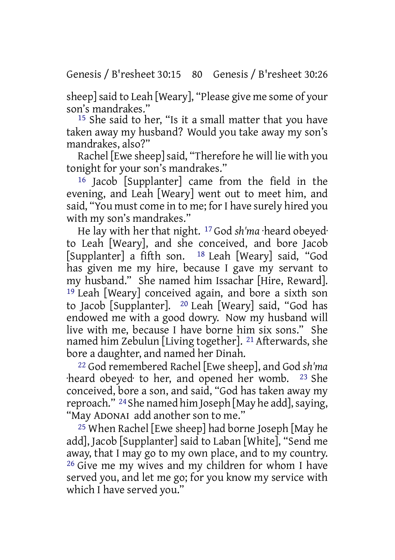Genesis / B'resheet 30:15 80 Genesis / B'resheet 30:26

sheep] said to Leah [Weary], "Please give me some of your son's mandrakes."

15 She said to her, "Is it a small matter that you have taken away my husband? Would you take away my son's mandrakes, also?"

Rachel [Ewe sheep] said, "Therefore he will lie with you tonight for your son's mandrakes."

16 Jacob [Supplanter] came from the field in the evening, and Leah [Weary] went out to meet him, and said, "You must come in to me; for I have surely hired you with my son's mandrakes."

He lay with her that night. 17 God *sh'ma* ·heard obeyed· to Leah [Weary], and she conceived, and bore Jacob [Supplanter] a fifth son. 18 Leah [Weary] said, "God has given me my hire, because I gave my servant to my husband." She named him Issachar [Hire, Reward]. 19 Leah [Weary] conceived again, and bore a sixth son to Jacob [Supplanter]. 20 Leah [Weary] said, "God has endowed me with a good dowry. Now my husband will live with me, because I have borne him six sons." She named him Zebulun [Living together]. 21 Afterwards, she bore a daughter, and named her Dinah.

22 God remembered Rachel [Ewe sheep], and God *sh'ma* ·heard obeyed· to her, and opened her womb. 23 She conceived, bore a son, and said, "God has taken away my reproach." <sup>24</sup> She named him Joseph [May he add], saying, "May ADONAI add another son to me."

25 When Rachel [Ewe sheep] had borne Joseph [May he add], Jacob [Supplanter] said to Laban [White], "Send me away, that I may go to my own place, and to my country. 26 Give me my wives and my children for whom I have served you, and let me go; for you know my service with which I have served you."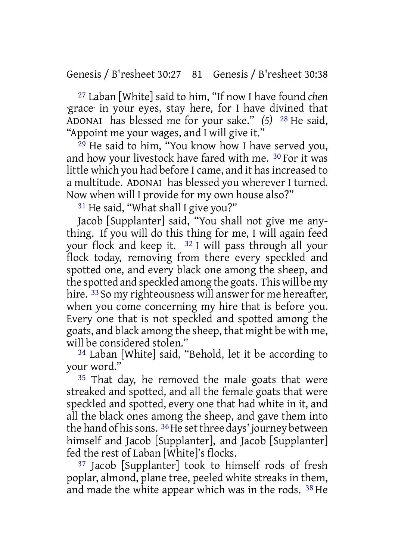Genesis / B'resheet 30:27 81 Genesis / B'resheet 30:38

27 Laban [White] said to him, "If now I have found *chen* ·grace· in your eyes, stay here, for I have divined that ADONAI has blessed me for your sake." *(5)* 28 He said, "Appoint me your wages, and I will give it."

29 He said to him, "You know how I have served you, and how your livestock have fared with me. 30 For it was little which you had before I came, and it has increased to a multitude. ADONAI has blessed you wherever I turned. Now when will I provide for my own house also?"

<sup>31</sup> He said, "What shall I give you?"

Jacob [Supplanter] said, "You shall not give me anything. If you will do this thing for me, I will again feed your flock and keep it. 32 I will pass through all your flock today, removing from there every speckled and spotted one, and every black one among the sheep, and the spotted and speckled among the goats. This will be my hire. <sup>33</sup> So my righteousness will answer for me hereafter, when you come concerning my hire that is before you. Every one that is not speckled and spotted among the goats, and black among the sheep, that might be with me, will be considered stolen."

34 Laban [White] said, "Behold, let it be according to your word."

<sup>35</sup> That day, he removed the male goats that were streaked and spotted, and all the female goats that were speckled and spotted, every one that had white in it, and all the black ones among the sheep, and gave them into the hand of his sons. <sup>36</sup>He set three days' journey between himself and Jacob [Supplanter], and Jacob [Supplanter] fed the rest of Laban [White]'s flocks.

37 Jacob [Supplanter] took to himself rods of fresh poplar, almond, plane tree, peeled white streaks in them, and made the white appear which was in the rods. 38 He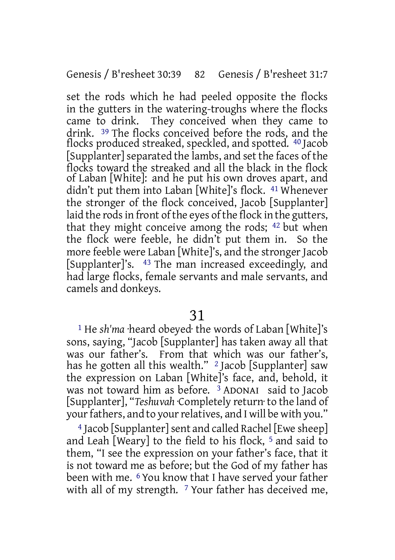set the rods which he had peeled opposite the flocks in the gutters in the watering-troughs where the flocks They conceived when they came to drink. 39 The flocks conceived before the rods, and the flocks produced streaked, speckled, and spotted. 40 Jacob [Supplanter] separated the lambs, and set the faces of the flocks toward the streaked and all the black in the flock of Laban [White]: and he put his own droves apart, and didn't put them into Laban [White]'s flock. 41 Whenever the stronger of the flock conceived, Jacob [Supplanter] laid the rods in front of the eyes of the flock in the gutters, that they might conceive among the rods; 42 but when the flock were feeble, he didn't put them in. So the more feeble were Laban [White]'s, and the stronger Jacob [Supplanter]'s. 43 The man increased exceedingly, and had large flocks, female servants and male servants, and camels and donkeys.

### 31

1 He *sh'ma* ·heard obeyed· the words of Laban [White]'s sons, saying, "Jacob [Supplanter] has taken away all that was our father's. From that which was our father's, has he gotten all this wealth." <sup>2</sup> Jacob [Supplanter] saw the expression on Laban [White]'s face, and, behold, it was not toward him as before. <sup>3</sup> ADONAI said to Jacob [Supplanter], "*Teshuvah* ·Completely return· to the land of your fathers, and to your relatives, and I will be with you."

4 Jacob [Supplanter]sent and called Rachel [Ewe sheep] and Leah [Weary] to the field to his flock, 5 and said to them, "I see the expression on your father's face, that it is not toward me as before; but the God of my father has been with me. 6 You know that I have served your father with all of my strength. <sup>7</sup> Your father has deceived me,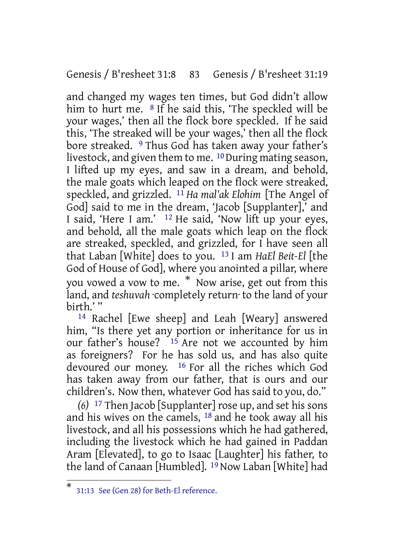Genesis / B'resheet 31:8 83 Genesis / B'resheet 31:19

and changed my wages ten times, but God didn't allow him to hurt me. <sup>8</sup> If he said this, 'The speckled will be your wages,' then all the flock bore speckled. If he said this, 'The streaked will be your wages,' then all the flock bore streaked. <sup>9</sup> Thus God has taken away your father's livestock, and given them to me. <sup>10</sup> During mating season, I lifted up my eyes, and saw in a dream, and behold, the male goats which leaped on the flock were streaked, speckled, and grizzled. 11 *Ha mal'ak Elohim* [The Angel of God] said to me in the dream, 'Jacob [Supplanter],' and I said, 'Here I am.' <sup>12</sup> He said, 'Now lift up your eyes, and behold, all the male goats which leap on the flock are streaked, speckled, and grizzled, for I have seen all that Laban [White] does to you. 13 I am *HaEl Beit-El* [the God of House of God], where you anointed a pillar, where you vowed a vow to me. \* Now arise, get out from this land, and *teshuvah* ·completely return· to the land of your birth.' "

14 Rachel [Ewe sheep] and Leah [Weary] answered him, "Is there yet any portion or inheritance for us in our father's house?  $15$  Are not we accounted by him as foreigners? For he has sold us, and has also quite devoured our money. 16 For all the riches which God has taken away from our father, that is ours and our children's. Now then, whatever God has said to you, do."

*(6)* 17 Then Jacob [Supplanter]rose up, and set his sons and his wives on the camels,  $18$  and he took away all his livestock, and all his possessions which he had gathered, including the livestock which he had gained in Paddan Aram [Elevated], to go to Isaac [Laughter] his father, to the land of Canaan [Humbled]. 19 Now Laban [White] had

<sup>\*</sup> 31:13 See (Gen 28) for Beth-El reference.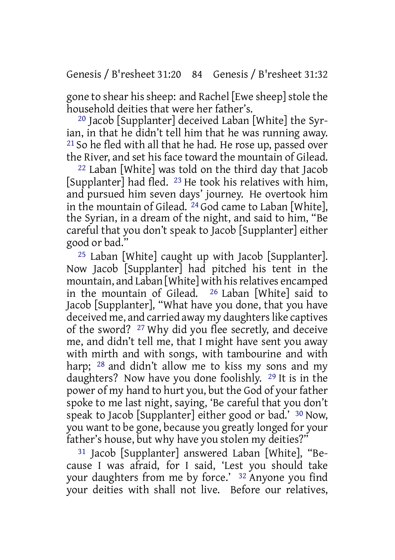gone to shear his sheep: and Rachel [Ewe sheep] stole the household deities that were her father's.

20 Jacob [Supplanter] deceived Laban [White] the Syrian, in that he didn't tell him that he was running away. 21 So he fled with all that he had. He rose up, passed over the River, and set his face toward the mountain of Gilead.

22 Laban [White] was told on the third day that Jacob [Supplanter] had fled. 23 He took his relatives with him, and pursued him seven days' journey. He overtook him in the mountain of Gilead. 24 God came to Laban [White], the Syrian, in a dream of the night, and said to him, "Be careful that you don't speak to Jacob [Supplanter] either good or bad."

25 Laban [White] caught up with Jacob [Supplanter]. Now Jacob [Supplanter] had pitched his tent in the mountain, and Laban [White] with his relatives encamped<br>in the mountain of Gilead.  $^{26}$  Laban [White] said to in the mountain of Gilead. Jacob [Supplanter], "What have you done, that you have deceived me, and carried away my daughters like captives of the sword? <sup>27</sup> Why did you flee secretly, and deceive me, and didn't tell me, that I might have sent you away with mirth and with songs, with tambourine and with harp; <sup>28</sup> and didn't allow me to kiss my sons and my daughters? Now have you done foolishly. 29 It is in the power of my hand to hurt you, but the God of your father spoke to me last night, saying, 'Be careful that you don't speak to Jacob [Supplanter] either good or bad.' 30 Now, you want to be gone, because you greatly longed for your father's house, but why have you stolen my deities?"

31 Jacob [Supplanter] answered Laban [White], "Because I was afraid, for I said, 'Lest you should take your daughters from me by force.' 32 Anyone you find your deities with shall not live. Before our relatives,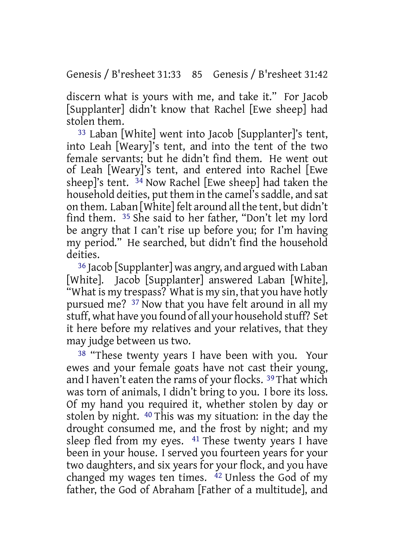discern what is yours with me, and take it." For Jacob [Supplanter] didn't know that Rachel [Ewe sheep] had stolen them.

33 Laban [White] went into Jacob [Supplanter]'s tent, into Leah [Weary]'s tent, and into the tent of the two female servants; but he didn't find them. He went out of Leah [Weary]'s tent, and entered into Rachel [Ewe sheep]'s tent. 34 Now Rachel [Ewe sheep] had taken the household deities, put them in the camel's saddle, and sat on them. Laban [White] felt around all the tent, but didn't find them. 35 She said to her father, "Don't let my lord be angry that I can't rise up before you; for I'm having my period." He searched, but didn't find the household deities.

36 Jacob [Supplanter] was angry, and argued with Laban [White]. Jacob [Supplanter] answered Laban [White], "What is my trespass? What is my sin, that you have hotly pursued me? 37 Now that you have felt around in all my stuff, what have you found of all your household stuff? Set it here before my relatives and your relatives, that they may judge between us two.

<sup>38</sup> "These twenty years I have been with you. Your ewes and your female goats have not cast their young, and I haven't eaten the rams of your flocks. 39 That which was torn of animals, I didn't bring to you. I bore its loss. Of my hand you required it, whether stolen by day or stolen by night. 40 This was my situation: in the day the drought consumed me, and the frost by night; and my sleep fled from my eyes. 41 These twenty years I have been in your house. I served you fourteen years for your two daughters, and six years for your flock, and you have changed my wages ten times. 42 Unless the God of my father, the God of Abraham [Father of a multitude], and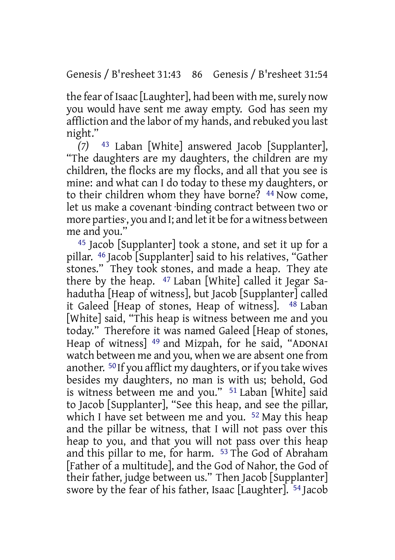the fear of Isaac [Laughter], had been with me, surely now you would have sent me away empty. God has seen my affliction and the labor of my hands, and rebuked you last night."

*(7)* 43 Laban [White] answered Jacob [Supplanter], "The daughters are my daughters, the children are my children, the flocks are my flocks, and all that you see is mine: and what can I do today to these my daughters, or to their children whom they have borne? <sup>44</sup> Now come, let us make a covenant ·binding contract between two or more parties·, you and I; and letit be for a witness between me and you."

45 Jacob [Supplanter] took a stone, and set it up for a pillar. 46 Jacob [Supplanter] said to his relatives, "Gather stones." They took stones, and made a heap. They ate there by the heap. 47 Laban [White] called it Jegar Sahadutha [Heap of witness], but Jacob [Supplanter] called it Galeed [Heap of stones, Heap of witness]. 48 Laban [White] said, "This heap is witness between me and you today." Therefore it was named Galeed [Heap of stones, Heap of witness] 49 and Mizpah, for he said, "ADONAI watch between me and you, when we are absent one from another. <sup>50</sup> If you afflict my daughters, or if you take wives besides my daughters, no man is with us; behold, God is witness between me and you." 51 Laban [White] said to Jacob [Supplanter], "See this heap, and see the pillar, which I have set between me and you. <sup>52</sup> May this heap and the pillar be witness, that I will not pass over this heap to you, and that you will not pass over this heap and this pillar to me, for harm. 53 The God of Abraham [Father of a multitude], and the God of Nahor, the God of their father, judge between us." Then Jacob [Supplanter] swore by the fear of his father, Isaac [Laughter]. 54 Jacob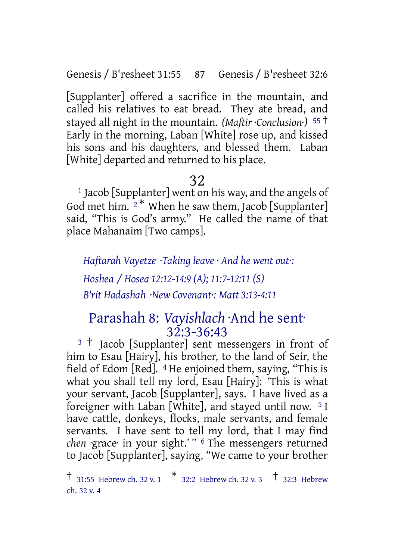Genesis / B'resheet 31:55 87 Genesis / B'resheet 32:6

[Supplanter] offered a sacrifice in the mountain, and called his relatives to eat bread. They ate bread, and stayed all night in the mountain. *(Maftir ·Conclusion·)* <sup>55</sup> † Early in the morning, Laban [White] rose up, and kissed his sons and his daughters, and blessed them. Laban [White] departed and returned to his place.

# 32

 $^1$  Jacob [Supplanter] went on his way, and the angels of God met him.  $2^*$  When he saw them, Jacob [Supplanter] said, "This is God's army." He called the name of that place Mahanaim [Two camps].

*Haftarah Vayetze ·Taking leave · And he went out·:*

*Hoshea / Hosea 12:12-14:9 (A); 11:7-12:11 (S) B'rit Hadashah ·New Covenant·: Matt 3:13-4:11*

## Parashah 8: *Vayishlach* ·And he sent· 32:3-36:43

<sup>3</sup> <sup>†</sup> Jacob [Supplanter] sent messengers in front of him to Esau [Hairy], his brother, to the land of Seir, the field of Edom [Red]. 4 He enjoined them, saying, "This is what you shall tell my lord, Esau [Hairy]: 'This is what your servant, Jacob [Supplanter], says. I have lived as a foreigner with Laban [White], and stayed until now. 5 I have cattle, donkeys, flocks, male servants, and female servants. I have sent to tell my lord, that I may find *chen* ·grace· in your sight.' " 6 The messengers returned to Jacob [Supplanter], saying, "We came to your brother

<sup>&</sup>lt;sup>†</sup> 31:55 Hebrew ch. 32 v. 1  $*$  32:2 Hebrew ch. 32 v. 3  $*$  32:3 Hebrew ch. 32 v. 4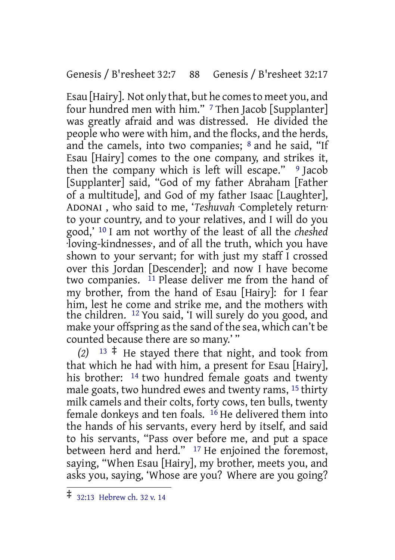#### Genesis / B'resheet 32:7 88 Genesis / B'resheet 32:17

Esau [Hairy]. Not only that, but he comesto meet you, and four hundred men with him." 7 Then Jacob [Supplanter] was greatly afraid and was distressed. He divided the people who were with him, and the flocks, and the herds, and the camels, into two companies;  $8$  and he said, "If Esau [Hairy] comes to the one company, and strikes it, then the company which is left will escape."  $9$  Jacob [Supplanter] said, "God of my father Abraham [Father of a multitude], and God of my father Isaac [Laughter], ADONAI , who said to me, '*Teshuvah* ·Completely return· to your country, and to your relatives, and I will do you good,' 10 I am not worthy of the least of all the *cheshed* ·loving-kindnesses·, and of all the truth, which you have shown to your servant; for with just my staff I crossed over this Jordan [Descender]; and now I have become two companies. 11 Please deliver me from the hand of my brother, from the hand of Esau [Hairy]: for I fear him, lest he come and strike me, and the mothers with the children. 12 You said, 'I will surely do you good, and make your offspring as the sand of the sea, which can't be counted because there are so many.' "

 $(2)$  <sup>13</sup>  $\pm$  He stayed there that night, and took from that which he had with him, a present for Esau [Hairy], his brother: <sup>14</sup> two hundred female goats and twenty male goats, two hundred ewes and twenty rams, 15 thirty milk camels and their colts, forty cows, ten bulls, twenty female donkeys and ten foals. 16 He delivered them into the hands of his servants, every herd by itself, and said to his servants, "Pass over before me, and put a space between herd and herd." <sup>17</sup> He enjoined the foremost, saying, "When Esau [Hairy], my brother, meets you, and asks you, saying, 'Whose are you? Where are you going?

<sup>‡</sup> 32:13 Hebrew ch. <sup>32</sup> v. <sup>14</sup>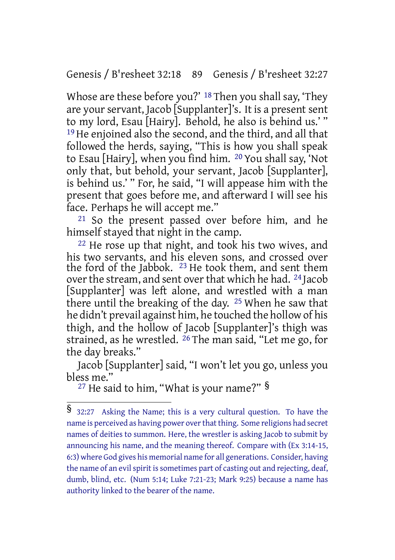Genesis / B'resheet 32:18 89 Genesis / B'resheet 32:27

Whose are these before you?' 18 Then you shall say, 'They are your servant, Jacob [Supplanter]'s. It is a present sent to my lord, Esau [Hairy]. Behold, he also is behind us.' " 19 He enjoined also the second, and the third, and all that followed the herds, saying, "This is how you shall speak to Esau [Hairy], when you find him. 20 You shall say, 'Not only that, but behold, your servant, Jacob [Supplanter], is behind us.' " For, he said, "I will appease him with the present that goes before me, and afterward I will see his face. Perhaps he will accept me."

21 So the present passed over before him, and he himself stayed that night in the camp.

22 He rose up that night, and took his two wives, and his two servants, and his eleven sons, and crossed over the ford of the Jabbok. 23 He took them, and sent them over the stream, and sent over that which he had. <sup>24</sup> Jacob [Supplanter] was left alone, and wrestled with a man there until the breaking of the day. 25 When he saw that he didn't prevail against him, he touched the hollow of his thigh, and the hollow of Jacob [Supplanter]'s thigh was strained, as he wrestled. 26 The man said, "Let me go, for the day breaks."

Jacob [Supplanter] said, "I won't let you go, unless you bless me."

<sup>27</sup> He said to him, "What is your name?" §

<sup>§</sup> 32:27 Asking the Name; this is <sup>a</sup> very cultural question. To have the name is perceived as having power over that thing. Some religions had secret names of deities to summon. Here, the wrestler is asking Jacob to submit by announcing his name, and the meaning thereof. Compare with (Ex 3:14-15, 6:3) where God gives his memorial name for all generations. Consider, having the name of an evil spirit is sometimes part of casting out and rejecting, deaf, dumb, blind, etc. (Num 5:14; Luke 7:21-23; Mark 9:25) because a name has authority linked to the bearer of the name.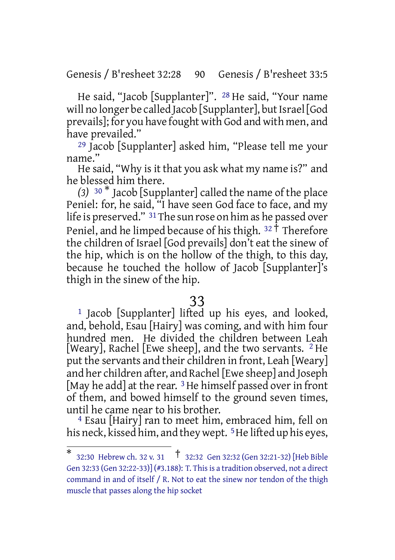#### Genesis / B'resheet 32:28 90 Genesis / B'resheet 33:5

He said, "Jacob [Supplanter]". 28 He said, "Your name will no longer be called Jacob [Supplanter], but Israel [God prevails]; for you have fought with God and with men, and have prevailed."

29 Jacob [Supplanter] asked him, "Please tell me your name."

He said, "Why is it that you ask what my name is?" and he blessed him there.

*(3)* <sup>30</sup> \* Jacob [Supplanter] called the name of the place Peniel: for, he said, "I have seen God face to face, and my life is preserved." 31The sun rose on him as he passed over Peniel, and he limped because of his thigh.  $32 \text{ }\mathring{\mathsf{T}}$  Therefore the children of Israel [God prevails] don't eat the sinew of the hip, which is on the hollow of the thigh, to this day, because he touched the hollow of Jacob [Supplanter]'s thigh in the sinew of the hip.

#### 33

1 Jacob [Supplanter] lifted up his eyes, and looked, and, behold, Esau [Hairy] was coming, and with him four hundred men. He divided the children between Leah [Weary], Rachel [Ewe sheep], and the two servants. <sup>2</sup> He put the servants and their children in front, Leah [Weary] and her children after, and Rachel [Ewe sheep] and Joseph [May he add] at the rear.  $3$  He himself passed over in front of them, and bowed himself to the ground seven times, until he came near to his brother.

4 Esau [Hairy] ran to meet him, embraced him, fell on his neck, kissed him, and they wept. <sup>5</sup> He lifted up his eyes,

<sup>\*</sup> 32:30 Hebrew ch. <sup>32</sup> v. <sup>31</sup> † 32:32 Gen 32:32 (Gen 32:21-32) [Heb Bible Gen 32:33 (Gen 32:22-33)] (#3.188): T. Thisis a tradition observed, not a direct command in and of itself / R. Not to eat the sinew nor tendon of the thigh muscle that passes along the hip socket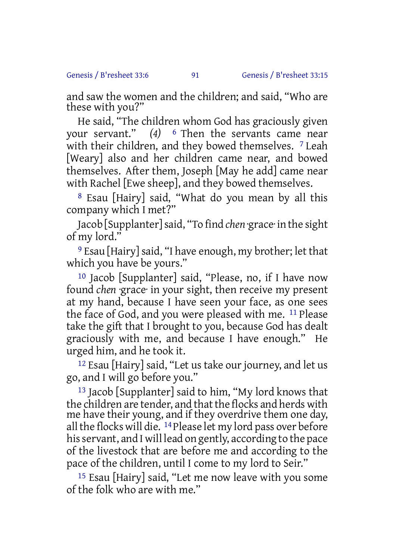and saw the women and the children; and said, "Who are these with you?"

He said, "The children whom God has graciously given your servant." *(4)* 6 Then the servants came near with their children, and they bowed themselves. <sup>7</sup> Leah [Weary] also and her children came near, and bowed themselves. After them, Joseph [May he add] came near with Rachel [Ewe sheep], and they bowed themselves.

8 Esau [Hairy] said, "What do you mean by all this company which I met?"

Jacob [Supplanter]said, "To find *chen* ·grace· in the sight of my lord."

<sup>9</sup> Esau [Hairy] said, "I have enough, my brother; let that which you have be yours."

10 Jacob [Supplanter] said, "Please, no, if I have now found *chen* ·grace· in your sight, then receive my present at my hand, because I have seen your face, as one sees the face of God, and you were pleased with me. 11 Please take the gift that I brought to you, because God has dealt graciously with me, and because I have enough." He urged him, and he took it.

12 Esau [Hairy] said, "Let us take our journey, and let us go, and I will go before you."

13 Jacob [Supplanter] said to him, "My lord knows that the children are tender, and that the flocks and herds with me have their young, and if they overdrive them one day, all the flocks will die. <sup>14</sup> Please let my lord pass over before his servant, and I will lead on gently, according to the pace of the livestock that are before me and according to the pace of the children, until I come to my lord to Seir."

15 Esau [Hairy] said, "Let me now leave with you some of the folk who are with me."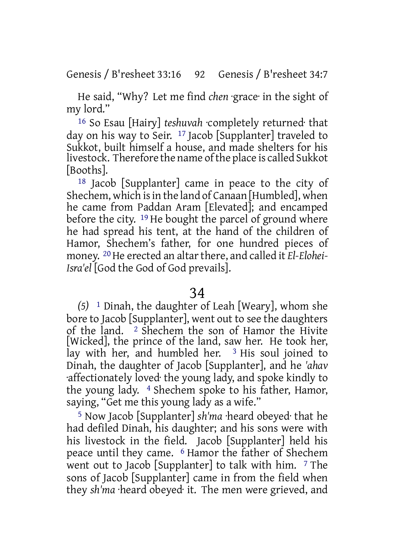He said, "Why? Let me find *chen* ·grace· in the sight of my lord."

16 So Esau [Hairy] *teshuvah* ·completely returned· that day on his way to Seir. 17 Jacob [Supplanter] traveled to Sukkot, built himself a house, and made shelters for his livestock. Therefore the name ofthe place is called Sukkot [Booths].

18 Jacob [Supplanter] came in peace to the city of Shechem, which isin the land of Canaan [Humbled], when he came from Paddan Aram [Elevated]; and encamped before the city. 19 He bought the parcel of ground where he had spread his tent, at the hand of the children of Hamor, Shechem's father, for one hundred pieces of money. <sup>20</sup> He erected an altar there, and called it *El-Elohei-Isra'el* [God the God of God prevails].

#### 34

*(5)* 1 Dinah, the daughter of Leah [Weary], whom she bore to Jacob [Supplanter], went out to see the daughters of the land. 2 Shechem the son of Hamor the Hivite [Wicked], the prince of the land, saw her. He took her, lay with her, and humbled her.  $3$  His soul joined to Dinah, the daughter of Jacob [Supplanter], and he *'ahav* ·affectionately loved· the young lady, and spoke kindly to the young lady. 4 Shechem spoke to his father, Hamor, saying, "Get me this young lady as a wife."

5 Now Jacob [Supplanter] *sh'ma* ·heard obeyed· that he had defiled Dinah, his daughter; and his sons were with his livestock in the field. Jacob [Supplanter] held his peace until they came. 6 Hamor the father of Shechem went out to Jacob [Supplanter] to talk with him. 7 The sons of Jacob [Supplanter] came in from the field when they *sh'ma* ·heard obeyed· it. The men were grieved, and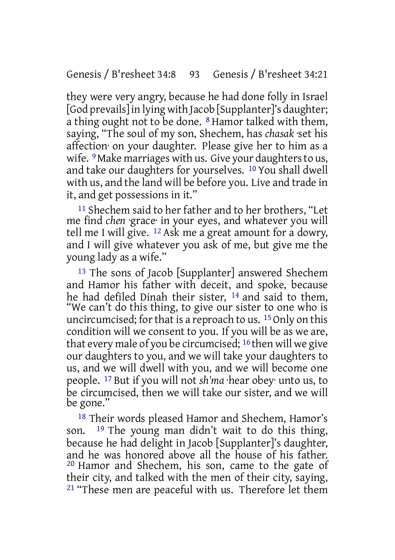they were very angry, because he had done folly in Israel [God prevails]in lying with Jacob [Supplanter]'s daughter; a thing ought not to be done. 8 Hamor talked with them, saying, "The soul of my son, Shechem, has *chasak* ·set his affection· on your daughter. Please give her to him as a wife. <sup>9</sup> Make marriages with us. Give your daughters to us, and take our daughters for yourselves. 10 You shall dwell with us, and the land will be before you. Live and trade in it, and get possessions in it."

11 Shechem said to her father and to her brothers, "Let me find *chen* ·grace· in your eyes, and whatever you will tell me I will give. 12 Ask me a great amount for a dowry, and I will give whatever you ask of me, but give me the young lady as a wife."

13 The sons of Jacob [Supplanter] answered Shechem and Hamor his father with deceit, and spoke, because he had defiled Dinah their sister,  $^{14}$  and said to them, "We can't do this thing, to give our sister to one who is uncircumcised; for that is a reproach to us.  $15$  Only on this condition will we consent to you. If you will be as we are, that every male of you be circumcised; 16 then will we give our daughters to you, and we will take your daughters to us, and we will dwell with you, and we will become one people. 17 But if you will not *sh'ma* ·hear obey· unto us, to be circumcised, then we will take our sister, and we will be gone."

18 Their words pleased Hamor and Shechem, Hamor's son. 19 The young man didn't wait to do this thing, because he had delight in Jacob [Supplanter]'s daughter, and he was honored above all the house of his father. 20 Hamor and Shechem, his son, came to the gate of their city, and talked with the men of their city, saying, <sup>21</sup> "These men are peaceful with us. Therefore let them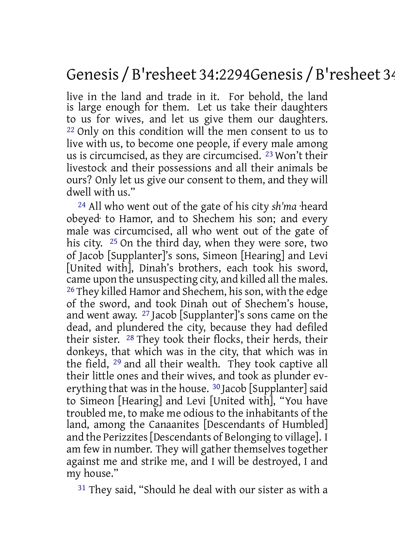# Genesis / B'resheet 34:2294Genesis / B'resheet 34

live in the land and trade in it. For behold, the land is large enough for them. Let us take their daughters to us for wives, and let us give them our daughters. 22 Only on this condition will the men consent to us to live with us, to become one people, if every male among us is circumcised, as they are circumcised. 23 Won't their livestock and their possessions and all their animals be ours? Only let us give our consent to them, and they will dwell with us."

24 All who went out of the gate of his city *sh'ma* ·heard obeyed· to Hamor, and to Shechem his son; and every male was circumcised, all who went out of the gate of his city. 25 On the third day, when they were sore, two of Jacob [Supplanter]'s sons, Simeon [Hearing] and Levi [United with], Dinah's brothers, each took his sword, came upon the unsuspecting city, and killed all the males. <sup>26</sup> They killed Hamor and Shechem, his son, with the edge of the sword, and took Dinah out of Shechem's house, and went away. 27 Jacob [Supplanter]'s sons came on the dead, and plundered the city, because they had defiled their sister. 28 They took their flocks, their herds, their donkeys, that which was in the city, that which was in the field, 29 and all their wealth. They took captive all their little ones and their wives, and took as plunder everything that was in the house. 30 Jacob [Supplanter] said to Simeon [Hearing] and Levi [United with], "You have troubled me, to make me odious to the inhabitants of the land, among the Canaanites [Descendants of Humbled] and the Perizzites[Descendants of Belonging to village]. I am few in number. They will gather themselves together against me and strike me, and I will be destroyed, I and my house."

31 They said, "Should he deal with our sister as with a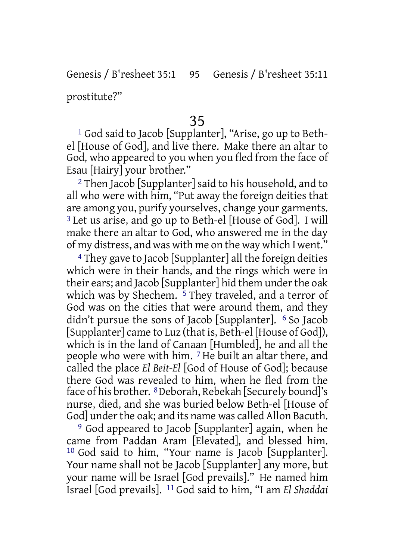Genesis / B'resheet 35:1 95 Genesis / B'resheet 35:11

prostitute?"

#### 35

1 God said to Jacob [Supplanter], "Arise, go up to Bethel [House of God], and live there. Make there an altar to God, who appeared to you when you fled from the face of Esau [Hairy] your brother."

2 Then Jacob [Supplanter] said to his household, and to all who were with him, "Put away the foreign deities that are among you, purify yourselves, change your garments. 3 Let us arise, and go up to Beth-el [House of God]. I will make there an altar to God, who answered me in the day of my distress, and was with me on the way which I went."

4 They gave to Jacob [Supplanter] all the foreign deities which were in their hands, and the rings which were in their ears; and Jacob [Supplanter] hid them underthe oak which was by Shechem. <sup>5</sup> They traveled, and a terror of God was on the cities that were around them, and they didn't pursue the sons of Jacob [Supplanter]. 6 So Jacob [Supplanter] came to Luz (that is, Beth-el [House of God]), which is in the land of Canaan [Humbled], he and all the people who were with him. 7 He built an altar there, and called the place *El Beit-El* [God of House of God]; because there God was revealed to him, when he fled from the face of his brother. 8Deborah, Rebekah [Securely bound]'s nurse, died, and she was buried below Beth-el [House of God] under the oak; and its name was called Allon Bacuth.

9 God appeared to Jacob [Supplanter] again, when he came from Paddan Aram [Elevated], and blessed him. 10 God said to him, "Your name is Jacob [Supplanter]. Your name shall not be Jacob [Supplanter] any more, but your name will be Israel [God prevails]." He named him Israel [God prevails]. 11 God said to him, "I am *El Shaddai*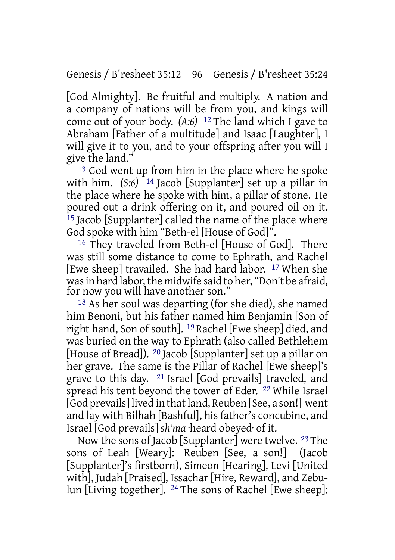[God Almighty]. Be fruitful and multiply. A nation and a company of nations will be from you, and kings will come out of your body. *(A:6)* 12 The land which I gave to Abraham [Father of a multitude] and Isaac [Laughter], I will give it to you, and to your offspring after you will I give the land."

13 God went up from him in the place where he spoke with him. *(S:6)* 14 Jacob [Supplanter] set up a pillar in the place where he spoke with him, a pillar of stone. He poured out a drink offering on it, and poured oil on it. 15 Jacob [Supplanter] called the name of the place where God spoke with him "Beth-el [House of God]".

16 They traveled from Beth-el [House of God]. There was still some distance to come to Ephrath, and Rachel [Ewe sheep] travailed. She had hard labor. 17 When she was in hard labor, the midwife said to her, "Don't be afraid, for now you will have another son."

18 As her soul was departing (for she died), she named him Benoni, but his father named him Benjamin [Son of right hand, Son of south]. 19 Rachel [Ewe sheep] died, and was buried on the way to Ephrath (also called Bethlehem [House of Bread]). 20 Jacob [Supplanter] set up a pillar on her grave. The same is the Pillar of Rachel [Ewe sheep]'s grave to this day. 21 Israel [God prevails] traveled, and spread his tent beyond the tower of Eder. 22 While Israel [God prevails] lived in thatland, Reuben [See, a son!] went and lay with Bilhah [Bashful], his father's concubine, and Israel [God prevails] *sh'ma* ·heard obeyed· of it.

Now the sons of Jacob [Supplanter] were twelve. 23 The sons of Leah [Weary]: Reuben [See, a son!] (Jacob [Supplanter]'s firstborn), Simeon [Hearing], Levi [United with], Judah [Praised], Issachar [Hire, Reward], and Zebulun [Living together]. 24 The sons of Rachel [Ewe sheep]: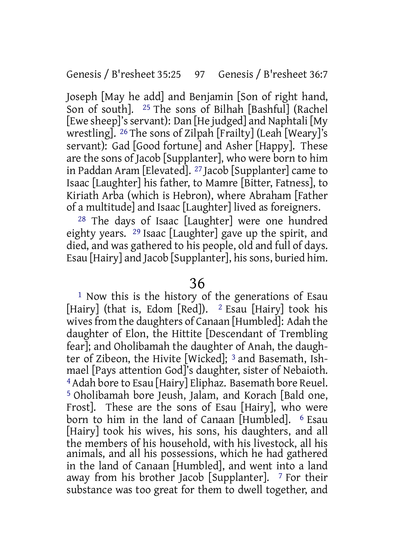Joseph [May he add] and Benjamin [Son of right hand, Son of south]. 25 The sons of Bilhah [Bashful] (Rachel [Ewe sheep]'s servant]: Dan [He judged] and Naphtali [My wrestling]. 26 The sons of Zilpah [Frailty] (Leah [Weary]'s servant): Gad [Good fortune] and Asher [Happy]. These are the sons of Jacob [Supplanter], who were born to him in Paddan Aram [Elevated]. 27 Jacob [Supplanter] came to Isaac [Laughter] his father, to Mamre [Bitter, Fatness], to Kiriath Arba (which is Hebron), where Abraham [Father of a multitude] and Isaac [Laughter] lived as foreigners.

28 The days of Isaac [Laughter] were one hundred eighty years. 29 Isaac [Laughter] gave up the spirit, and died, and was gathered to his people, old and full of days. Esau [Hairy] and Jacob [Supplanter], hissons, buried him.

#### 36

1 Now this is the history of the generations of Esau [Hairy] (that is, Edom [Red]). <sup>2</sup> Esau [Hairy] took his wivesfrom the daughters of Canaan [Humbled]: Adah the daughter of Elon, the Hittite [Descendant of Trembling fear]; and Oholibamah the daughter of Anah, the daughter of Zibeon, the Hivite [Wicked]; 3 and Basemath, Ishmael [Pays attention God]'s daughter, sister of Nebaioth. <sup>4</sup> Adah bore to Esau [Hairy] Eliphaz. Basemath bore Reuel. 5 Oholibamah bore Jeush, Jalam, and Korach [Bald one, Frost]. These are the sons of Esau [Hairy], who were born to him in the land of Canaan [Humbled]. 6 Esau [Hairy] took his wives, his sons, his daughters, and all the members of his household, with his livestock, all his animals, and all his possessions, which he had gathered in the land of Canaan [Humbled], and went into a land away from his brother Jacob [Supplanter].  $\frac{7}{7}$  For their substance was too great for them to dwell together, and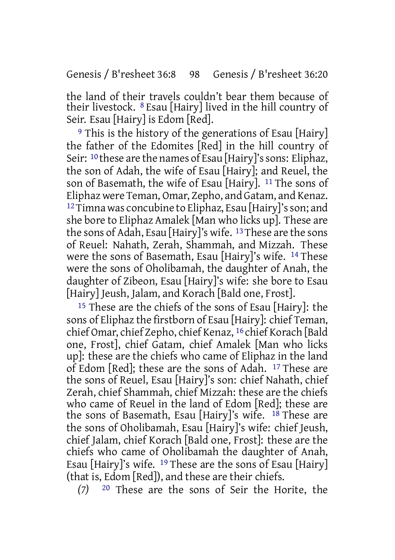Genesis / B'resheet 36:8 98 Genesis / B'resheet 36:20

the land of their travels couldn't bear them because of their livestock. 8 Esau [Hairy] lived in the hill country of Seir. Esau [Hairy] is Edom [Red].

<sup>9</sup> This is the history of the generations of Esau [Hairy] the father of the Edomites [Red] in the hill country of Seir: <sup>10</sup> these are the names of Esau [Hairy]'s sons: Eliphaz, the son of Adah, the wife of Esau [Hairy]; and Reuel, the son of Basemath, the wife of Esau [Hairy]. 11 The sons of Eliphaz were Teman, Omar, Zepho, and Gatam, and Kenaz. <sup>12</sup>Timna was concubine to Eliphaz, Esau [Hairy]'s son; and she bore to Eliphaz Amalek [Man who licks up]. These are the sons of Adah, Esau [Hairy]'s wife. 13These are the sons of Reuel: Nahath, Zerah, Shammah, and Mizzah. These were the sons of Basemath, Esau [Hairy]'s wife. 14 These were the sons of Oholibamah, the daughter of Anah, the daughter of Zibeon, Esau [Hairy]'s wife: she bore to Esau [Hairy] Jeush, Jalam, and Korach [Bald one, Frost].

15 These are the chiefs of the sons of Esau [Hairy]: the sons of Eliphaz the firstborn of Esau [Hairy]: chief Teman, chief Omar, chief Zepho, chief Kenaz, 16 chief Korach [Bald one, Frost], chief Gatam, chief Amalek [Man who licks up]: these are the chiefs who came of Eliphaz in the land of Edom [Red]; these are the sons of Adah. 17 These are the sons of Reuel, Esau [Hairy]'s son: chief Nahath, chief Zerah, chief Shammah, chief Mizzah: these are the chiefs who came of Reuel in the land of Edom [Red]; these are the sons of Basemath, Esau [Hairy]'s wife. 18 These are the sons of Oholibamah, Esau [Hairy]'s wife: chief Jeush, chief Jalam, chief Korach [Bald one, Frost]: these are the chiefs who came of Oholibamah the daughter of Anah, Esau [Hairy]'s wife. 19 These are the sons of Esau [Hairy] (that is, Edom [Red]), and these are their chiefs.

*(7)* 20 These are the sons of Seir the Horite, the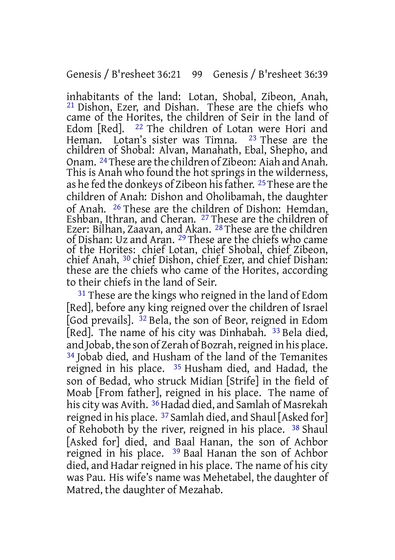inhabitants of the land: Lotan, Shobal, Zibeon, Anah, 21 Dishon, Ezer, and Dishan. These are the chiefs who came of the Horites, the children of Seir in the land of Edom [Red]. 22 The children of Lotan were Hori and Heman. Lotan's sister was Timna. 23 These are the children of Shobal: Alvan, Manahath, Ebal, Shepho, and Onam. 24These are the children of Zibeon: Aiah and Anah. This is Anah who found the hot springs in the wilderness, as he fed the donkeys of Zibeon his father. <sup>25</sup> These are the children of Anah: Dishon and Oholibamah, the daughter of Anah. 26 These are the children of Dishon: Hemdan, Eshban, Ithran, and Cheran. 27 These are the children of Ezer: Bilhan, Zaavan, and Akan. 28 These are the children of Dishan: Uz and Aran. 29 These are the chiefs who came of the Horites: chief Lotan, chief Shobal, chief Zibeon, chief Anah, 30 chief Dishon, chief Ezer, and chief Dishan: these are the chiefs who came of the Horites, according to their chiefs in the land of Seir.

<sup>31</sup> These are the kings who reigned in the land of Edom [Red], before any king reigned over the children of Israel [God prevails]. 32 Bela, the son of Beor, reigned in Edom [Red]. The name of his city was Dinhabah. 33 Bela died, and Jobab, the son of Zerah of Bozrah, reigned in his place. 34 Jobab died, and Husham of the land of the Temanites reigned in his place. 35 Husham died, and Hadad, the son of Bedad, who struck Midian [Strife] in the field of Moab [From father], reigned in his place. The name of his city was Avith. <sup>36</sup> Hadad died, and Samlah of Masrekah reigned in his place. 37 Samlah died, and Shaul [Asked for] of Rehoboth by the river, reigned in his place. 38 Shaul [Asked for] died, and Baal Hanan, the son of Achbor reigned in his place. 39 Baal Hanan the son of Achbor died, and Hadar reigned in his place. The name of his citv was Pau. His wife's name was Mehetabel, the daughter of Matred, the daughter of Mezahab.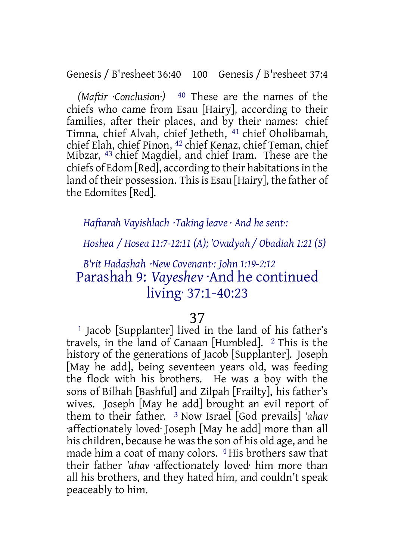Genesis / B'resheet 36:40 100 Genesis / B'resheet 37:4

*(Maftir ·Conclusion·)* 40 These are the names of the chiefs who came from Esau [Hairy], according to their families, after their places, and by their names: chief Timna, chief Alvah, chief Jetheth, 41 chief Oholibamah, chief Elah, chief Pinon, 42 chief Kenaz, chief Teman, chief Mibzar, 43 chief Magdiel, and chief Iram. These are the chiefs of Edom [Red], according to their habitationsin the land of their possession. This is Esau [Hairy], the father of the Edomites [Red].

*Haftarah Vayishlach ·Taking leave · And he sent·:*

*Hoshea / Hosea 11:7-12:11 (A); 'Ovadyah / Obadiah 1:21 (S)*

# *B'rit Hadashah ·New Covenant·: John 1:19-2:12* Parashah 9: *Vayeshev* ·And he continued living· 37:1-40:23

#### 37

1 Jacob [Supplanter] lived in the land of his father's travels, in the land of Canaan [Humbled]. 2 This is the history of the generations of Jacob [Supplanter]. Joseph [May he add], being seventeen years old, was feeding the flock with his brothers. He was a boy with the sons of Bilhah [Bashful] and Zilpah [Frailty], his father's wives. Joseph [May he add] brought an evil report of them to their father. 3 Now Israel [God prevails] *'ahav* ·affectionately loved· Joseph [May he add] more than all his children, because he was the son of his old age, and he made him a coat of many colors. 4 His brothers saw that their father *'ahav* ·affectionately loved· him more than all his brothers, and they hated him, and couldn't speak peaceably to him.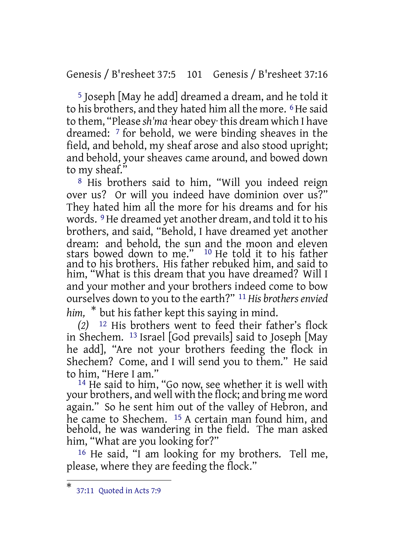Genesis / B'resheet 37:5 101 Genesis / B'resheet 37:16

5 Joseph [May he add] dreamed a dream, and he told it to his brothers, and they hated him all the more. <sup>6</sup>He said to them, "Please *sh'ma* ·hear obey· this dream which I have dreamed: 7 for behold, we were binding sheaves in the field, and behold, my sheaf arose and also stood upright; and behold, your sheaves came around, and bowed down to my sheaf."

8 His brothers said to him, "Will you indeed reign over us? Or will you indeed have dominion over us?" They hated him all the more for his dreams and for his words. 9He dreamed yet another dream, and told it to his brothers, and said, "Behold, I have dreamed yet another dream: and behold, the sun and the moon and eleven stars bowed down to me." 10 He told it to his father and to his brothers. His father rebuked him, and said to him, "What is this dream that you have dreamed? Will I and your mother and your brothers indeed come to bow ourselves down to you to the earth?" 11 *His brothersenvied*

*him,* \* but his father kept this saying in mind.

*(2)* 12 His brothers went to feed their father's flock in Shechem. 13 Israel [God prevails] said to Joseph [May he add], "Are not your brothers feeding the flock in Shechem? Come, and I will send you to them." He said to him, "Here I am."

<sup>14</sup> He said to him, "Go now, see whether it is well with your brothers, and well with the flock; and bring me word again." So he sent him out of the valley of Hebron, and he came to Shechem. 15 A certain man found him, and behold, he was wandering in the field. The man asked him, "What are you looking for?"

16 He said, "I am looking for my brothers. Tell me, please, where they are feeding the flock."

<sup>\*</sup> 37:11 Quoted in Acts 7:9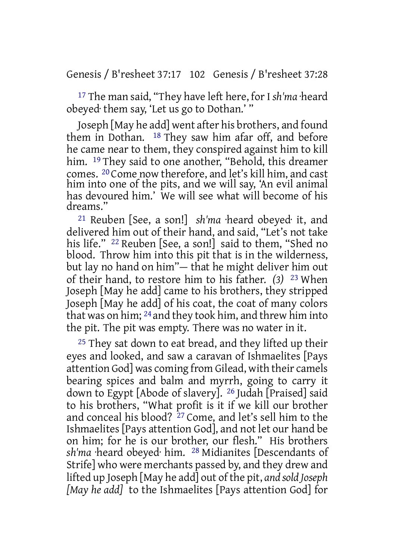Genesis / B'resheet 37:17 102 Genesis / B'resheet 37:28

<sup>17</sup> The man said, "They have left here, for I *sh'ma* ·heard obeyed· them say, 'Let us go to Dothan.' "

Joseph [May he add] went after his brothers, and found them in Dothan. 18 They saw him afar off, and before he came near to them, they conspired against him to kill him. <sup>19</sup> They said to one another, "Behold, this dreamer comes. 20 Come now therefore, and let's kill him, and cast him into one of the pits, and we will say, 'An evil animal has devoured him.' We will see what will become of his dreams."

21 Reuben [See, a son!] *sh'ma* ·heard obeyed· it, and delivered him out of their hand, and said, "Let's not take his life." 22 Reuben [See, a son!] said to them, "Shed no blood. Throw him into this pit that is in the wilderness, but lay no hand on him"— that he might deliver him out of their hand, to restore him to his father. *(3)* 23 When Joseph [May he add] came to his brothers, they stripped Joseph [May he add] of his coat, the coat of many colors that was on him; 24 and they took him, and threw him into the pit. The pit was empty. There was no water in it.

<sup>25</sup> They sat down to eat bread, and they lifted up their eyes and looked, and saw a caravan of Ishmaelites [Pays attention God] was coming from Gilead, with their camels bearing spices and balm and myrrh, going to carry it down to Egypt [Abode of slavery]. 26 Judah [Praised] said to his brothers, "What profit is it if we kill our brother and conceal his blood? 27 Come, and let's sell him to the Ishmaelites [Pays attention God], and not let our hand be on him; for he is our brother, our flesh." His brothers *sh'ma* ·heard obeyed· him. 28 Midianites [Descendants of Strife] who were merchants passed by, and they drew and lifted up Joseph [May he add] out of the pit, *and sold Joseph [May he add]* to the Ishmaelites [Pays attention God] for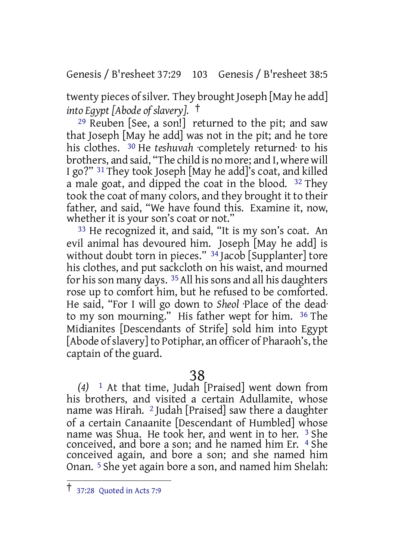Genesis / B'resheet 37:29 103 Genesis / B'resheet 38:5

twenty pieces of silver. They brought Joseph [May he add] *into Egypt [Abode of slavery].* †

29 Reuben [See, a son!] returned to the pit; and saw that Joseph [May he add] was not in the pit; and he tore his clothes. 30 He *teshuvah* ·completely returned· to his brothers, and said, "The child is no more; and I, where will I go?" 31 They took Joseph [May he add]'s coat, and killed a male goat, and dipped the coat in the blood. 32 They took the coat of many colors, and they brought it to their father, and said, "We have found this. Examine it, now, whether it is your son's coat or not."

33 He recognized it, and said, "It is my son's coat. An evil animal has devoured him. Joseph [May he add] is without doubt torn in pieces." <sup>34</sup> Jacob [Supplanter] tore his clothes, and put sackcloth on his waist, and mourned for his son many days. <sup>35</sup> All his sons and all his daughters rose up to comfort him, but he refused to be comforted. He said, "For I will go down to *Sheol* ·Place of the dead· to my son mourning." His father wept for him. 36 The Midianites [Descendants of Strife] sold him into Egypt [Abode of slavery] to Potiphar, an officer of Pharaoh's, the captain of the guard.

# 38

*(4)* 1 At that time, Judah [Praised] went down from his brothers, and visited a certain Adullamite, whose name was Hirah. 2 Judah [Praised] saw there a daughter of a certain Canaanite [Descendant of Humbled] whose name was Shua. He took her, and went in to her. 3 She conceived, and bore a son; and he named him Er. 4 She conceived again, and bore a son; and she named him Onan. 5 She yet again bore a son, and named him Shelah:

<sup>†</sup> 37:28 Quoted in Acts 7:9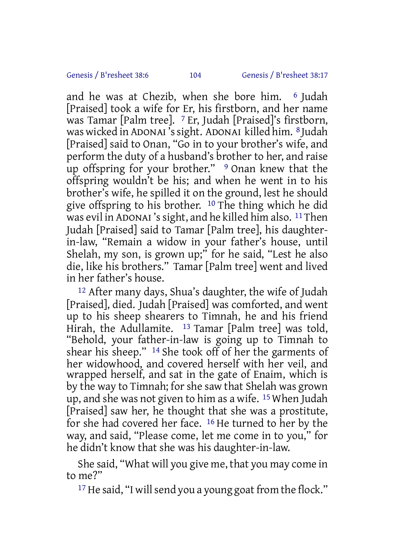and he was at Chezib, when she bore him. 6 Judah [Praised] took a wife for Er, his firstborn, and her name was Tamar [Palm tree]. 7 Er, Judah [Praised]'s firstborn, was wicked in ADONAI 'ssight. ADONAI killed him. 8 Judah [Praised] said to Onan, "Go in to your brother's wife, and perform the duty of a husband's brother to her, and raise up offspring for your brother." <sup>9</sup> Onan knew that the offspring wouldn't be his; and when he went in to his brother's wife, he spilled it on the ground, lest he should give offspring to his brother. 10 The thing which he did was evil in ADONAI's sight, and he killed him also. <sup>11</sup> Then Judah [Praised] said to Tamar [Palm tree], his daughterin-law, "Remain a widow in your father's house, until Shelah, my son, is grown up;" for he said, "Lest he also die, like his brothers." Tamar [Palm tree] went and lived in her father's house.

12 After many days, Shua's daughter, the wife of Judah [Praised], died. Judah [Praised] was comforted, and went up to his sheep shearers to Timnah, he and his friend Hirah, the Adullamite. 13 Tamar [Palm tree] was told, "Behold, your father-in-law is going up to Timnah to shear his sheep." 14 She took off of her the garments of her widowhood, and covered herself with her veil, and wrapped herself, and sat in the gate of Enaim, which is by the way to Timnah; for she saw that Shelah was grown up, and she was not given to him as a wife. 15 When Judah [Praised] saw her, he thought that she was a prostitute, for she had covered her face.  $16$  He turned to her by the way, and said, "Please come, let me come in to you," for he didn't know that she was his daughter-in-law.

She said, "What will you give me, that you may come in to me?"

<sup>17</sup> He said, "I will send you a young goat from the flock."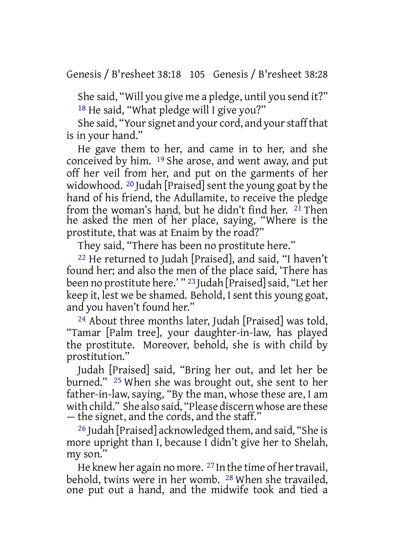She said, "Will you give me a pledge, until you send it?" 18 He said, "What pledge will I give you?"

She said, "Your signet and your cord, and your staff that is in your hand."

He gave them to her, and came in to her, and she conceived by him. 19 She arose, and went away, and put off her veil from her, and put on the garments of her widowhood. <sup>20</sup> Judah [Praised] sent the young goat by the hand of his friend, the Adullamite, to receive the pledge from the woman's hand, but he didn't find her. <sup>21</sup> Then he asked the men of her place, saying, "Where is the prostitute, that was at Enaim by the road?"

They said, "There has been no prostitute here."

22 He returned to Judah [Praised], and said, "I haven't found her; and also the men of the place said, 'There has been no prostitute here.' " <sup>23</sup> Judah [Praised] said, "Let her keep it, lest we be shamed. Behold, I sent this young goat, and you haven't found her."

24 About three months later, Judah [Praised] was told, "Tamar [Palm tree], your daughter-in-law, has played the prostitute. Moreover, behold, she is with child by prostitution."

Judah [Praised] said, "Bring her out, and let her be burned." 25 When she was brought out, she sent to her father-in-law, saying, "By the man, whose these are, I am with child." She also said, "Please discern whose are these — the signet, and the cords, and the staff."

26 Judah [Praised] acknowledged them, and said, "She is more upright than I, because I didn't give her to Shelah, my son."

He knew her again no more.  $^{27}$  In the time of her travail, behold, twins were in her womb. 28 When she travailed, one put out a hand, and the midwife took and tied a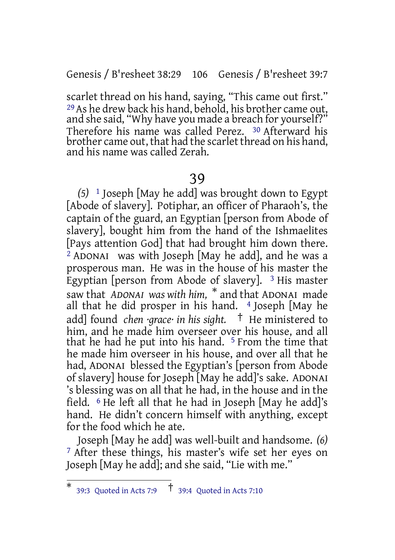Genesis / B'resheet 38:29 106 Genesis / B'resheet 39:7

scarlet thread on his hand, saying, "This came out first." 29As he drew back his hand, behold, his brother came out, and she said, "Why have you made a breach for yourself?" Therefore his name was called Perez. 30 Afterward his brother came out, that had the scarlet thread on his hand, and his name was called Zerah.

### 39

*(5)* 1 Joseph [May he add] was brought down to Egypt [Abode of slavery]. Potiphar, an officer of Pharaoh's, the captain of the guard, an Egyptian [person from Abode of slavery], bought him from the hand of the Ishmaelites [Pays attention God] that had brought him down there. <sup>2</sup> ADONAI was with Joseph [May he add], and he was a prosperous man. He was in the house of his master the Egyptian [person from Abode of slavery].  $3$  His master saw that *ADONAI was with him,* \* and that ADONAI made all that he did prosper in his hand. <sup>4</sup> Joseph [May he add] found *chen ·grace· in his sight.* † He ministered to him, and he made him overseer over his house, and all that he had he put into his hand. 5 From the time that he made him overseer in his house, and over all that he had, ADONAI blessed the Egyptian's [person from Abode of slavery] house for Joseph [May he add]'s sake. ADONAI 's blessing was on all that he had, in the house and in the field. 6 He left all that he had in Joseph [May he add]'s hand. He didn't concern himself with anything, except for the food which he ate.

Joseph [May he add] was well-built and handsome. *(6)* 7 After these things, his master's wife set her eyes on Joseph [May he add]; and she said, "Lie with me."

<sup>\*</sup> 39:3 Quoted in Acts 7:9 † 39:4 Quoted in Acts 7:10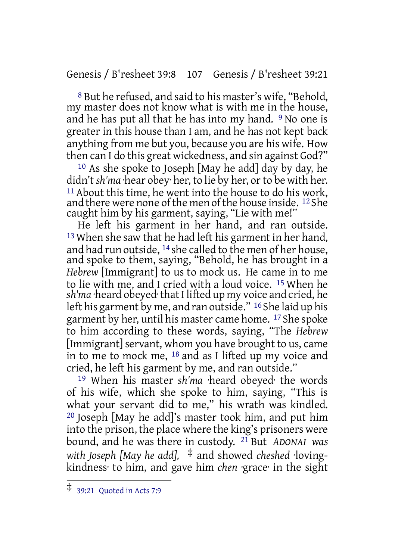#### Genesis / B'resheet 39:8 107 Genesis / B'resheet 39:21

8 But he refused, and said to his master's wife, "Behold, my master does not know what is with me in the house, and he has put all that he has into my hand. <sup>9</sup> No one is greater in this house than I am, and he has not kept back anything from me but you, because you are his wife. How then can I do this great wickedness, and sin against God?"

 $10$  As she spoke to Joseph [May he add] day by day, he didn't *sh'ma* ·hear obey· her, to lie by her, or to be with her. <sup>11</sup> About this time, he went into the house to do his work, and there were none of the men of the house inside. <sup>12</sup> She caught him by his garment, saying, "Lie with me!"

He left his garment in her hand, and ran outside. 13 When she saw that he had left his garment in her hand, and had run outside, 14 she called to the men of her house, and spoke to them, saying, "Behold, he has brought in a *Hebrew* [Immigrant] to us to mock us. He came in to me to lie with me, and I cried with a loud voice. 15 When he *sh'ma* ·heard obeyed·thatI lifted up my voice and cried, he left his garment by me, and ran outside." 16 She laid up his garment by her, until his master came home. 17 She spoke to him according to these words, saying, "The *Hebrew* [Immigrant] servant, whom you have brought to us, came in to me to mock me, 18 and as I lifted up my voice and cried, he left his garment by me, and ran outside."

19 When his master *sh'ma* ·heard obeyed· the words of his wife, which she spoke to him, saying, "This is what your servant did to me," his wrath was kindled. 20 Joseph [May he add]'s master took him, and put him into the prison, the place where the king's prisoners were bound, and he was there in custody. 21 But *ADONAI was with Joseph [May he add],* ‡ and showed *cheshed* ·lovingkindness· to him, and gave him *chen* ·grace· in the sight

<sup>‡</sup> 39:21 Quoted in Acts 7:9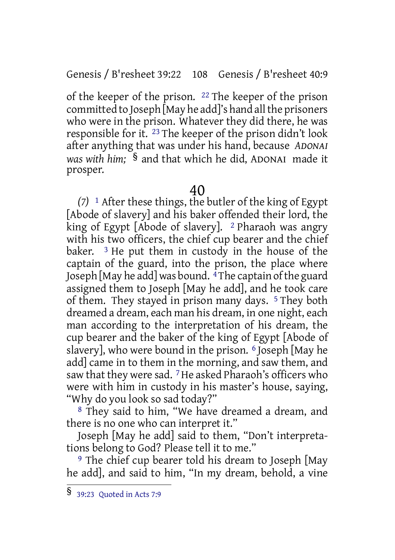Genesis / B'resheet 39:22 108 Genesis / B'resheet 40:9

of the keeper of the prison. 22 The keeper of the prison committed to Joseph [May he add]'s hand all the prisoners who were in the prison. Whatever they did there, he was responsible for it. 23 The keeper of the prison didn't look after anything that was under his hand, because *ADONAI was with him;* § and that which he did, ADONAI made it prosper.

#### 40

*(7)* 1 After these things, the butler of the king of Egypt [Abode of slavery] and his baker offended their lord, the king of Egypt [Abode of slavery]. <sup>2</sup> Pharaoh was angry with his two officers, the chief cup bearer and the chief baker.  $3$  He put them in custody in the house of the captain of the guard, into the prison, the place where Joseph [May he add] was bound.  $\frac{4}{3}$ The captain of the guard assigned them to Joseph [May he add], and he took care of them. They stayed in prison many days. 5 They both dreamed a dream, each man his dream, in one night, each man according to the interpretation of his dream, the cup bearer and the baker of the king of Egypt [Abode of slavery], who were bound in the prison. 6 Joseph [May he add] came in to them in the morning, and saw them, and saw that they were sad. <sup>7</sup> He asked Pharaoh's officers who were with him in custody in his master's house, saying, "Why do you look so sad today?"

8 They said to him, "We have dreamed a dream, and there is no one who can interpret it."

Joseph [May he add] said to them, "Don't interpretations belong to God? Please tell it to me."

9 The chief cup bearer told his dream to Joseph [May he add], and said to him, "In my dream, behold, a vine

<sup>§</sup> 39:23 Quoted in Acts 7:9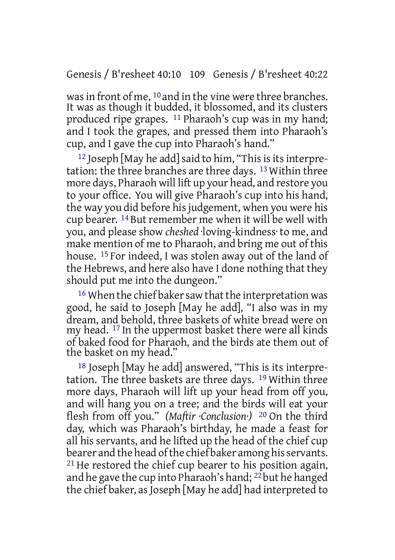#### Genesis / B'resheet 40:10 109 Genesis / B'resheet 40:22

wasin front of me, 10 and in the vine were three branches. It was as though it budded, it blossomed, and its clusters produced ripe grapes. 11 Pharaoh's cup was in my hand; and I took the grapes, and pressed them into Pharaoh's cup, and I gave the cup into Pharaoh's hand."

<sup>12</sup> Joseph [May he add] said to him, "This is its interpretation: the three branches are three days. 13 Within three more days, Pharaoh will lift up your head, and restore you to your office. You will give Pharaoh's cup into his hand, the way you did before his judgement, when you were his cup bearer. 14 But remember me when it will be well with you, and please show *cheshed* ·loving-kindness· to me, and make mention of me to Pharaoh, and bring me out of this house. 15 For indeed, I was stolen away out of the land of the Hebrews, and here also have I done nothing that they should put me into the dungeon."

<sup>16</sup> When the chief baker saw that the interpretation was good, he said to Joseph [May he add], "I also was in my dream, and behold, three baskets of white bread were on my head. 17 In the uppermost basket there were all kinds of baked food for Pharaoh, and the birds ate them out of the basket on my head."

18 Joseph [May he add] answered, "This is its interpretation. The three baskets are three days. 19 Within three more days, Pharaoh will lift up your head from off you, and will hang you on a tree; and the birds will eat your flesh from off you." *(Maftir ·Conclusion·)* 20 On the third day, which was Pharaoh's birthday, he made a feast for all his servants, and he lifted up the head of the chief cup bearer and the head of the chief baker among his servants. <sup>21</sup> He restored the chief cup bearer to his position again, and he gave the cup into Pharaoh's hand; <sup>22</sup> but he hanged the chief baker, as Joseph [May he add] had interpreted to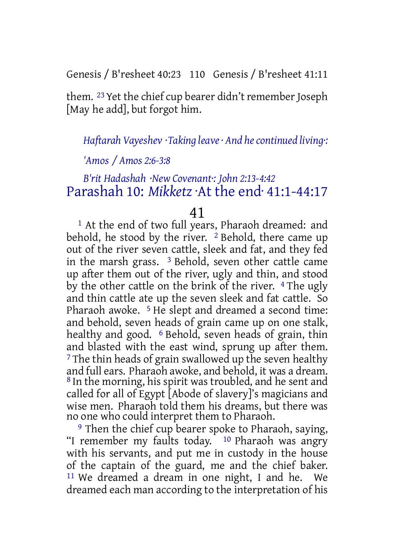Genesis / B'resheet 40:23 110 Genesis / B'resheet 41:11

them. <sup>23</sup> Yet the chief cup bearer didn't remember Joseph [May he add], but forgot him.

*Haftarah Vayeshev ·Taking leave· And hecontinued living·:*

# *'Amos / Amos 2:6-3:8*

# *B'rit Hadashah ·New Covenant·: John 2:13-4:42* Parashah 10: *Mikketz* ·At the end· 41:1-44:17

# 41

1 At the end of two full years, Pharaoh dreamed: and behold, he stood by the river. <sup>2</sup> Behold, there came up out of the river seven cattle, sleek and fat, and they fed in the marsh grass. 3 Behold, seven other cattle came up after them out of the river, ugly and thin, and stood by the other cattle on the brink of the river. <sup>4</sup> The ugly and thin cattle ate up the seven sleek and fat cattle. So Pharaoh awoke. 5 He slept and dreamed a second time: and behold, seven heads of grain came up on one stalk, healthy and good. <sup>6</sup> Behold, seven heads of grain, thin and blasted with the east wind, sprung up after them.  $7$  The thin heads of grain swallowed up the seven healthy and full ears. Pharaoh awoke, and behold, it was a dream. 8 In the morning, his spirit was troubled, and he sent and called for all of Egypt [Abode of slavery]'s magicians and wise men. Pharaoh told them his dreams, but there was no one who could interpret them to Pharaoh.

9 Then the chief cup bearer spoke to Pharaoh, saying, "I remember my faults today. 10 Pharaoh was angry with his servants, and put me in custody in the house of the captain of the guard, me and the chief baker. 11 We dreamed a dream in one night, I and he. We dreamed each man according to the interpretation of his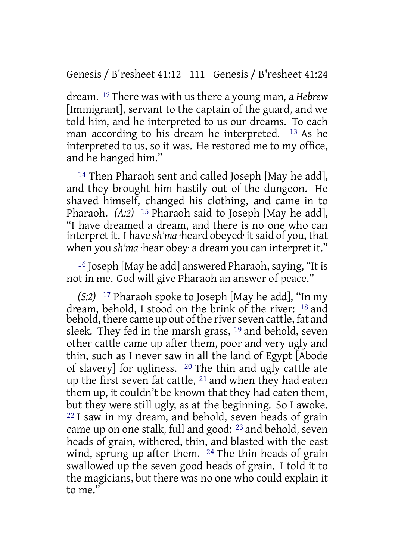# Genesis / B'resheet 41:12 111 Genesis / B'resheet 41:24

dream. 12 There was with us there a young man, a *Hebrew* [Immigrant], servant to the captain of the guard, and we told him, and he interpreted to us our dreams. To each man according to his dream he interpreted. 13 As he interpreted to us, so it was. He restored me to my office, and he hanged him."

14 Then Pharaoh sent and called Joseph [May he add], and they brought him hastily out of the dungeon. He shaved himself, changed his clothing, and came in to Pharaoh. *(A:2)* 15 Pharaoh said to Joseph [May he add], "I have dreamed a dream, and there is no one who can interpret it. I have *sh'ma* beard obeved it said of you, that when you *sh'ma* ·hear obey· a dream you can interpret it."

16 Joseph [May he add] answered Pharaoh, saying, "It is not in me. God will give Pharaoh an answer of peace."

*(S:2)* 17 Pharaoh spoke to Joseph [May he add], "In my dream, behold, I stood on the brink of the river: 18 and behold, there came up out of the river seven cattle, fat and sleek. They fed in the marsh grass, 19 and behold, seven other cattle came up after them, poor and very ugly and thin, such as I never saw in all the land of Egypt [Abode of slavery] for ugliness. 20 The thin and ugly cattle ate up the first seven fat cattle, 21 and when they had eaten them up, it couldn't be known that they had eaten them, but they were still ugly, as at the beginning. So I awoke. 22 I saw in my dream, and behold, seven heads of grain came up on one stalk, full and good: 23 and behold, seven heads of grain, withered, thin, and blasted with the east wind, sprung up after them. <sup>24</sup> The thin heads of grain swallowed up the seven good heads of grain. I told it to the magicians, but there was no one who could explain it to me."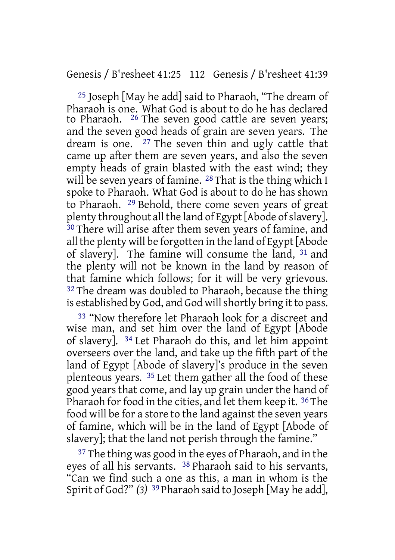# Genesis / B'resheet 41:25 112 Genesis / B'resheet 41:39

25 Joseph [May he add] said to Pharaoh, "The dream of Pharaoh is one. What God is about to do he has declared to Pharaoh. 26 The seven good cattle are seven years; and the seven good heads of grain are seven years. The dream is one. 27 The seven thin and ugly cattle that came up after them are seven years, and also the seven empty heads of grain blasted with the east wind; they will be seven years of famine. <sup>28</sup> That is the thing which I spoke to Pharaoh. What God is about to do he has shown to Pharaoh. 29 Behold, there come seven years of great plenty throughout all the land of Egypt [Abode of slavery]. 30 There will arise after them seven years of famine, and all the plenty will be forgotten in the land of Egypt [Abode of slavery]. The famine will consume the land, 31 and the plenty will not be known in the land by reason of that famine which follows; for it will be very grievous. <sup>32</sup> The dream was doubled to Pharaoh, because the thing is established by God, and God will shortly bring it to pass.

33 "Now therefore let Pharaoh look for a discreet and wise man, and set him over the land of Egypt [Abode of slavery]. 34 Let Pharaoh do this, and let him appoint overseers over the land, and take up the fifth part of the land of Egypt [Abode of slavery]'s produce in the seven plenteous years. 35 Let them gather all the food of these good years that come, and lay up grain under the hand of Pharaoh for food in the cities, and let them keep it. <sup>36</sup> The food will be for a store to the land against the seven years of famine, which will be in the land of Egypt [Abode of slavery]; that the land not perish through the famine."

<sup>37</sup> The thing was good in the eyes of Pharaoh, and in the eyes of all his servants. 38 Pharaoh said to his servants, "Can we find such a one as this, a man in whom is the Spirit of God?" *(3)* 39 Pharaoh said to Joseph [May he add],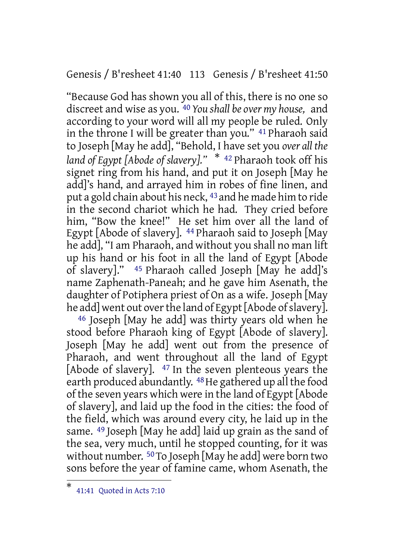Genesis / B'resheet 41:40 113 Genesis / B'resheet 41:50

"Because God has shown you all of this, there is no one so discreet and wise as you. 40 *You shall be over my house,* and according to your word will all my people be ruled. Only in the throne I will be greater than you." 41 Pharaoh said to Joseph [May he add], "Behold, I have set you *over all the land of Egypt [Abode of slavery]."* \* <sup>42</sup> Pharaoh took off his signet ring from his hand, and put it on Joseph [May he add]'s hand, and arrayed him in robes of fine linen, and put a gold chain about his neck, 43 and he made him to ride in the second chariot which he had. They cried before him, "Bow the knee!" He set him over all the land of Egypt [Abode of slavery]. <sup>44</sup> Pharaoh said to Joseph [May he add], "I am Pharaoh, and without you shall no man lift up his hand or his foot in all the land of Egypt [Abode of slavery]." 45 Pharaoh called Joseph [May he add]'s name Zaphenath-Paneah; and he gave him Asenath, the daughter of Potiphera priest of On as a wife. Joseph [May he add] went out over the land of Egypt [Abode of slavery].

46 Joseph [May he add] was thirty years old when he stood before Pharaoh king of Egypt [Abode of slavery]. Joseph [May he add] went out from the presence of Pharaoh, and went throughout all the land of Egypt [Abode of slavery]. 47 In the seven plenteous years the earth produced abundantly. <sup>48</sup> He gathered up all the food of the seven years which were in the land of Egypt [Abode of slavery], and laid up the food in the cities: the food of the field, which was around every city, he laid up in the same. 49 Joseph [May he add] laid up grain as the sand of the sea, very much, until he stopped counting, for it was without number. <sup>50</sup> To Joseph [May he add] were born two sons before the year of famine came, whom Asenath, the

<sup>\*</sup> 41:41 Quoted in Acts 7:10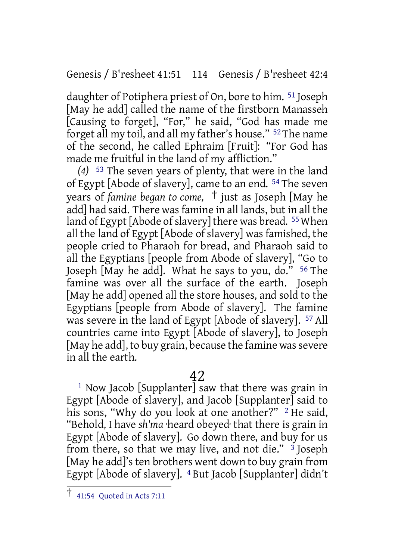Genesis / B'resheet 41:51 114 Genesis / B'resheet 42:4

daughter of Potiphera priest of On, bore to him. 51 Joseph [May he add] called the name of the firstborn Manasseh [Causing to forget], "For," he said, "God has made me forget all my toil, and all my father's house." 52 The name of the second, he called Ephraim [Fruit]: "For God has made me fruitful in the land of my affliction."

*(4)* 53 The seven years of plenty, that were in the land of Egypt [Abode of slavery], came to an end. 54 The seven years of *famine began to come,* † just as Joseph [May he add] had said. There was famine in all lands, but in all the land of Egypt [Abode of slavery] there was bread.  $55$  When all the land of Egypt [Abode of slavery] was famished, the people cried to Pharaoh for bread, and Pharaoh said to all the Egyptians [people from Abode of slavery], "Go to Joseph [May he add]. What he says to you, do." 56 The famine was over all the surface of the earth. Joseph [May he add] opened all the store houses, and sold to the Egyptians [people from Abode of slavery]. The famine was severe in the land of Egypt [Abode of slavery]. 57 All countries came into Egypt [Abode of slavery], to Joseph [May he add], to buy grain, because the famine was severe in all the earth.

# 42

1 Now Jacob [Supplanter] saw that there was grain in Egypt [Abode of slavery], and Jacob [Supplanter] said to his sons, "Why do you look at one another?" <sup>2</sup> He said, "Behold, I have *sh'ma* ·heard obeyed· that there is grain in Egypt [Abode of slavery]. Go down there, and buy for us from there, so that we may live, and not die." 3 Joseph [May he add]'s ten brothers went down to buy grain from Egypt [Abode of slavery]. 4 But Jacob [Supplanter] didn't

 $\overline{1}$  41:54 Quoted in Acts 7:11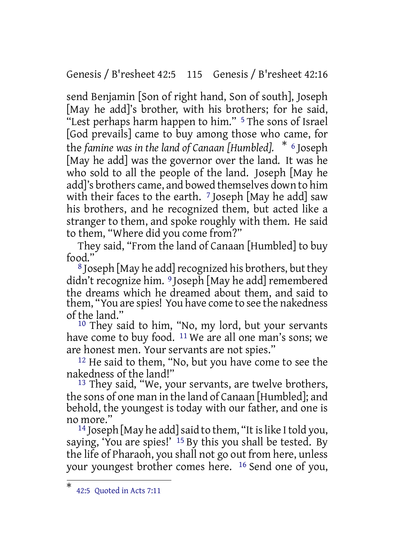Genesis / B'resheet 42:5 115 Genesis / B'resheet 42:16

send Benjamin [Son of right hand, Son of south], Joseph [May he add]'s brother, with his brothers; for he said, "Lest perhaps harm happen to him." 5 The sons of Israel [God prevails] came to buy among those who came, for the *famine was in the land of Canaan [Humbled].* \* <sup>6</sup> Joseph [May he add] was the governor over the land. It was he who sold to all the people of the land. Joseph [May he add]'s brothers came, and bowed themselves down to him with their faces to the earth. <sup>7</sup> Joseph [May he add] saw his brothers, and he recognized them, but acted like a stranger to them, and spoke roughly with them. He said to them, "Where did you come from?"

They said, "From the land of Canaan [Humbled] to buy food."

 $8$  Joseph [May he add] recognized his brothers, but they didn't recognize him. 9 Joseph [May he add] remembered the dreams which he dreamed about them, and said to them, "You are spies! You have come to see the nakedness of the land."

10 They said to him, "No, my lord, but your servants have come to buy food. <sup>11</sup> We are all one man's sons; we are honest men. Your servants are not spies."

12 He said to them, "No, but you have come to see the nakedness of the land!"

<sup>13</sup> They said, "We, your servants, are twelve brothers, the sons of one man in the land of Canaan [Humbled]; and behold, the youngest is today with our father, and one is no more."

<sup>14</sup> Joseph [May he add] said to them, "It is like I told you, saying, 'You are spies!' 15 By this you shall be tested. By the life of Pharaoh, you shall not go out from here, unless your youngest brother comes here. 16 Send one of you,

<sup>\*</sup> 42:5 Quoted in Acts 7:11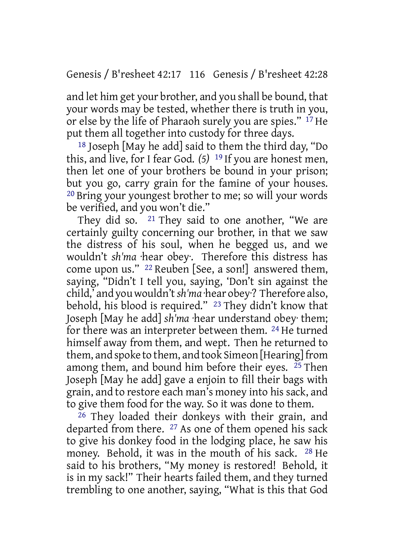and let him get your brother, and you shall be bound, that your words may be tested, whether there is truth in you, or else by the life of Pharaoh surely you are spies." 17 He put them all together into custody for three days.

18 Joseph [May he add] said to them the third day, "Do this, and live, for I fear God. *(5)* 19 If you are honest men, then let one of your brothers be bound in your prison; but you go, carry grain for the famine of your houses. 20 Bring your youngest brother to me; so will your words be verified, and you won't die."

They did so. 21 They said to one another, "We are certainly guilty concerning our brother, in that we saw the distress of his soul, when he begged us, and we wouldn't *sh'ma* ·hear obey·. Therefore this distress has come upon us." 22 Reuben [See, a son!] answered them, saying, "Didn't I tell you, saying, 'Don't sin against the child,' and you wouldn't*sh'ma* ·hear obey·? Therefore also, behold, his blood is required." 23 They didn't know that Joseph [May he add] *sh'ma* ·hear understand obey· them; for there was an interpreter between them. 24 He turned himself away from them, and wept. Then he returned to them, and spoke to them, and took Simeon [Hearing] from among them, and bound him before their eyes. 25 Then Joseph [May he add] gave a enjoin to fill their bags with grain, and to restore each man's money into his sack, and to give them food for the way. So it was done to them.

26 They loaded their donkeys with their grain, and departed from there. 27 As one of them opened his sack to give his donkey food in the lodging place, he saw his money. Behold, it was in the mouth of his sack. 28 He said to his brothers, "My money is restored! Behold, it is in my sack!" Their hearts failed them, and they turned trembling to one another, saying, "What is this that God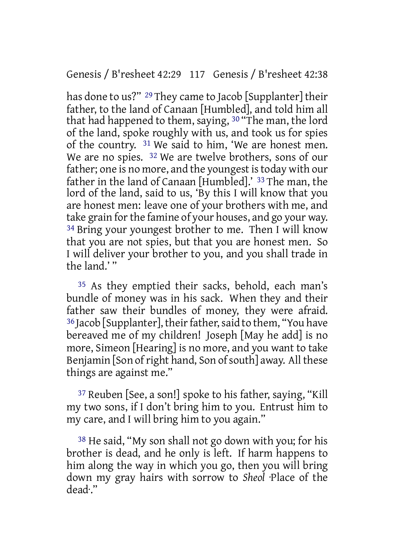has done to us?" <sup>29</sup> They came to Jacob [Supplanter] their father, to the land of Canaan [Humbled], and told him all that had happened to them, saying, 30 "The man, the lord of the land, spoke roughly with us, and took us for spies of the country. 31 We said to him, 'We are honest men. We are no spies. <sup>32</sup> We are twelve brothers, sons of our father; one is no more, and the youngest is today with our father in the land of Canaan [Humbled].' 33 The man, the lord of the land, said to us, 'By this I will know that you are honest men: leave one of your brothers with me, and take grain forthe famine of your houses, and go your way. <sup>34</sup> Bring your youngest brother to me. Then I will know that you are not spies, but that you are honest men. So I will deliver your brother to you, and you shall trade in the land.' "

35 As they emptied their sacks, behold, each man's bundle of money was in his sack. When they and their father saw their bundles of money, they were afraid. <sup>36</sup> Jacob [Supplanter], their father, said to them, "You have bereaved me of my children! Joseph [May he add] is no more, Simeon [Hearing] is no more, and you want to take Benjamin [Son of right hand, Son of south] away. All these things are against me."

37 Reuben [See, a son!] spoke to his father, saying, "Kill my two sons, if I don't bring him to you. Entrust him to my care, and I will bring him to you again."

38 He said, "My son shall not go down with you; for his brother is dead, and he only is left. If harm happens to him along the way in which you go, then you will bring down my gray hairs with sorrow to *Sheol* ·Place of the dead·."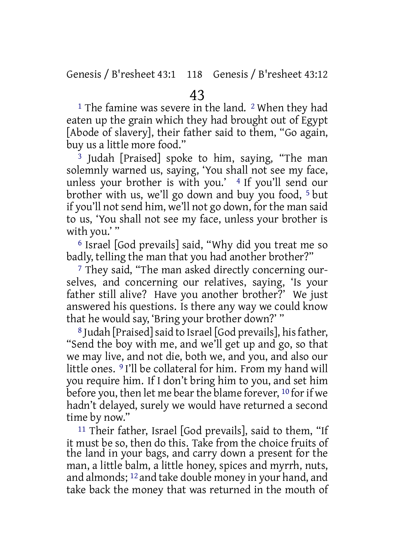<sup>1</sup> The famine was severe in the land. <sup>2</sup> When they had eaten up the grain which they had brought out of Egypt [Abode of slavery], their father said to them, "Go again, buy us a little more food."

<sup>3</sup> Judah [Praised] spoke to him, saying, "The man solemnly warned us, saying, 'You shall not see my face, unless your brother is with you.'  $4$  If you'll send our brother with us, we'll go down and buy you food, 5 but if you'll not send him, we'll not go down, forthe man said to us, 'You shall not see my face, unless your brother is with you.'"

6 Israel [God prevails] said, "Why did you treat me so badly, telling the man that you had another brother?"

7 They said, "The man asked directly concerning ourselves, and concerning our relatives, saying, 'Is your father still alive? Have you another brother?' We just answered his questions. Is there any way we could know that he would say, 'Bring your brother down?' "

8 Judah [Praised] said to Israel [God prevails], his father, "Send the boy with me, and we'll get up and go, so that we may live, and not die, both we, and you, and also our little ones. 9 I'll be collateral for him. From my hand will you require him. If I don't bring him to you, and set him before you, then let me bear the blame forever,  $10$  for if we hadn't delayed, surely we would have returned a second time by now."

11 Their father, Israel [God prevails], said to them, "If it must be so, then do this. Take from the choice fruits of the land in your bags, and carry down a present for the man, a little balm, a little honey, spices and myrrh, nuts, and almonds; 12 and take double money in your hand, and take back the money that was returned in the mouth of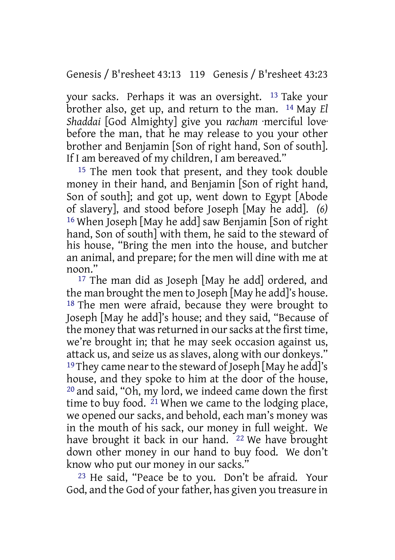Genesis / B'resheet 43:13 119 Genesis / B'resheet 43:23

your sacks. Perhaps it was an oversight. 13 Take your brother also, get up, and return to the man. 14 May *El Shaddai* [God Almighty] give you *racham* ·merciful love· before the man, that he may release to you your other brother and Benjamin [Son of right hand, Son of south]. If I am bereaved of my children, I am bereaved."

15 The men took that present, and they took double money in their hand, and Benjamin [Son of right hand, Son of south]; and got up, went down to Egypt [Abode of slavery], and stood before Joseph [May he add]. *(6)* 16 When Joseph [May he add] saw Benjamin [Son of right hand, Son of south] with them, he said to the steward of his house, "Bring the men into the house, and butcher an animal, and prepare; for the men will dine with me at noon."

<sup>17</sup> The man did as Joseph [May he add] ordered, and the man brought the men to Joseph [May he add]'s house. 18 The men were afraid, because they were brought to Joseph [May he add]'s house; and they said, "Because of the money that was returned in our sacks at the first time, we're brought in; that he may seek occasion against us, attack us, and seize us as slaves, along with our donkeys." <sup>19</sup>They came near to the steward of Joseph [May he add]'s house, and they spoke to him at the door of the house, 20 and said, "Oh, my lord, we indeed came down the first time to buy food. 21 When we came to the lodging place, we opened our sacks, and behold, each man's money was in the mouth of his sack, our money in full weight. We have brought it back in our hand. <sup>22</sup> We have brought down other money in our hand to buy food. We don't know who put our money in our sacks."

23 He said, "Peace be to you. Don't be afraid. Your God, and the God of your father, has given you treasure in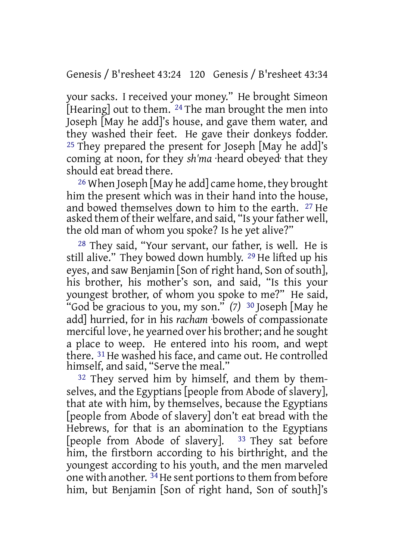Genesis / B'resheet 43:24 120 Genesis / B'resheet 43:34

your sacks. I received your money." He brought Simeon [Hearing] out to them.  $^{24}$  The man brought the men into Joseph [May he add]'s house, and gave them water, and they washed their feet. He gave their donkeys fodder.  $25$  They prepared the present for Joseph [May he add]'s coming at noon, for they *sh'ma* ·heard obeyed· that they should eat bread there.

<sup>26</sup> When Joseph [May he add] came home, they brought him the present which was in their hand into the house, and bowed themselves down to him to the earth. 27 He asked them of their welfare, and said, "Is your father well, the old man of whom you spoke? Is he yet alive?"

28 They said, "Your servant, our father, is well. He is still alive." They bowed down humbly. 29 He lifted up his eyes, and saw Benjamin [Son of right hand, Son of south], his brother, his mother's son, and said, "Is this your youngest brother, of whom you spoke to me?" He said, "God be gracious to you, my son." *(7)* 30 Joseph [May he add] hurried, for in his *racham* ·bowels of compassionate merciful love·, he yearned over his brother; and he sought a place to weep. He entered into his room, and wept there. <sup>31</sup> He washed his face, and came out. He controlled himself, and said, "Serve the meal."

32 They served him by himself, and them by themselves, and the Egyptians [people from Abode of slavery], that ate with him, by themselves, because the Egyptians [people from Abode of slavery] don't eat bread with the Hebrews, for that is an abomination to the Egyptians [people from Abode of slavery].  $33$  They sat before him, the firstborn according to his birthright, and the youngest according to his youth, and the men marveled one with another. <sup>34</sup>He sent portions to them from before him, but Benjamin [Son of right hand, Son of south]'s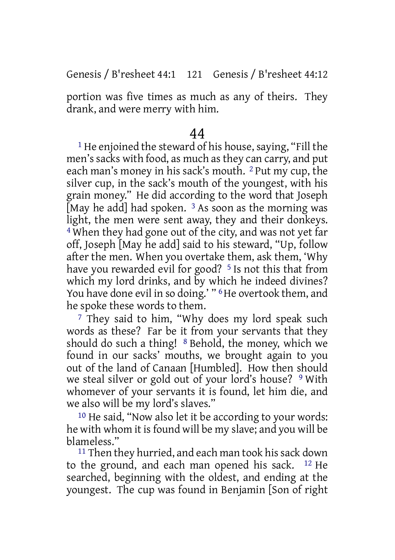# Genesis / B'resheet 44:1 121 Genesis / B'resheet 44:12

portion was five times as much as any of theirs. They drank, and were merry with him.

## 44

1 He enjoined the steward of his house, saying, "Fill the men's sacks with food, as much as they can carry, and put each man's money in his sack's mouth. 2 Put my cup, the silver cup, in the sack's mouth of the youngest, with his grain money." He did according to the word that Joseph [May he add] had spoken.  $3$  As soon as the morning was light, the men were sent away, they and their donkeys. 4 When they had gone out of the city, and was not yet far off, Joseph [May he add] said to his steward, "Up, follow after the men. When you overtake them, ask them, 'Why have you rewarded evil for good? <sup>5</sup> Is not this that from which my lord drinks, and by which he indeed divines? You have done evil in so doing.' "<sup>6</sup>He overtook them, and he spoke these words to them.

<sup>7</sup> They said to him, "Why does my lord speak such words as these? Far be it from your servants that they should do such a thing! 8 Behold, the money, which we found in our sacks' mouths, we brought again to you out of the land of Canaan [Humbled]. How then should we steal silver or gold out of your lord's house? 9 With whomever of your servants it is found, let him die, and we also will be my lord's slaves."

10 He said, "Now also let it be according to your words: he with whom it is found will be my slave; and you will be blameless."

<sup>11</sup> Then they hurried, and each man took his sack down to the ground, and each man opened his sack. 12 He searched, beginning with the oldest, and ending at the youngest. The cup was found in Benjamin [Son of right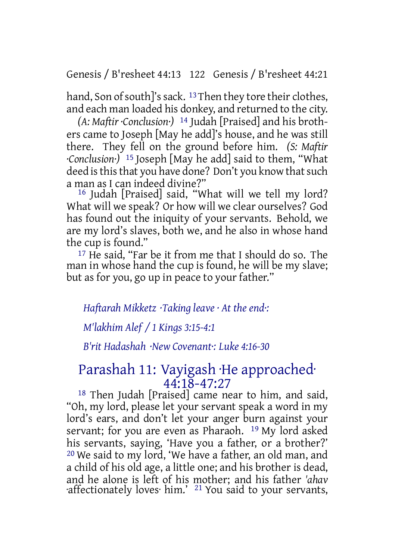Genesis / B'resheet 44:13 122 Genesis / B'resheet 44:21

hand. Son of south]'s sack. <sup>13</sup>Then they tore their clothes, and each man loaded his donkey, and returned to the city.

*(A: Maftir ·Conclusion·)* 14 Judah [Praised] and his brothers came to Joseph [May he add]'s house, and he was still there. They fell on the ground before him. *(S: Maftir ·Conclusion·)* 15 Joseph [May he add] said to them, "What deed is this that you have done? Don't you know that such a man as I can indeed divine?"

16 Judah [Praised] said, "What will we tell my lord? What will we speak? Or how will we clear ourselves? God has found out the iniquity of your servants. Behold, we are my lord's slaves, both we, and he also in whose hand the cup is found."

17 He said, "Far be it from me that I should do so. The man in whose hand the cup is found, he will be my slave; but as for you, go up in peace to your father."

*Haftarah Mikketz ·Taking leave · At the end·:*

*M'lakhim Alef / 1 Kings 3:15-4:1*

*B'rit Hadashah ·New Covenant·: Luke 4:16-30*

# Parashah 11: Vayigash ·He approached· 44:18-47:27

18 Then Judah [Praised] came near to him, and said, "Oh, my lord, please let your servant speak a word in my lord's ears, and don't let your anger burn against your servant; for you are even as Pharaoh. 19 My lord asked his servants, saying, 'Have you a father, or a brother?' 20 We said to my lord, 'We have a father, an old man, and a child of his old age, a little one; and his brother is dead, and he alone is left of his mother; and his father *'ahav* ·affectionately loves· him.' 21 You said to your servants,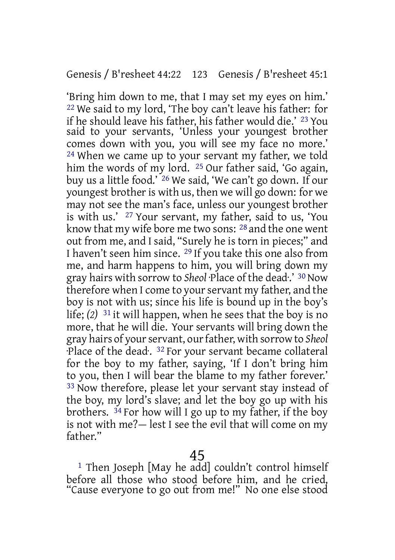'Bring him down to me, that I may set my eyes on him.' 22 We said to my lord, 'The boy can't leave his father: for if he should leave his father, his father would die.' 23 You said to your servants, 'Unless your youngest brother comes down with you, you will see my face no more.' 24 When we came up to your servant my father, we told him the words of my lord. <sup>25</sup> Our father said, 'Go again, buy us a little food.' 26 We said, 'We can't go down. If our youngest brother is with us, then we will go down: for we may not see the man's face, unless our youngest brother is with us.' 27 Your servant, my father, said to us, 'You know that my wife bore me two sons: 28 and the one went out from me, and I said, "Surely he is torn in pieces;" and I haven't seen him since. 29 If you take this one also from me, and harm happens to him, you will bring down my gray hairs with sorrow to *Sheol* ·Place of the dead·.' 30Now therefore when I come to your servant my father, and the boy is not with us; since his life is bound up in the boy's life; *(2)* 31 it will happen, when he sees that the boy is no more, that he will die. Your servants will bring down the gray hairs of yourservant, ourfather, with sorrow to *Sheol* ·Place of the dead·. 32 For your servant became collateral for the boy to my father, saying, 'If I don't bring him to you, then I will bear the blame to my father forever.' 33 Now therefore, please let your servant stay instead of the boy, my lord's slave; and let the boy go up with his brothers. 34 For how will I go up to my father, if the boy is not with me?— lest I see the evil that will come on my father."

1 Then Joseph [May he add] couldn't control himself before all those who stood before him, and he cried, "Cause everyone to go out from me!" No one else stood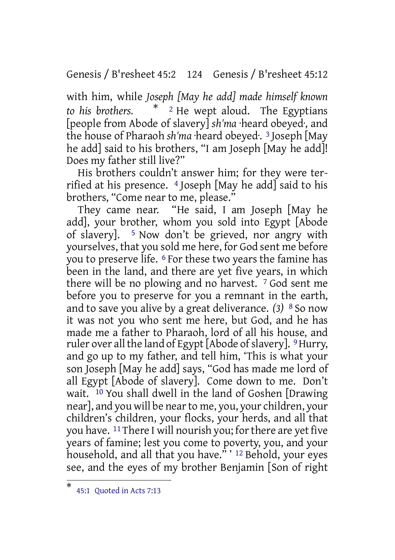Genesis / B'resheet 45:2 124 Genesis / B'resheet 45:12

with him, while *Joseph [May he add] made himself known to his brothers.* \* <sup>2</sup> He wept aloud. The Egyptians [people from Abode of slavery] *sh'ma* ·heard obeyed·, and the house of Pharaoh *sh'ma* ·heard obeyed·. 3 Joseph [May he add] said to his brothers, "I am Joseph [May he add]! Does my father still live?"

His brothers couldn't answer him; for they were terrified at his presence. 4 Joseph [May he add] said to his brothers, "Come near to me, please."

They came near. "He said, I am Joseph [May he add], your brother, whom you sold into Egypt [Abode of slavery]. 5 Now don't be grieved, nor angry with yourselves, that you sold me here, for God sent me before you to preserve life. <sup>6</sup> For these two years the famine has been in the land, and there are yet five years, in which there will be no plowing and no harvest. 7 God sent me before you to preserve for you a remnant in the earth, and to save you alive by a great deliverance. *(3)* 8 So now it was not you who sent me here, but God, and he has made me a father to Pharaoh, lord of all his house, and ruler over all the land of Egypt [Abode of slavery]. <sup>9</sup> Hurry, and go up to my father, and tell him, 'This is what your son Joseph [May he add] says, "God has made me lord of all Egypt [Abode of slavery]. Come down to me. Don't wait. 10 You shall dwell in the land of Goshen [Drawing near], and you will be nearto me, you, your children, your children's children, your flocks, your herds, and all that you have. <sup>11</sup> There I will nourish you; for there are yet five years of famine; lest you come to poverty, you, and your household, and all that you have." ' 12 Behold, your eyes see, and the eyes of my brother Benjamin [Son of right

<sup>\*</sup> 45:1 Quoted in Acts 7:13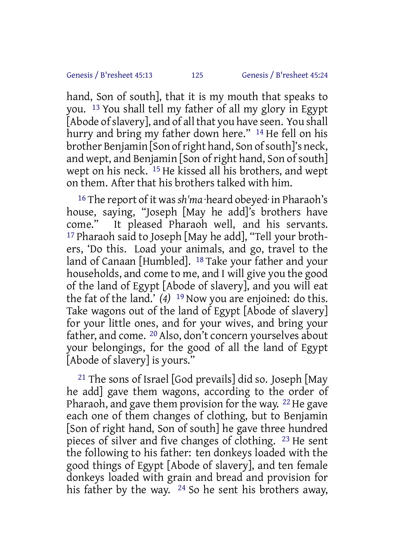hand, Son of south], that it is my mouth that speaks to you. 13 You shall tell my father of all my glory in Egypt [Abode of slavery], and of all that you have seen. You shall hurry and bring my father down here." <sup>14</sup> He fell on his brother Benjamin [Son of right hand, Son of south]'s neck, and wept, and Benjamin [Son of right hand, Son of south] wept on his neck. 15 He kissed all his brothers, and wept on them. After that his brothers talked with him.

16 The report of it was*sh'ma* ·heard obeyed· in Pharaoh's house, saying, "Joseph [May he add]'s brothers have come." It pleased Pharaoh well, and his servants. 17 Pharaoh said to Joseph [May he add], "Tell your brothers, 'Do this. Load your animals, and go, travel to the land of Canaan [Humbled]. 18 Take your father and your households, and come to me, and I will give you the good of the land of Egypt [Abode of slavery], and you will eat the fat of the land.' *(4)* 19 Now you are enjoined: do this. Take wagons out of the land of Egypt [Abode of slavery] for your little ones, and for your wives, and bring your father, and come. 20 Also, don't concern yourselves about your belongings, for the good of all the land of Egypt [Abode of slavery] is yours."

<sup>21</sup> The sons of Israel [God prevails] did so. Joseph [May] he add] gave them wagons, according to the order of Pharaoh, and gave them provision for the way.  $22$  He gave each one of them changes of clothing, but to Benjamin [Son of right hand, Son of south] he gave three hundred pieces of silver and five changes of clothing. 23 He sent the following to his father: ten donkeys loaded with the good things of Egypt [Abode of slavery], and ten female donkeys loaded with grain and bread and provision for his father by the way.  $24$  So he sent his brothers away.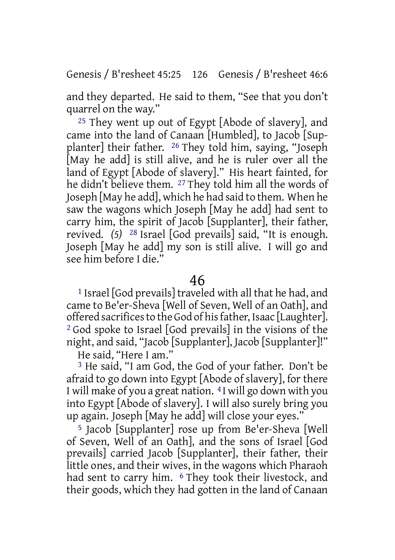Genesis / B'resheet 45:25 126 Genesis / B'resheet 46:6

and they departed. He said to them, "See that you don't quarrel on the way."

25 They went up out of Egypt [Abode of slavery], and came into the land of Canaan [Humbled], to Jacob [Supplanter] their father. 26 They told him, saying, "Joseph [May he add] is still alive, and he is ruler over all the land of Egypt [Abode of slavery]." His heart fainted, for he didn't believe them. 27 They told him all the words of Joseph [May he add], which he had said to them. When he saw the wagons which Joseph [May he add] had sent to carry him, the spirit of Jacob [Supplanter], their father, revived. *(5)* 28 Israel [God prevails] said, "It is enough. Joseph [May he add] my son is still alive. I will go and see him before I die."

#### 46

1 Israel [God prevails] traveled with all that he had, and came to Be'er-Sheva [Well of Seven, Well of an Oath], and offered sacrifices to the God of his father, Isaac [Laughter]. 2 God spoke to Israel [God prevails] in the visions of the night, and said, "Jacob [Supplanter], Jacob [Supplanter]!"

He said, "Here I am."

3 He said, "I am God, the God of your father. Don't be afraid to go down into Egypt [Abode of slavery], for there I will make of you a great nation. 4 I will go down with you into Egypt [Abode of slavery]. I will also surely bring you up again. Joseph [May he add] will close your eyes."

5 Jacob [Supplanter] rose up from Be'er-Sheva [Well of Seven, Well of an Oath], and the sons of Israel [God prevails] carried Jacob [Supplanter], their father, their little ones, and their wives, in the wagons which Pharaoh had sent to carry him. <sup>6</sup> They took their livestock, and their goods, which they had gotten in the land of Canaan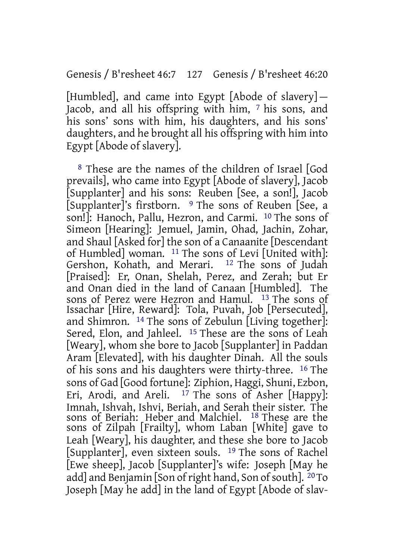[Humbled], and came into Egypt [Abode of slavery] — Jacob, and all his offspring with him, 7 his sons, and his sons' sons with him, his daughters, and his sons' daughters, and he brought all his offspring with him into Egypt [Abode of slavery].

8 These are the names of the children of Israel [God prevails], who came into Egypt [Abode of slavery], Jacob [Supplanter] and his sons: Reuben [See, a son!], Jacob [Supplanter]'s firstborn. 9 The sons of Reuben [See, a son!]: Hanoch, Pallu, Hezron, and Carmi. 10 The sons of Simeon [Hearing]: Jemuel, Jamin, Ohad, Jachin, Zohar, and Shaul [Asked for] the son of a Canaanite [Descendant of Humbled] woman.  $11$  The sons of Levi [United with]:<br>Gershon, Kohath, and Merari.  $12$  The sons of Judah Gershon, Kohath, and Merari. [Praised]: Er, Onan, Shelah, Perez, and Zerah; but Er and Onan died in the land of Canaan [Humbled]. The sons of Perez were Hezron and Hamul. 13 The sons of Issachar [Hire, Reward]: Tola, Puvah, Job [Persecuted], and Shimron. 14 The sons of Zebulun [Living together]: Sered, Elon, and Jahleel. <sup>15</sup> These are the sons of Leah [Weary], whom she bore to Jacob [Supplanter] in Paddan Aram [Elevated], with his daughter Dinah. All the souls of his sons and his daughters were thirty-three. 16 The sons of Gad [Good fortune]: Ziphion, Haggi, Shuni, Ezbon, Eri, Arodi, and Areli.  $17$  The sons of Asher [Happy]: Imnah, Ishvah, Ishvi, Beriah, and Serah their sister. The sons of Beriah: Heber and Malchiel. 18 These are the sons of Zilpah [Frailty], whom Laban [White] gave to Leah [Weary], his daughter, and these she bore to Jacob [Supplanter], even sixteen souls. 19 The sons of Rachel [Ewe sheep], Jacob [Supplanter]'s wife: Joseph [May he add] and Benjamin [Son of right hand, Son of south].  $20T_0$ Joseph [May he add] in the land of Egypt [Abode of slav-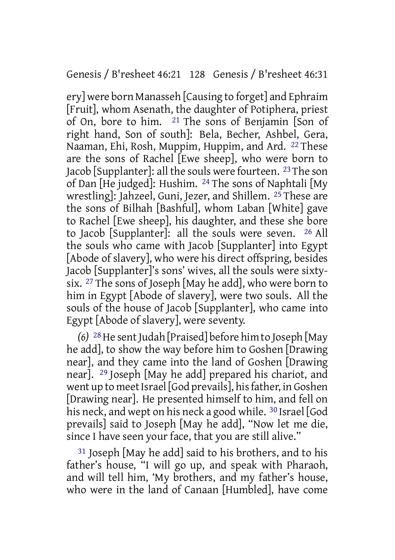# Genesis / B'resheet 46:21 128 Genesis / B'resheet 46:31

ery] were born Manasseh [Causing to forget] and Ephraim [Fruit], whom Asenath, the daughter of Potiphera, priest of On, bore to him. 21 The sons of Benjamin [Son of right hand, Son of south]: Bela, Becher, Ashbel, Gera, Naaman, Ehi, Rosh, Muppim, Huppim, and Ard. 22 These are the sons of Rachel [Ewe sheep], who were born to Jacob [Supplanter]: all the souls were fourteen.  $^{23}$  The son of Dan [He judged]: Hushim. 24 The sons of Naphtali [My wrestling]: Jahzeel, Guni, Jezer, and Shillem. 25 These are the sons of Bilhah [Bashful], whom Laban [White] gave to Rachel [Ewe sheep], his daughter, and these she bore to Jacob [Supplanter]: all the souls were seven. 26 All the souls who came with Jacob [Supplanter] into Egypt [Abode of slavery], who were his direct offspring, besides Jacob [Supplanter]'s sons' wives, all the souls were sixtysix. 27 The sons of Joseph [May he add], who were born to him in Egypt [Abode of slavery], were two souls. All the souls of the house of Jacob [Supplanter], who came into Egypt [Abode of slavery], were seventy.

*(6)* <sup>28</sup> He sent Judah [Praised] before him to Joseph [May he add], to show the way before him to Goshen [Drawing near], and they came into the land of Goshen [Drawing near]. 29 Joseph [May he add] prepared his chariot, and went up to meet Israel [God prevails], his father, in Goshen [Drawing near]. He presented himself to him, and fell on his neck, and wept on his neck a good while. <sup>30</sup> Israel [God] prevails] said to Joseph [May he add], "Now let me die, since I have seen your face, that you are still alive."

31 Joseph [May he add] said to his brothers, and to his father's house, "I will go up, and speak with Pharaoh, and will tell him, 'My brothers, and my father's house, who were in the land of Canaan [Humbled], have come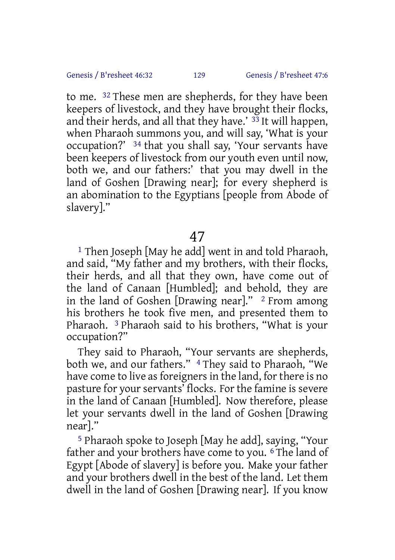to me. 32 These men are shepherds, for they have been keepers of livestock, and they have brought their flocks, and their herds, and all that they have.'  $33$  It will happen, when Pharaoh summons you, and will say, 'What is your occupation?' 34 that you shall say, 'Your servants have been keepers of livestock from our youth even until now, both we, and our fathers:' that you may dwell in the land of Goshen [Drawing near]; for every shepherd is an abomination to the Egyptians [people from Abode of slavery]."

47

<sup>1</sup> Then Joseph [May he add] went in and told Pharaoh, and said, "My father and my brothers, with their flocks, their herds, and all that they own, have come out of the land of Canaan [Humbled]; and behold, they are in the land of Goshen [Drawing near]."  $2$  From among his brothers he took five men, and presented them to Pharaoh. 3 Pharaoh said to his brothers, "What is your occupation?"

They said to Pharaoh, "Your servants are shepherds, both we, and our fathers." <sup>4</sup> They said to Pharaoh, "We have come to live as foreigners in the land, for there is no pasture for your servants' flocks. For the famine is severe in the land of Canaan [Humbled]. Now therefore, please let your servants dwell in the land of Goshen [Drawing near]."

5 Pharaoh spoke to Joseph [May he add], saying, "Your father and your brothers have come to you. <sup>6</sup> The land of Egypt [Abode of slavery] is before you. Make your father and your brothers dwell in the best of the land. Let them dwell in the land of Goshen [Drawing near]. If you know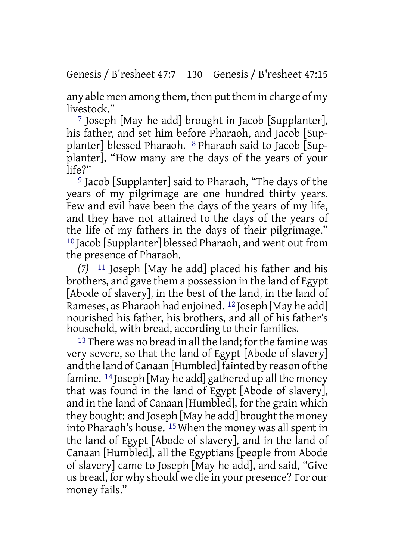any able men among them, then put them in charge of my livestock."

7 Joseph [May he add] brought in Jacob [Supplanter], his father, and set him before Pharaoh, and Jacob [Supplanter] blessed Pharaoh. 8 Pharaoh said to Jacob [Supplanter], "How many are the days of the years of your  $l$ ife?"

9 Jacob [Supplanter] said to Pharaoh, "The days of the years of my pilgrimage are one hundred thirty years. Few and evil have been the days of the years of my life, and they have not attained to the days of the years of the life of my fathers in the days of their pilgrimage." 10 Jacob [Supplanter] blessed Pharaoh, and went out from the presence of Pharaoh.

*(7)* 11 Joseph [May he add] placed his father and his brothers, and gave them a possession in the land of Egypt [Abode of slavery], in the best of the land, in the land of Rameses, as Pharaoh had enjoined. 12 Joseph [May he add] nourished his father, his brothers, and all of his father's household, with bread, according to their families.

 $13$  There was no bread in all the land; for the famine was very severe, so that the land of Egypt [Abode of slavery] and the land of Canaan [Humbled] fainted by reason of the famine. 14 Joseph [May he add] gathered up all the money that was found in the land of Egypt [Abode of slavery], and in the land of Canaan [Humbled], for the grain which they bought: and Joseph [May he add] brought the money into Pharaoh's house. <sup>15</sup> When the money was all spent in the land of Egypt [Abode of slavery], and in the land of Canaan [Humbled], all the Egyptians [people from Abode of slavery] came to Joseph [May he add], and said, "Give us bread, for why should we die in your presence? For our money fails."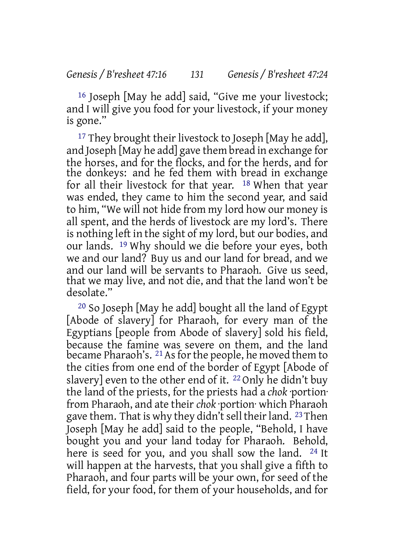16 Joseph [May he add] said, "Give me your livestock; and I will give you food for your livestock, if your money is gone."

<sup>17</sup> They brought their livestock to Joseph [May he add], and Joseph [May he add] gave them bread in exchange for the horses, and for the flocks, and for the herds, and for the donkeys: and he fed them with bread in exchange for all their livestock for that year. 18 When that year was ended, they came to him the second year, and said to him, "We will not hide from my lord how our money is all spent, and the herds of livestock are my lord's. There is nothing left in the sight of my lord, but our bodies, and our lands. 19 Why should we die before your eyes, both we and our land? Buy us and our land for bread, and we and our land will be servants to Pharaoh. Give us seed, that we may live, and not die, and that the land won't be desolate."

20 So Joseph [May he add] bought all the land of Egypt [Abode of slavery] for Pharaoh, for every man of the Egyptians [people from Abode of slavery] sold his field, because the famine was severe on them, and the land became Pharaoh's. <sup>21</sup> As for the people, he moved them to the cities from one end of the border of Egypt [Abode of slavery] even to the other end of it. 22 Only he didn't buy the land of the priests, for the priests had a *chok* ·portion· from Pharaoh, and ate their *chok* ·portion· which Pharaoh gave them. That is why they didn't sell their land. 23 Then Joseph [May he add] said to the people, "Behold, I have bought you and your land today for Pharaoh. Behold, here is seed for you, and you shall sow the land. <sup>24</sup> It will happen at the harvests, that you shall give a fifth to Pharaoh, and four parts will be your own, for seed of the field, for your food, for them of your households, and for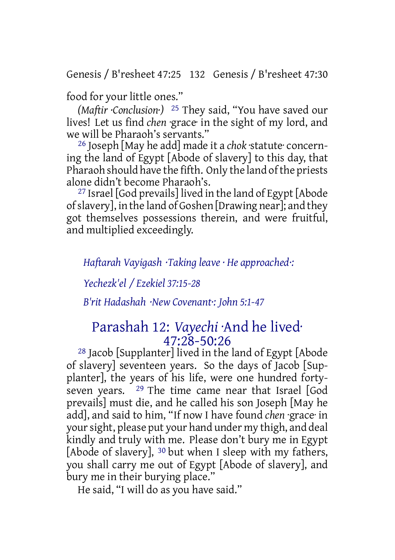Genesis / B'resheet 47:25 132 Genesis / B'resheet 47:30

food for your little ones."

*(Maftir ·Conclusion·)* 25 They said, "You have saved our lives! Let us find *chen* ·grace· in the sight of my lord, and we will be Pharaoh's servants."

26 Joseph [May he add] made it a *chok* ·statute· concerning the land of Egypt [Abode of slavery] to this day, that Pharaoh should have the fifth. Only the land ofthe priests alone didn't become Pharaoh's.

27 Israel [God prevails] lived in the land of Egypt [Abode ofslavery], in the land of Goshen [Drawing near]; and they got themselves possessions therein, and were fruitful, and multiplied exceedingly.

*Haftarah Vayigash ·Taking leave · He approached·:*

*Yechezk'el / Ezekiel 37:15-28*

*B'rit Hadashah ·New Covenant·: John 5:1-47*

# Parashah 12: *Vayechi* ·And he lived·  $47:28 - 50:26$

28 Jacob [Supplanter] lived in the land of Egypt [Abode of slavery] seventeen years. So the days of Jacob [Supplanter], the years of his life, were one hundred fortyseven years. 29 The time came near that Israel [God prevails] must die, and he called his son Joseph [May he add], and said to him, "If now I have found *chen* ·grace· in yoursight, please put your hand under my thigh, and deal kindly and truly with me. Please don't bury me in Egypt [Abode of slavery], <sup>30</sup> but when I sleep with my fathers, you shall carry me out of Egypt [Abode of slavery], and bury me in their burying place."

He said, "I will do as you have said."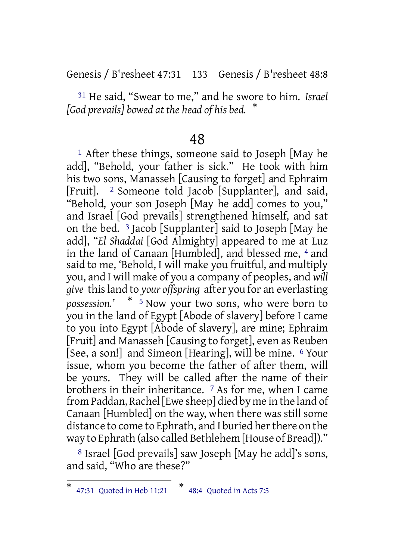Genesis / B'resheet 47:31 133 Genesis / B'resheet 48:8

31 He said, "Swear to me," and he swore to him. *Israel [God prevails] bowed at the head of his bed.* \*

# 48

<sup>1</sup> After these things, someone said to Joseph [May he add], "Behold, your father is sick." He took with him his two sons, Manasseh [Causing to forget] and Ephraim [Fruit]. 2 Someone told Jacob [Supplanter], and said, "Behold, your son Joseph [May he add] comes to you," and Israel [God prevails] strengthened himself, and sat on the bed. 3 Jacob [Supplanter] said to Joseph [May he add], "*El Shaddai* [God Almighty] appeared to me at Luz in the land of Canaan [Humbled], and blessed me, 4 and said to me, 'Behold, I will make you fruitful, and multiply you, and I will make of you a company of peoples, and *will give* thisland to *your offspring* after you for an everlasting *possession.'* \* <sup>5</sup> Now your two sons, who were born to you in the land of Egypt [Abode of slavery] before I came to you into Egypt [Abode of slavery], are mine; Ephraim [Fruit] and Manasseh [Causing to forget], even as Reuben [See, a son!] and Simeon [Hearing], will be mine. 6 Your issue, whom you become the father of after them, will be yours. They will be called after the name of their brothers in their inheritance. 7 As for me, when I came from Paddan, Rachel [Ewe sheep] died by me in the land of Canaan [Humbled] on the way, when there was still some distance to come to Ephrath, and I buried her there on the way to Ephrath (also called Bethlehem [House of Bread])."

8 Israel [God prevails] saw Joseph [May he add]'s sons, and said, "Who are these?"

<sup>\*</sup> 47:31 Quoted in Heb 11:21 \* 48:4 Quoted in Acts 7:5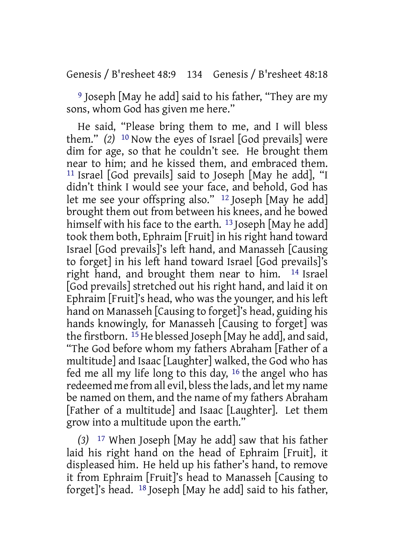Genesis / B'resheet 48:9 134 Genesis / B'resheet 48:18

9 Joseph [May he add] said to his father, "They are my sons, whom God has given me here."

He said, "Please bring them to me, and I will bless them." *(2)* 10 Now the eyes of Israel [God prevails] were dim for age, so that he couldn't see. He brought them near to him; and he kissed them, and embraced them. 11 Israel [God prevails] said to Joseph [May he add], "I didn't think I would see your face, and behold, God has let me see your offspring also." 12 Joseph [May he add] brought them out from between his knees, and he bowed himself with his face to the earth.<sup>13</sup> Joseph [May he add] took them both, Ephraim [Fruit] in his right hand toward Israel [God prevails]'s left hand, and Manasseh [Causing to forget] in his left hand toward Israel [God prevails]'s right hand, and brought them near to him. 14 Israel [God prevails] stretched out his right hand, and laid it on Ephraim [Fruit]'s head, who was the younger, and his left hand on Manasseh [Causing to forget]'s head, guiding his hands knowingly, for Manasseh [Causing to forget] was the firstborn.  $^{15}$  He blessed Joseph [May he add], and said, "The God before whom my fathers Abraham [Father of a multitude] and Isaac [Laughter] walked, the God who has fed me all my life long to this day, 16 the angel who has redeemed me from all evil, blessthe lads, and let my name be named on them, and the name of my fathers Abraham [Father of a multitude] and Isaac [Laughter]. Let them grow into a multitude upon the earth."

*(3)* 17 When Joseph [May he add] saw that his father laid his right hand on the head of Ephraim [Fruit], it displeased him. He held up his father's hand, to remove it from Ephraim [Fruit]'s head to Manasseh [Causing to forget]'s head. 18 Joseph [May he add] said to his father,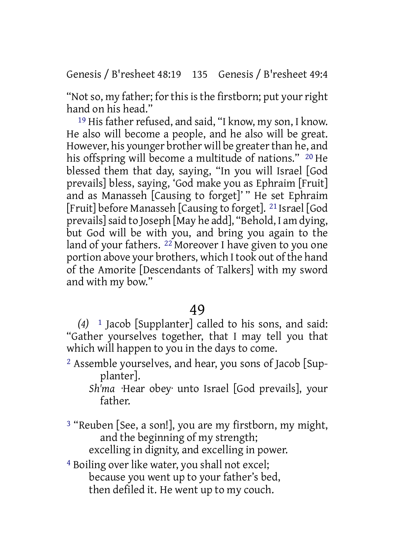Genesis / B'resheet 48:19 135 Genesis / B'resheet 49:4

"Not so, my father; for this is the firstborn; put your right hand on his head."

19 His father refused, and said, "I know, my son, I know. He also will become a people, and he also will be great. However, his younger brother will be greater than he, and his offspring will become a multitude of nations." <sup>20</sup> He blessed them that day, saying, "In you will Israel [God prevails] bless, saying, 'God make you as Ephraim [Fruit] and as Manasseh [Causing to forget]' " He set Ephraim [Fruit] before Manasseh [Causing to forget]. 21 Israel [God prevails]said to Joseph [May he add], "Behold, I am dying, but God will be with you, and bring you again to the land of your fathers. <sup>22</sup> Moreover I have given to you one portion above your brothers, which I took out of the hand of the Amorite [Descendants of Talkers] with my sword and with my bow."

# 49

*(4)* 1 Jacob [Supplanter] called to his sons, and said: "Gather yourselves together, that I may tell you that which will happen to you in the days to come.

- 2 Assemble yourselves, and hear, you sons of Jacob [Supplanter].
	- *Sh'ma* ·Hear obey· unto Israel [God prevails], your father.

<sup>3</sup> "Reuben [See, a son!], you are my firstborn, my might, and the beginning of my strength; excelling in dignity, and excelling in power.

4 Boiling over like water, you shall not excel; because you went up to your father's bed, then defiled it. He went up to my couch.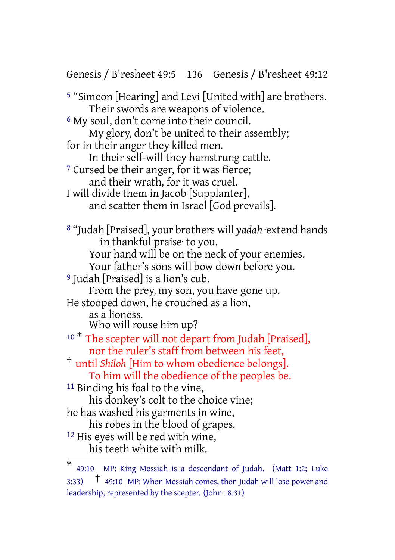Genesis / B'resheet 49:5 136 Genesis / B'resheet 49:12 5 "Simeon [Hearing] and Levi [United with] are brothers. Their swords are weapons of violence. 6 My soul, don't come into their council. My glory, don't be united to their assembly; for in their anger they killed men. In their self-will they hamstrung cattle. <sup>7</sup> Cursed be their anger, for it was fierce; and their wrath, for it was cruel. I will divide them in Jacob [Supplanter], and scatter them in Israel [God prevails]. 8 "Judah [Praised], your brothers will *yadah* ·extend hands in thankful praise· to you. Your hand will be on the neck of your enemies. Your father's sons will bow down before you. 9 Judah [Praised] is a lion's cub. From the prey, my son, you have gone up. He stooped down, he crouched as a lion, as a lioness. Who will rouse him up? <sup>10 \*</sup> The scepter will not depart from Judah [Praised], nor the ruler's staff from between his feet, † until *Shiloh* [Him to whom obedience belongs]. To him will the obedience of the peoples be. 11 Binding his foal to the vine, his donkey's colt to the choice vine; he has washed his garments in wine, his robes in the blood of grapes. 12 His eyes will be red with wine, his teeth white with milk.

<sup>\*</sup> 49:10 MP: King Messiah is a descendant of Judah. (Matt 1:2; Luke 3:33)  $\uparrow$  49:10 MP: When Messiah comes, then Judah will lose power and leadership, represented by the scepter. (John 18:31)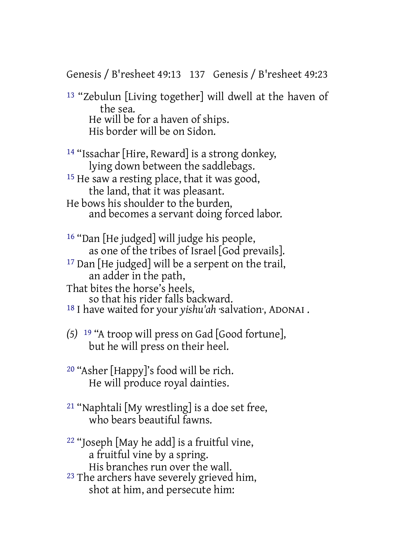Genesis / B'resheet 49:13 137 Genesis / B'resheet 49:23

13 "Zebulun [Living together] will dwell at the haven of the sea. He will be for a haven of ships. His border will be on Sidon.

14 "Issachar [Hire, Reward] is a strong donkey, lying down between the saddlebags.

15 He saw a resting place, that it was good, the land, that it was pleasant.

He bows his shoulder to the burden, and becomes a servant doing forced labor.

16 "Dan [He judged] will judge his people, as one of the tribes of Israel [God prevails].

<sup>17</sup> Dan [He judged] will be a serpent on the trail, an adder in the path,

That bites the horse's heels,

so that his rider falls backward.

18 I have waited for your *yishu'ah* ·salvation·, ADONAI .

- *(5)* 19 "A troop will press on Gad [Good fortune], but he will press on their heel.
- 20 "Asher [Happy]'s food will be rich. He will produce royal dainties.
- 21 "Naphtali [My wrestling] is a doe set free, who bears beautiful fawns.
- 22 "Joseph [May he add] is a fruitful vine, a fruitful vine by a spring. His branches run over the wall.
- <sup>23</sup> The archers have severely grieved him, shot at him, and persecute him: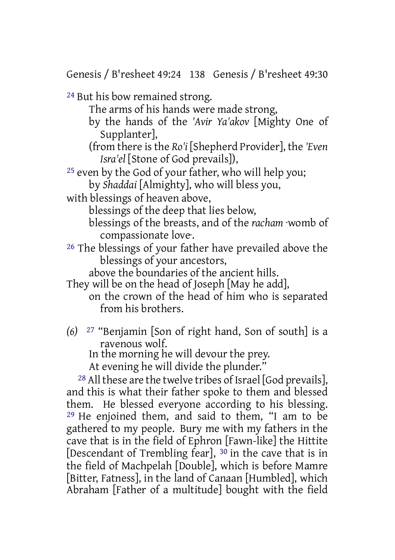Genesis / B'resheet 49:24 138 Genesis / B'resheet 49:30

24 But his bow remained strong.

The arms of his hands were made strong,

- by the hands of the *'Avir Ya'akov* [Mighty One of Supplanter],
- (from there is the *Ro'i* [Shepherd Provider], the *'Even Isra'el* [Stone of God prevails]),

25 even by the God of your father, who will help you; by *Shaddai* [Almighty], who will bless you,

with blessings of heaven above,

blessings of the deep that lies below,

- blessings of the breasts, and of the *racham* ·womb of compassionate love·.
- 26 The blessings of your father have prevailed above the blessings of your ancestors,

above the boundaries of the ancient hills.

They will be on the head of Joseph [May he add],

on the crown of the head of him who is separated from his brothers.

*(6)* 27 "Benjamin [Son of right hand, Son of south] is a ravenous wolf.

In the morning he will devour the prey.

At evening he will divide the plunder."

 $28$  All these are the twelve tribes of Israel [God prevails], and this is what their father spoke to them and blessed them. He blessed everyone according to his blessing. 29 He enjoined them, and said to them, "I am to be gathered to my people. Bury me with my fathers in the cave that is in the field of Ephron [Fawn-like] the Hittite [Descendant of Trembling fear], 30 in the cave that is in the field of Machpelah [Double], which is before Mamre [Bitter, Fatness], in the land of Canaan [Humbled], which Abraham [Father of a multitude] bought with the field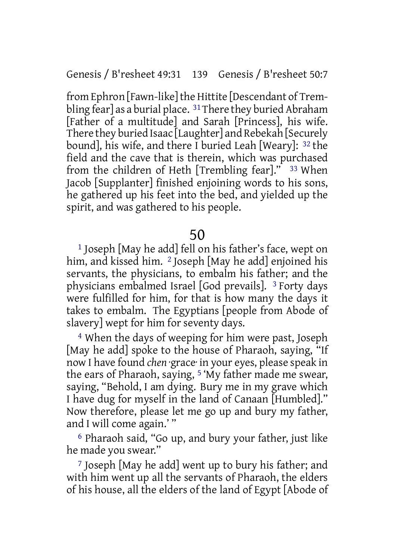Genesis / B'resheet 49:31 139 Genesis / B'resheet 50:7

from Ephron [Fawn-like]the Hittite [Descendant of Trembling fear] as a burial place.  $31$  There they buried Abraham [Father of a multitude] and Sarah [Princess], his wife. There they buried Isaac [Laughter] and Rebekah [Securely bound], his wife, and there I buried Leah [Weary]: 32 the field and the cave that is therein, which was purchased from the children of Heth [Trembling fear]." 33 When Jacob [Supplanter] finished enjoining words to his sons, he gathered up his feet into the bed, and yielded up the spirit, and was gathered to his people.

50

1 Joseph [May he add] fell on his father's face, wept on him, and kissed him. <sup>2</sup> Joseph [May he add] enjoined his servants, the physicians, to embalm his father; and the physicians embalmed Israel [God prevails]. 3 Forty days were fulfilled for him, for that is how many the days it takes to embalm. The Egyptians [people from Abode of slavery] wept for him for seventy days.

4 When the days of weeping for him were past, Joseph [May he add] spoke to the house of Pharaoh, saying, "If now I have found *chen* ·grace· in your eyes, please speak in the ears of Pharaoh, saying, 5 'My father made me swear, saying, "Behold, I am dying. Bury me in my grave which I have dug for myself in the land of Canaan [Humbled]." Now therefore, please let me go up and bury my father, and I will come again.' "

6 Pharaoh said, "Go up, and bury your father, just like he made you swear."

7 Joseph [May he add] went up to bury his father; and with him went up all the servants of Pharaoh, the elders of his house, all the elders of the land of Egypt [Abode of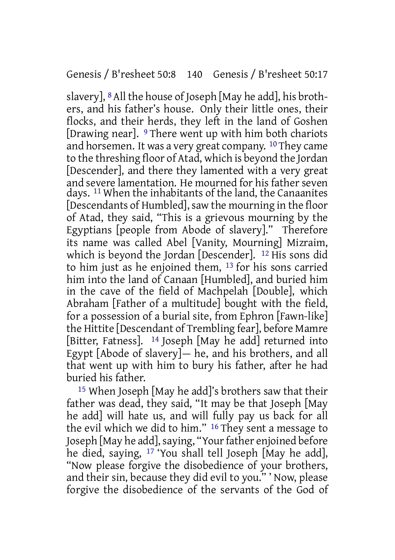#### Genesis / B'resheet 50:8 140 Genesis / B'resheet 50:17

slavery], 8All the house of Joseph [May he add], his brothers, and his father's house. Only their little ones, their flocks, and their herds, they left in the land of Goshen [Drawing near]. 9 There went up with him both chariots and horsemen. It was a very great company. 10They came to the threshing floor of Atad, which is beyond the Jordan [Descender], and there they lamented with a very great and severe lamentation. He mourned for his father seven days. 11 When the inhabitants of the land, the Canaanites [Descendants of Humbled], saw the mourning in the floor of Atad, they said, "This is a grievous mourning by the Egyptians [people from Abode of slavery]." Therefore its name was called Abel [Vanity, Mourning] Mizraim, which is beyond the Jordan [Descender]. 12 His sons did to him just as he enjoined them, 13 for his sons carried him into the land of Canaan [Humbled], and buried him in the cave of the field of Machpelah [Double], which Abraham [Father of a multitude] bought with the field, for a possession of a burial site, from Ephron [Fawn-like] the Hittite [Descendant of Trembling fear], before Mamre [Bitter, Fatness]. <sup>14</sup> Joseph [May he add] returned into Egypt [Abode of slavery] $-$  he, and his brothers, and all that went up with him to bury his father, after he had buried his father.

15 When Joseph [May he add]'s brothers saw that their father was dead, they said, "It may be that Joseph [May he add] will hate us, and will fully pay us back for all the evil which we did to him." 16 They sent a message to Joseph [May he add], saying, "Your father enjoined before he died, saying, 17 'You shall tell Joseph [May he add], "Now please forgive the disobedience of your brothers, and their sin, because they did evil to you." ' Now, please forgive the disobedience of the servants of the God of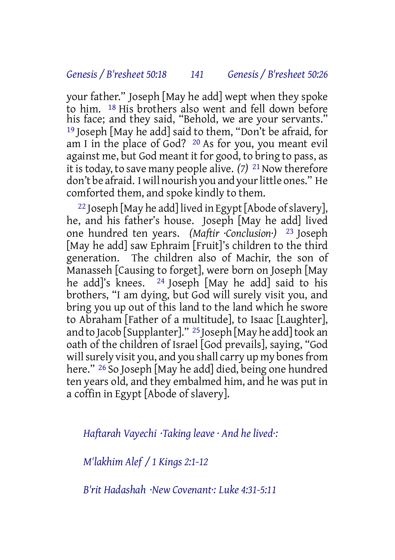your father." Joseph [May he add] wept when they spoke to him. 18 His brothers also went and fell down before his face; and they said, "Behold, we are your servants." 19 Joseph [May he add] said to them, "Don't be afraid, for am I in the place of God? 20 As for you, you meant evil against me, but God meant it for good, to bring to pass, as it istoday, to save many people alive. *(7)* 21Now therefore don't be afraid. I will nourish you and your little ones." He comforted them, and spoke kindly to them.

<sup>22</sup> Joseph [May he add] lived in Egypt [Abode of slavery], he, and his father's house. Joseph [May he add] lived one hundred ten years. *(Maftir ·Conclusion·)* 23 Joseph [May he add] saw Ephraim [Fruit]'s children to the third generation. The children also of Machir, the son of Manasseh [Causing to forget], were born on Joseph [May he add]'s knees. <sup>24</sup> Joseph [May he add] said to his brothers, "I am dying, but God will surely visit you, and bring you up out of this land to the land which he swore to Abraham [Father of a multitude], to Isaac [Laughter], and to Jacob [Supplanter]." <sup>25</sup> Joseph [May he add] took an oath of the children of Israel [God prevails], saying, "God will surely visit you, and you shall carry up my bones from here." <sup>26</sup> So Joseph [May he add] died, being one hundred ten years old, and they embalmed him, and he was put in a coffin in Egypt [Abode of slavery].

*Haftarah Vayechi ·Taking leave · And he lived·:*

*M'lakhim Alef / 1 Kings 2:1-12*

*B'rit Hadashah ·New Covenant·: Luke 4:31-5:11*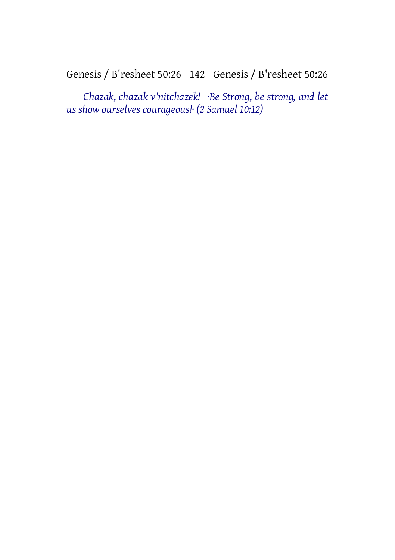Genesis / B'resheet 50:26 142 Genesis / B'resheet 50:26

*Chazak, chazak v'nitchazek! ·Be Strong, be strong, and let us show ourselves courageous!· (2 Samuel 10:12)*